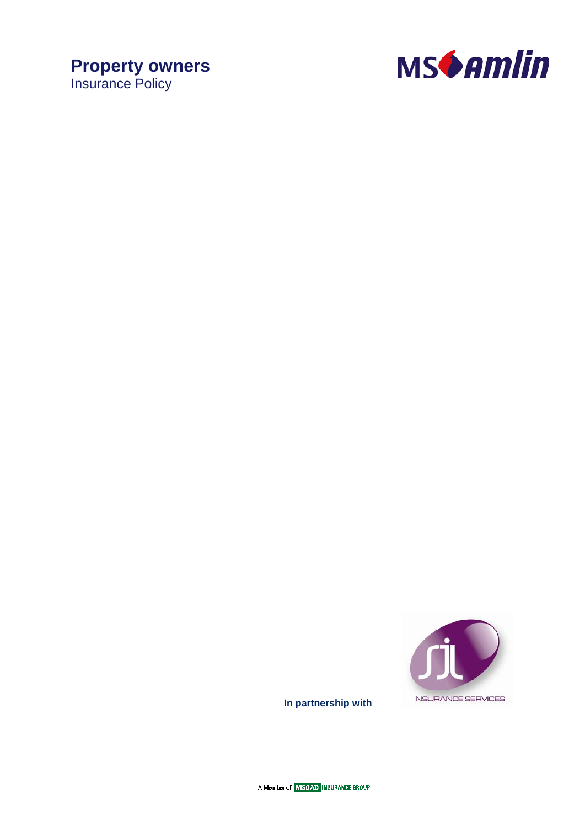# **Property owners** Insurance Policy





**In partnership with** 

A Member of MS&AD INSURANCE GROUP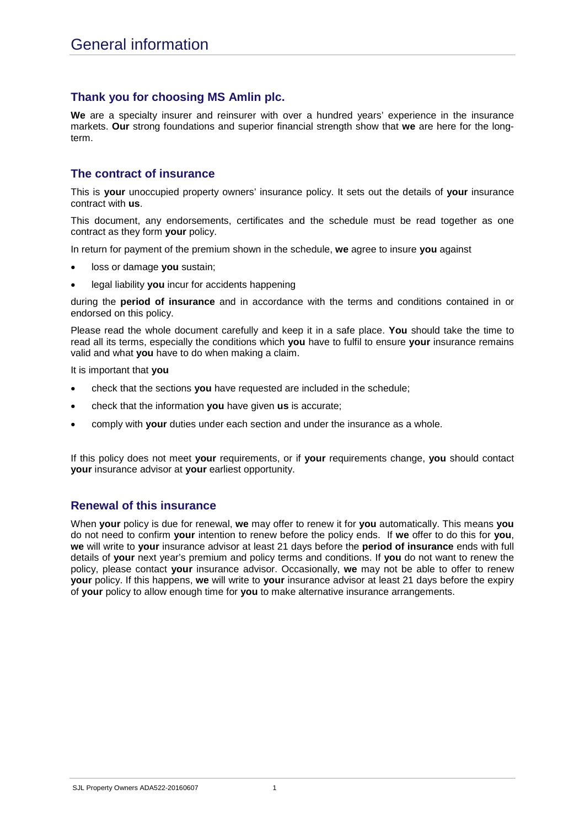## **Thank you for choosing MS Amlin plc.**

**We** are a specialty insurer and reinsurer with over a hundred years' experience in the insurance markets. **Our** strong foundations and superior financial strength show that **we** are here for the longterm.

## **The contract of insurance**

This is **your** unoccupied property owners' insurance policy. It sets out the details of **your** insurance contract with **us**.

This document, any endorsements, certificates and the schedule must be read together as one contract as they form **your** policy.

In return for payment of the premium shown in the schedule, **we** agree to insure **you** against

- loss or damage **you** sustain;
- legal liability you incur for accidents happening

during the **period of insurance** and in accordance with the terms and conditions contained in or endorsed on this policy.

Please read the whole document carefully and keep it in a safe place. **You** should take the time to read all its terms, especially the conditions which **you** have to fulfil to ensure **your** insurance remains valid and what **you** have to do when making a claim.

It is important that **you**

- check that the sections **you** have requested are included in the schedule;
- check that the information **you** have given **us** is accurate;
- comply with **your** duties under each section and under the insurance as a whole.

If this policy does not meet **your** requirements, or if **your** requirements change, **you** should contact **your** insurance advisor at **your** earliest opportunity.

## **Renewal of this insurance**

When **your** policy is due for renewal, **we** may offer to renew it for **you** automatically. This means **you** do not need to confirm **your** intention to renew before the policy ends. If **we** offer to do this for **you**, **we** will write to **your** insurance advisor at least 21 days before the **period of insurance** ends with full details of **your** next year's premium and policy terms and conditions. If **you** do not want to renew the policy, please contact **your** insurance advisor. Occasionally, **we** may not be able to offer to renew **your** policy. If this happens, **we** will write to **your** insurance advisor at least 21 days before the expiry of **your** policy to allow enough time for **you** to make alternative insurance arrangements.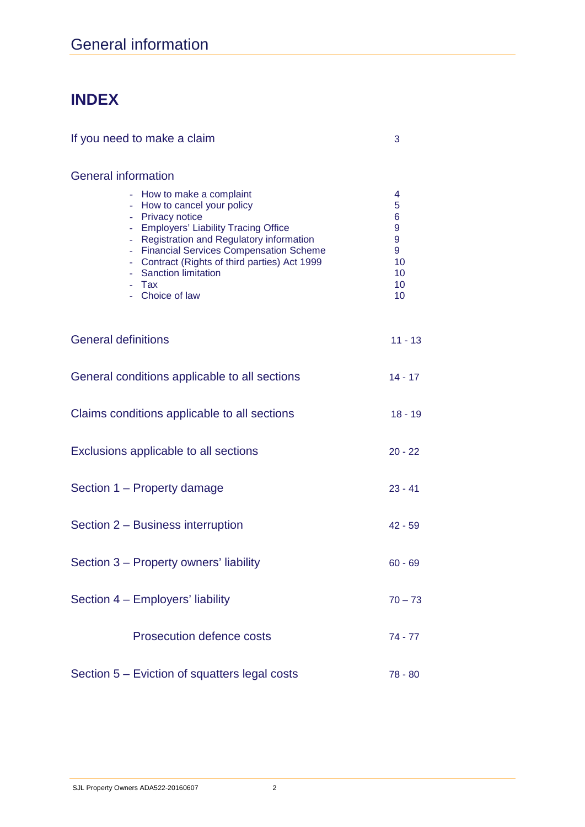# **INDEX**

| If you need to make a claim                                                                                                                                                                                                                                                                                          | 3                                                  |  |
|----------------------------------------------------------------------------------------------------------------------------------------------------------------------------------------------------------------------------------------------------------------------------------------------------------------------|----------------------------------------------------|--|
| <b>General information</b>                                                                                                                                                                                                                                                                                           |                                                    |  |
| - How to make a complaint<br>- How to cancel your policy<br>- Privacy notice<br>- Employers' Liability Tracing Office<br>- Registration and Regulatory information<br>- Financial Services Compensation Scheme<br>- Contract (Rights of third parties) Act 1999<br>- Sanction limitation<br>- Tax<br>- Choice of law | 4<br>5<br>6<br>9<br>9<br>9<br>10<br>10<br>10<br>10 |  |
| <b>General definitions</b>                                                                                                                                                                                                                                                                                           | $11 - 13$                                          |  |
| General conditions applicable to all sections                                                                                                                                                                                                                                                                        | $14 - 17$                                          |  |
| Claims conditions applicable to all sections                                                                                                                                                                                                                                                                         |                                                    |  |
| Exclusions applicable to all sections                                                                                                                                                                                                                                                                                |                                                    |  |
| Section 1 – Property damage                                                                                                                                                                                                                                                                                          |                                                    |  |
| Section 2 – Business interruption                                                                                                                                                                                                                                                                                    |                                                    |  |
| Section 3 – Property owners' liability                                                                                                                                                                                                                                                                               |                                                    |  |
| Section 4 - Employers' liability                                                                                                                                                                                                                                                                                     | $70 - 73$                                          |  |
| <b>Prosecution defence costs</b>                                                                                                                                                                                                                                                                                     | $74 - 77$                                          |  |
| Section 5 – Eviction of squatters legal costs                                                                                                                                                                                                                                                                        | 78 - 80                                            |  |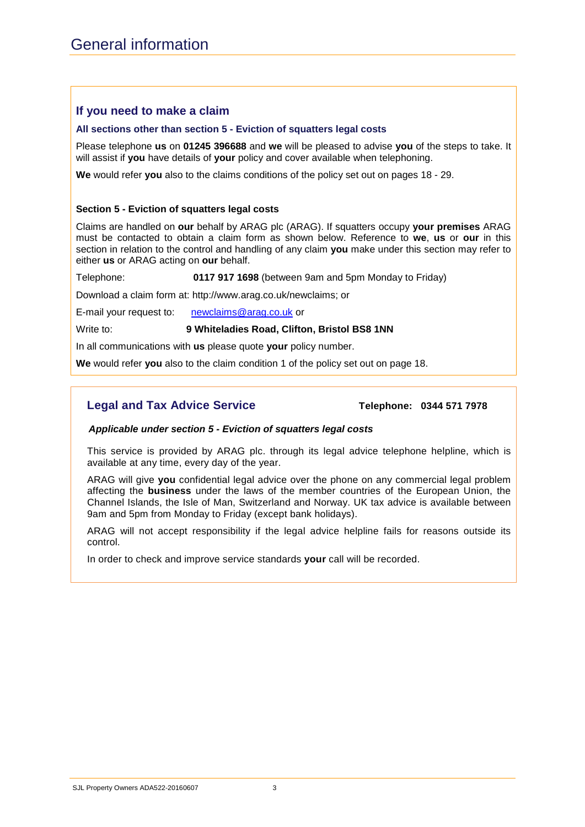## **If you need to make a claim**

#### **All sections other than section 5 - Eviction of squatters legal costs**

Please telephone **us** on **01245 396688** and **we** will be pleased to advise **you** of the steps to take. It will assist if **you** have details of **your** policy and cover available when telephoning.

**We** would refer **you** also to the claims conditions of the policy set out on pages 18 - 29.

#### **Section 5 - Eviction of squatters legal costs**

Claims are handled on **our** behalf by ARAG plc (ARAG). If squatters occupy **your premises** ARAG must be contacted to obtain a claim form as shown below. Reference to **we**, **us** or **our** in this section in relation to the control and handling of any claim **you** make under this section may refer to either **us** or ARAG acting on **our** behalf.

Telephone: **0117 917 1698** (between 9am and 5pm Monday to Friday)

Download a claim form at: http://www.arag.co.uk/newclaims; or

E-mail your request to: [newclaims@arag.co.uk](mailto:newclaims@arag.co.uk) or

Write to: **9 Whiteladies Road, Clifton, Bristol BS8 1NN**

In all communications with **us** please quote **your** policy number.

**We** would refer **you** also to the claim condition 1 of the policy set out on page 18.

## **Legal and Tax Advice Service**  Telephone: 0344 571 7978

#### *Applicable under section 5 - Eviction of squatters legal costs*

This service is provided by ARAG plc. through its legal advice telephone helpline, which is available at any time, every day of the year.

ARAG will give **you** confidential legal advice over the phone on any commercial legal problem affecting the **business** under the laws of the member countries of the European Union, the Channel Islands, the Isle of Man, Switzerland and Norway. UK tax advice is available between 9am and 5pm from Monday to Friday (except bank holidays).

ARAG will not accept responsibility if the legal advice helpline fails for reasons outside its control.

In order to check and improve service standards **your** call will be recorded.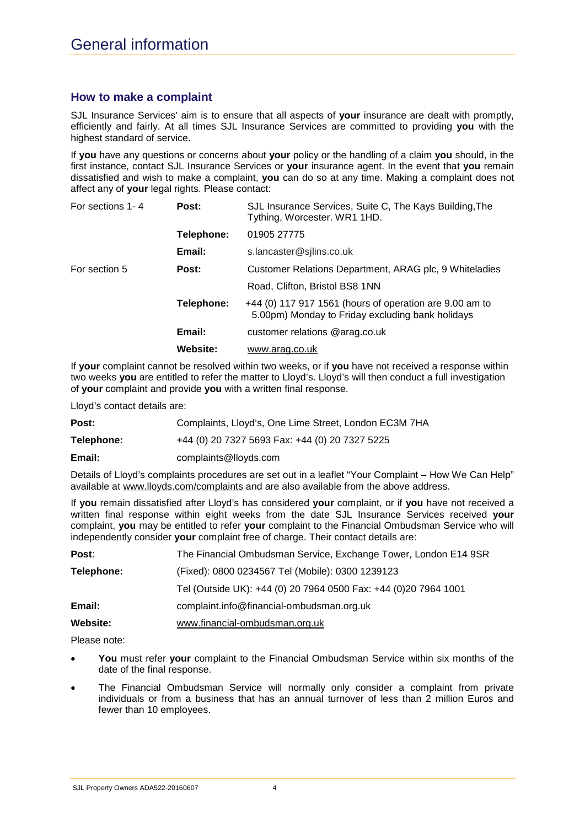## **How to make a complaint**

SJL Insurance Services' aim is to ensure that all aspects of **your** insurance are dealt with promptly, efficiently and fairly. At all times SJL Insurance Services are committed to providing **you** with the highest standard of service.

If **you** have any questions or concerns about **your** policy or the handling of a claim **you** should, in the first instance, contact SJL Insurance Services or **your** insurance agent. In the event that **you** remain dissatisfied and wish to make a complaint, **you** can do so at any time. Making a complaint does not affect any of **your** legal rights. Please contact:

| For sections 1-4 | Post:      | SJL Insurance Services, Suite C, The Kays Building, The<br>Tything, Worcester. WR1 1HD.                     |
|------------------|------------|-------------------------------------------------------------------------------------------------------------|
|                  | Telephone: | 01905 27775                                                                                                 |
|                  | Email:     | s.lancaster@sjlins.co.uk                                                                                    |
| For section 5    | Post:      | Customer Relations Department, ARAG plc, 9 Whiteladies                                                      |
|                  |            | Road, Clifton, Bristol BS8 1NN                                                                              |
|                  | Telephone: | +44 (0) 117 917 1561 (hours of operation are 9.00 am to<br>5.00pm) Monday to Friday excluding bank holidays |
|                  | Email:     | customer relations @arag.co.uk                                                                              |
|                  | Website:   | www.arag.co.uk                                                                                              |

If **your** complaint cannot be resolved within two weeks, or if **you** have not received a response within two weeks **you** are entitled to refer the matter to Lloyd's. Lloyd's will then conduct a full investigation of **your** complaint and provide **you** with a written final response.

Lloyd's contact details are:

| Post:      | Complaints, Lloyd's, One Lime Street, London EC3M 7HA |
|------------|-------------------------------------------------------|
| Telephone: | +44 (0) 20 7327 5693 Fax: +44 (0) 20 7327 5225        |
| Email:     | complaints@lloyds.com                                 |

Details of Lloyd's complaints procedures are set out in a leaflet "Your Complaint – How We Can Help" available at [www.lloyds.com/complaints](http://www.lloyds.com/complaints) and are also available from the above address.

If **you** remain dissatisfied after Lloyd's has considered **your** complaint, or if **you** have not received a written final response within eight weeks from the date SJL Insurance Services received **your** complaint, **you** may be entitled to refer **your** complaint to the Financial Ombudsman Service who will independently consider **your** complaint free of charge. Their contact details are:

| Post:      | The Financial Ombudsman Service, Exchange Tower, London E14 9SR  |
|------------|------------------------------------------------------------------|
| Telephone: | (Fixed): 0800 0234567 Tel (Mobile): 0300 1239123                 |
|            | Tel (Outside UK): +44 (0) 20 7964 0500 Fax: +44 (0) 20 7964 1001 |
| Email:     | complaint.info@financial-ombudsman.org.uk                        |
| Website:   | www.financial-ombudsman.org.uk                                   |

Please note:

- **You** must refer **your** complaint to the Financial Ombudsman Service within six months of the date of the final response.
- The Financial Ombudsman Service will normally only consider a complaint from private individuals or from a business that has an annual turnover of less than 2 million Euros and fewer than 10 employees.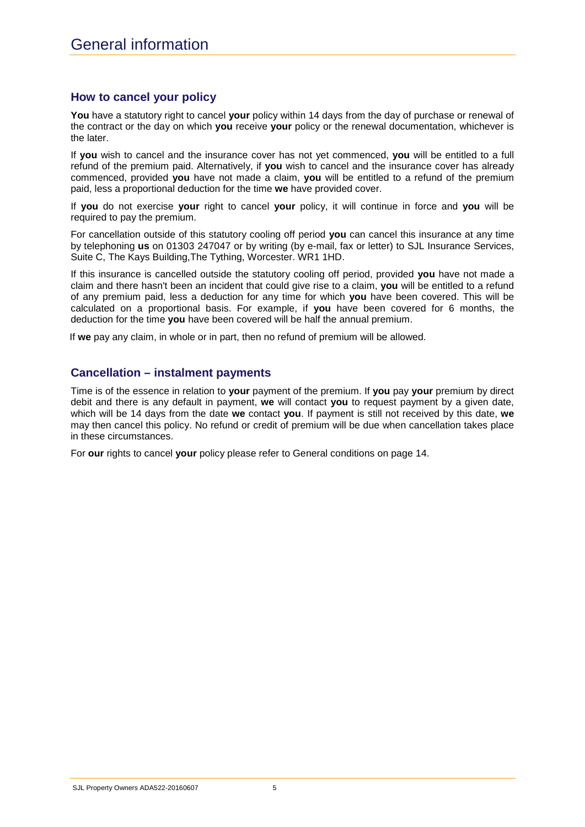## **How to cancel your policy**

**You** have a statutory right to cancel **your** policy within 14 days from the day of purchase or renewal of the contract or the day on which **you** receive **your** policy or the renewal documentation, whichever is the later.

If **you** wish to cancel and the insurance cover has not yet commenced, **you** will be entitled to a full refund of the premium paid. Alternatively, if **you** wish to cancel and the insurance cover has already commenced, provided **you** have not made a claim, **you** will be entitled to a refund of the premium paid, less a proportional deduction for the time **we** have provided cover.

If **you** do not exercise **your** right to cancel **your** policy, it will continue in force and **you** will be required to pay the premium.

For cancellation outside of this statutory cooling off period **you** can cancel this insurance at any time by telephoning **us** on 01303 247047 or by writing (by e-mail, fax or letter) to SJL Insurance Services, Suite C, The Kays Building,The Tything, Worcester. WR1 1HD.

If this insurance is cancelled outside the statutory cooling off period, provided **you** have not made a claim and there hasn't been an incident that could give rise to a claim, **you** will be entitled to a refund of any premium paid, less a deduction for any time for which **you** have been covered. This will be calculated on a proportional basis. For example, if **you** have been covered for 6 months, the deduction for the time **you** have been covered will be half the annual premium.

If **we** pay any claim, in whole or in part, then no refund of premium will be allowed.

## **Cancellation – instalment payments**

Time is of the essence in relation to **your** payment of the premium. If **you** pay **your** premium by direct debit and there is any default in payment, **we** will contact **you** to request payment by a given date, which will be 14 days from the date **we** contact **you**. If payment is still not received by this date, **we**  may then cancel this policy. No refund or credit of premium will be due when cancellation takes place in these circumstances.

For **our** rights to cancel **your** policy please refer to General conditions on page 14.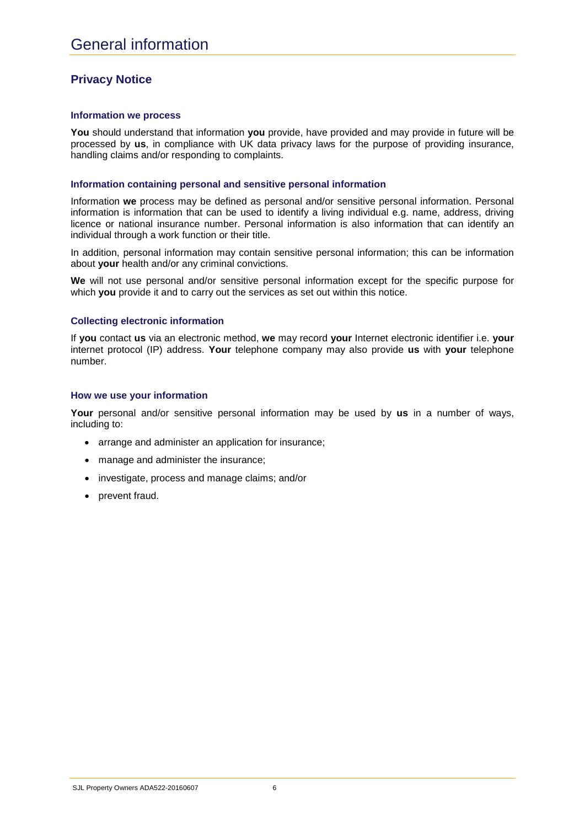## **Privacy Notice**

#### **Information we process**

You should understand that information you provide, have provided and may provide in future will be processed by **us**, in compliance with UK data privacy laws for the purpose of providing insurance, handling claims and/or responding to complaints.

#### **Information containing personal and sensitive personal information**

Information **we** process may be defined as personal and/or sensitive personal information. Personal information is information that can be used to identify a living individual e.g. name, address, driving licence or national insurance number. Personal information is also information that can identify an individual through a work function or their title.

In addition, personal information may contain sensitive personal information; this can be information about **your** health and/or any criminal convictions.

**We** will not use personal and/or sensitive personal information except for the specific purpose for which **you** provide it and to carry out the services as set out within this notice.

#### **Collecting electronic information**

If **you** contact **us** via an electronic method, **we** may record **your** Internet electronic identifier i.e. **your** internet protocol (IP) address. **Your** telephone company may also provide **us** with **your** telephone number.

#### **How we use your information**

**Your** personal and/or sensitive personal information may be used by **us** in a number of ways, including to:

- arrange and administer an application for insurance;
- manage and administer the insurance:
- investigate, process and manage claims; and/or
- prevent fraud.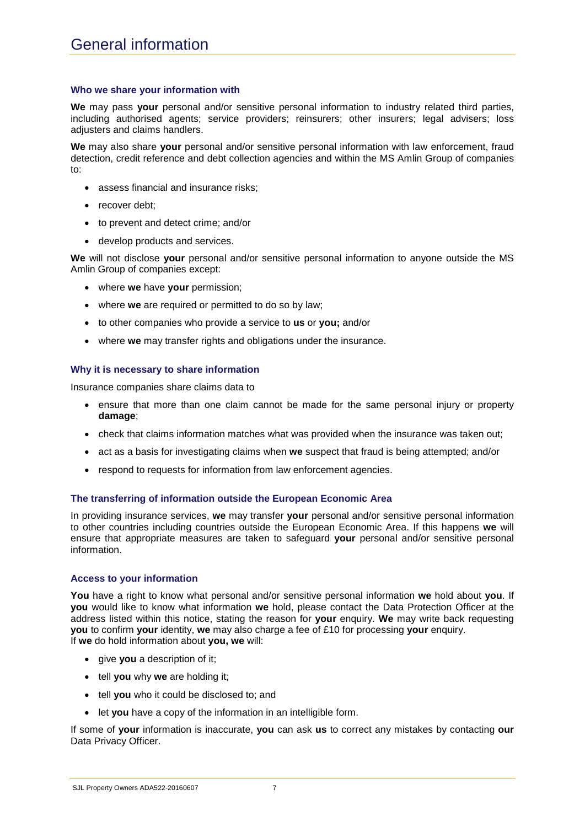#### **Who we share your information with**

**We** may pass **your** personal and/or sensitive personal information to industry related third parties, including authorised agents; service providers; reinsurers; other insurers; legal advisers; loss adjusters and claims handlers.

**We** may also share **your** personal and/or sensitive personal information with law enforcement, fraud detection, credit reference and debt collection agencies and within the MS Amlin Group of companies to:

- assess financial and insurance risks;
- recover debt;
- to prevent and detect crime; and/or
- develop products and services.

**We** will not disclose **your** personal and/or sensitive personal information to anyone outside the MS Amlin Group of companies except:

- where **we** have **your** permission;
- where **we** are required or permitted to do so by law;
- to other companies who provide a service to **us** or **you;** and/or
- where **we** may transfer rights and obligations under the insurance.

#### **Why it is necessary to share information**

Insurance companies share claims data to

- ensure that more than one claim cannot be made for the same personal injury or property **damage**;
- check that claims information matches what was provided when the insurance was taken out;
- act as a basis for investigating claims when **we** suspect that fraud is being attempted; and/or
- respond to requests for information from law enforcement agencies.

#### **The transferring of information outside the European Economic Area**

In providing insurance services, **we** may transfer **your** personal and/or sensitive personal information to other countries including countries outside the European Economic Area. If this happens **we** will ensure that appropriate measures are taken to safeguard **your** personal and/or sensitive personal information.

#### **Access to your information**

**You** have a right to know what personal and/or sensitive personal information **we** hold about **you**. If **you** would like to know what information **we** hold, please contact the Data Protection Officer at the address listed within this notice, stating the reason for **your** enquiry. **We** may write back requesting **you** to confirm **your** identity, **we** may also charge a fee of £10 for processing **your** enquiry. If **we** do hold information about **you, we** will:

- give **you** a description of it:
- tell **you** why **we** are holding it;
- tell **you** who it could be disclosed to; and
- let **you** have a copy of the information in an intelligible form.

If some of **your** information is inaccurate, **you** can ask **us** to correct any mistakes by contacting **our** Data Privacy Officer.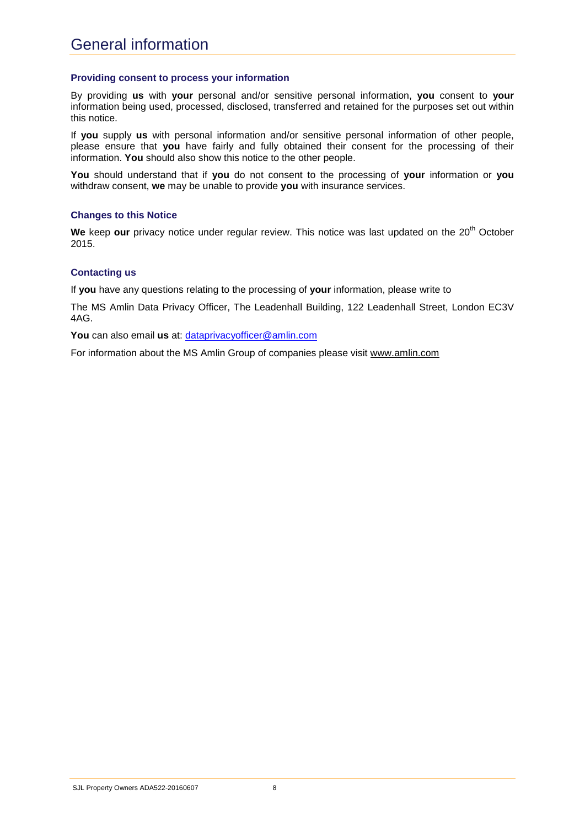#### **Providing consent to process your information**

By providing **us** with **your** personal and/or sensitive personal information, **you** consent to **your** information being used, processed, disclosed, transferred and retained for the purposes set out within this notice.

If **you** supply **us** with personal information and/or sensitive personal information of other people, please ensure that **you** have fairly and fully obtained their consent for the processing of their information. **You** should also show this notice to the other people.

**You** should understand that if **you** do not consent to the processing of **your** information or **you** withdraw consent, **we** may be unable to provide **you** with insurance services.

#### **Changes to this Notice**

We keep our privacy notice under regular review. This notice was last updated on the 20<sup>th</sup> October 2015.

#### **Contacting us**

If **you** have any questions relating to the processing of **your** information, please write to

The MS Amlin Data Privacy Officer, The Leadenhall Building, 122 Leadenhall Street, London EC3V 4AG.

**You** can also email **us** at: [dataprivacyofficer@amlin.com](mailto:dataprivacyofficer@amlin.com)

For information about the MS Amlin Group of companies please visit [www.amlin.com](http://www.amlin.com/)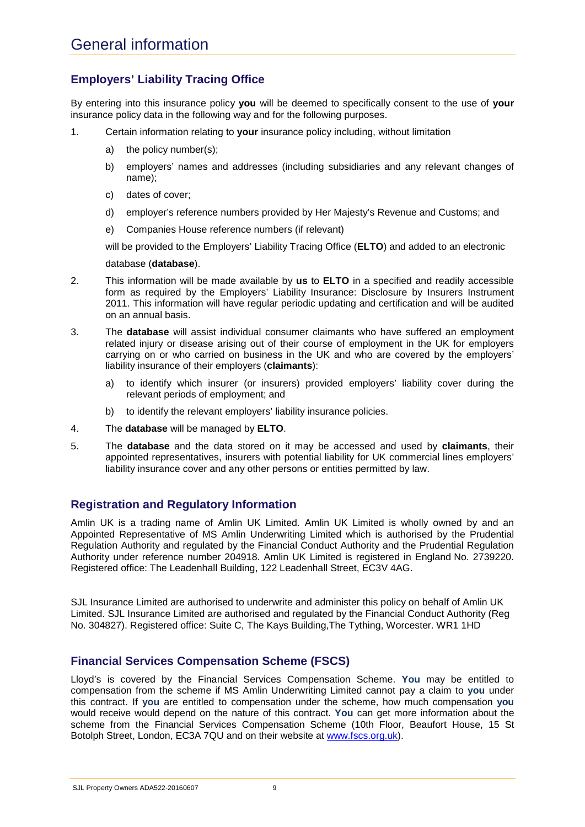## **Employers' Liability Tracing Office**

By entering into this insurance policy **you** will be deemed to specifically consent to the use of **your** insurance policy data in the following way and for the following purposes.

- 1. Certain information relating to **your** insurance policy including, without limitation
	- a) the policy number(s);
	- b) employers' names and addresses (including subsidiaries and any relevant changes of name);
	- c) dates of cover;
	- d) employer's reference numbers provided by Her Majesty's Revenue and Customs; and
	- e) Companies House reference numbers (if relevant)

will be provided to the Employers' Liability Tracing Office (**ELTO**) and added to an electronic

#### database (**database**).

- 2. This information will be made available by **us** to **ELTO** in a specified and readily accessible form as required by the Employers' Liability Insurance: Disclosure by Insurers Instrument 2011. This information will have regular periodic updating and certification and will be audited on an annual basis.
- 3. The **database** will assist individual consumer claimants who have suffered an employment related injury or disease arising out of their course of employment in the UK for employers carrying on or who carried on business in the UK and who are covered by the employers' liability insurance of their employers (**claimants**):
	- a) to identify which insurer (or insurers) provided employers' liability cover during the relevant periods of employment; and
	- b) to identify the relevant employers' liability insurance policies.
- 4. The **database** will be managed by **ELTO**.
- 5. The **database** and the data stored on it may be accessed and used by **claimants**, their appointed representatives, insurers with potential liability for UK commercial lines employers' liability insurance cover and any other persons or entities permitted by law.

### **Registration and Regulatory Information**

Amlin UK is a trading name of Amlin UK Limited. Amlin UK Limited is wholly owned by and an Appointed Representative of MS Amlin Underwriting Limited which is authorised by the Prudential Regulation Authority and regulated by the Financial Conduct Authority and the Prudential Regulation Authority under reference number 204918. Amlin UK Limited is registered in England No. 2739220. Registered office: The Leadenhall Building, 122 Leadenhall Street, EC3V 4AG.

SJL Insurance Limited are authorised to underwrite and administer this policy on behalf of Amlin UK Limited. SJL Insurance Limited are authorised and regulated by the Financial Conduct Authority (Reg No. 304827). Registered office: Suite C, The Kays Building,The Tything, Worcester. WR1 1HD

## **Financial Services Compensation Scheme (FSCS)**

Lloyd's is covered by the Financial Services Compensation Scheme. **You** may be entitled to compensation from the scheme if MS Amlin Underwriting Limited cannot pay a claim to **you** under this contract. If **you** are entitled to compensation under the scheme, how much compensation **you** would receive would depend on the nature of this contract. **You** can get more information about the scheme from the Financial Services Compensation Scheme (10th Floor, Beaufort House, 15 St Botolph Street, London, EC3A 7QU and on their website a[t www.fscs.org.uk\)](http://www.fscs.org.uk/).

SJL Property Owners ADA522-20160607 9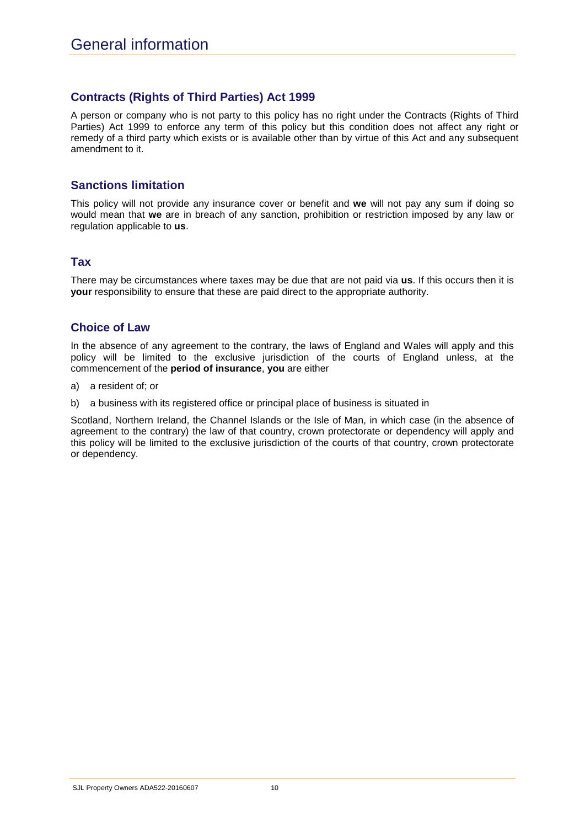## **Contracts (Rights of Third Parties) Act 1999**

A person or company who is not party to this policy has no right under the Contracts (Rights of Third Parties) Act 1999 to enforce any term of this policy but this condition does not affect any right or remedy of a third party which exists or is available other than by virtue of this Act and any subsequent amendment to it.

## **Sanctions limitation**

This policy will not provide any insurance cover or benefit and **we** will not pay any sum if doing so would mean that **we** are in breach of any sanction, prohibition or restriction imposed by any law or regulation applicable to **us**.

### **Tax**

There may be circumstances where taxes may be due that are not paid via **us**. If this occurs then it is **your** responsibility to ensure that these are paid direct to the appropriate authority.

## **Choice of Law**

In the absence of any agreement to the contrary, the laws of England and Wales will apply and this policy will be limited to the exclusive jurisdiction of the courts of England unless, at the commencement of the **period of insurance**, **you** are either

- a) a resident of; or
- b) a business with its registered office or principal place of business is situated in

Scotland, Northern Ireland, the Channel Islands or the Isle of Man, in which case (in the absence of agreement to the contrary) the law of that country, crown protectorate or dependency will apply and this policy will be limited to the exclusive jurisdiction of the courts of that country, crown protectorate or dependency.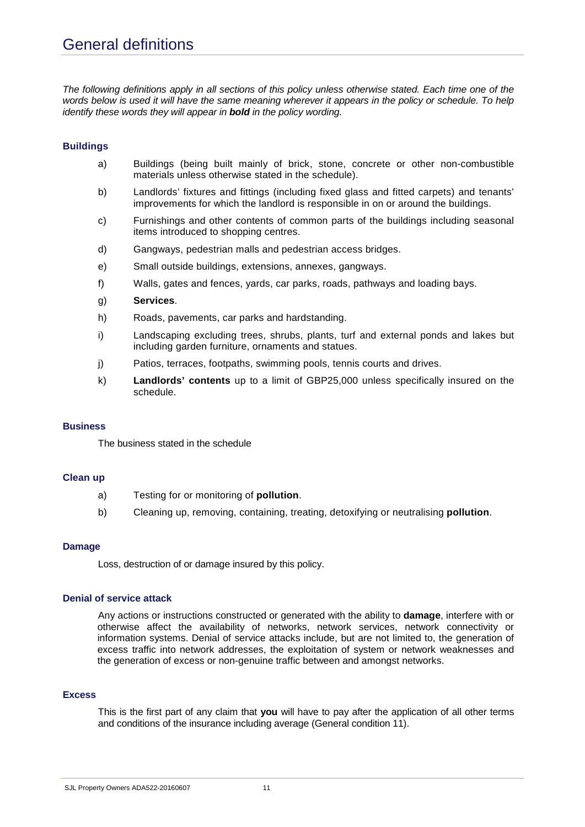*The following definitions apply in all sections of this policy unless otherwise stated. Each time one of the words below is used it will have the same meaning wherever it appears in the policy or schedule. To help identify these words they will appear in bold in the policy wording.*

#### **Buildings**

- a) Buildings (being built mainly of brick, stone, concrete or other non-combustible materials unless otherwise stated in the schedule).
- b) Landlords' fixtures and fittings (including fixed glass and fitted carpets) and tenants' improvements for which the landlord is responsible in on or around the buildings.
- c) Furnishings and other contents of common parts of the buildings including seasonal items introduced to shopping centres.
- d) Gangways, pedestrian malls and pedestrian access bridges.
- e) Small outside buildings, extensions, annexes, gangways.
- f) Walls, gates and fences, yards, car parks, roads, pathways and loading bays.
- g) **Services**.
- h) Roads, pavements, car parks and hardstanding.
- i) Landscaping excluding trees, shrubs, plants, turf and external ponds and lakes but including garden furniture, ornaments and statues.
- j) Patios, terraces, footpaths, swimming pools, tennis courts and drives.
- k) **Landlords' contents** up to a limit of GBP25,000 unless specifically insured on the schedule.

#### **Business**

The business stated in the schedule

#### **Clean up**

- a) Testing for or monitoring of **pollution**.
- b) Cleaning up, removing, containing, treating, detoxifying or neutralising **pollution**.

#### **Damage**

Loss, destruction of or damage insured by this policy.

#### **Denial of service attack**

Any actions or instructions constructed or generated with the ability to **damage**, interfere with or otherwise affect the availability of networks, network services, network connectivity or information systems. Denial of service attacks include, but are not limited to, the generation of excess traffic into network addresses, the exploitation of system or network weaknesses and the generation of excess or non-genuine traffic between and amongst networks.

#### **Excess**

This is the first part of any claim that **you** will have to pay after the application of all other terms and conditions of the insurance including average (General condition 11).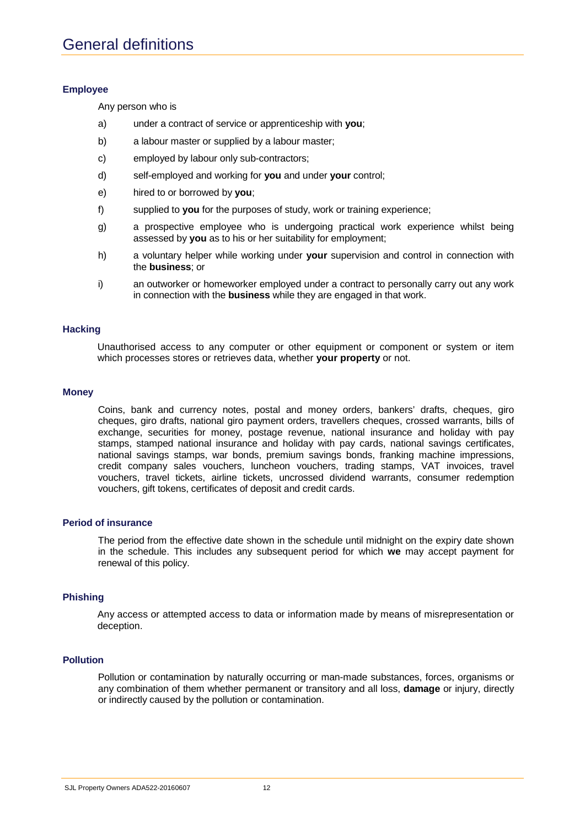#### **Employee**

Any person who is

- a) under a contract of service or apprenticeship with **you**;
- b) a labour master or supplied by a labour master;
- c) employed by labour only sub-contractors;
- d) self-employed and working for **you** and under **your** control;
- e) hired to or borrowed by **you**;
- f) supplied to **you** for the purposes of study, work or training experience;
- g) a prospective employee who is undergoing practical work experience whilst being assessed by **you** as to his or her suitability for employment;
- h) a voluntary helper while working under **your** supervision and control in connection with the **business**; or
- i) an outworker or homeworker employed under a contract to personally carry out any work in connection with the **business** while they are engaged in that work.

#### **Hacking**

Unauthorised access to any computer or other equipment or component or system or item which processes stores or retrieves data, whether **your property** or not.

#### **Money**

Coins, bank and currency notes, postal and money orders, bankers' drafts, cheques, giro cheques, giro drafts, national giro payment orders, travellers cheques, crossed warrants, bills of exchange, securities for money, postage revenue, national insurance and holiday with pay stamps, stamped national insurance and holiday with pay cards, national savings certificates, national savings stamps, war bonds, premium savings bonds, franking machine impressions, credit company sales vouchers, luncheon vouchers, trading stamps, VAT invoices, travel vouchers, travel tickets, airline tickets, uncrossed dividend warrants, consumer redemption vouchers, gift tokens, certificates of deposit and credit cards.

#### **Period of insurance**

The period from the effective date shown in the schedule until midnight on the expiry date shown in the schedule. This includes any subsequent period for which **we** may accept payment for renewal of this policy.

#### **Phishing**

Any access or attempted access to data or information made by means of misrepresentation or deception.

#### **Pollution**

Pollution or contamination by naturally occurring or man-made substances, forces, organisms or any combination of them whether permanent or transitory and all loss, **damage** or injury, directly or indirectly caused by the pollution or contamination.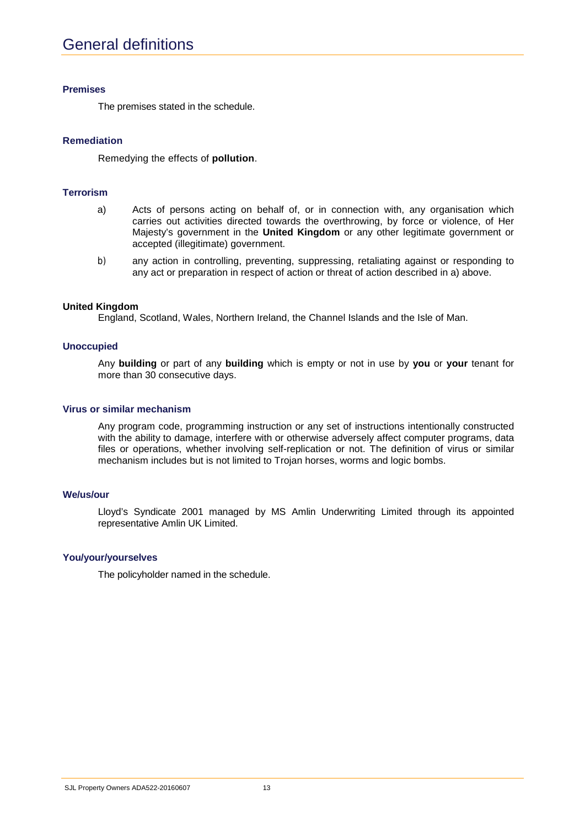#### **Premises**

The premises stated in the schedule.

#### **Remediation**

Remedying the effects of **pollution**.

#### **Terrorism**

- a) Acts of persons acting on behalf of, or in connection with, any organisation which carries out activities directed towards the overthrowing, by force or violence, of Her Majesty's government in the **United Kingdom** or any other legitimate government or accepted (illegitimate) government.
- b) any action in controlling, preventing, suppressing, retaliating against or responding to any act or preparation in respect of action or threat of action described in a) above.

#### **United Kingdom**

England, Scotland, Wales, Northern Ireland, the Channel Islands and the Isle of Man.

#### **Unoccupied**

Any **building** or part of any **building** which is empty or not in use by **you** or **your** tenant for more than 30 consecutive days.

#### **Virus or similar mechanism**

Any program code, programming instruction or any set of instructions intentionally constructed with the ability to damage, interfere with or otherwise adversely affect computer programs, data files or operations, whether involving self-replication or not. The definition of virus or similar mechanism includes but is not limited to Trojan horses, worms and logic bombs.

#### **We/us/our**

Lloyd's Syndicate 2001 managed by MS Amlin Underwriting Limited through its appointed representative Amlin UK Limited.

#### **You/your/yourselves**

The policyholder named in the schedule.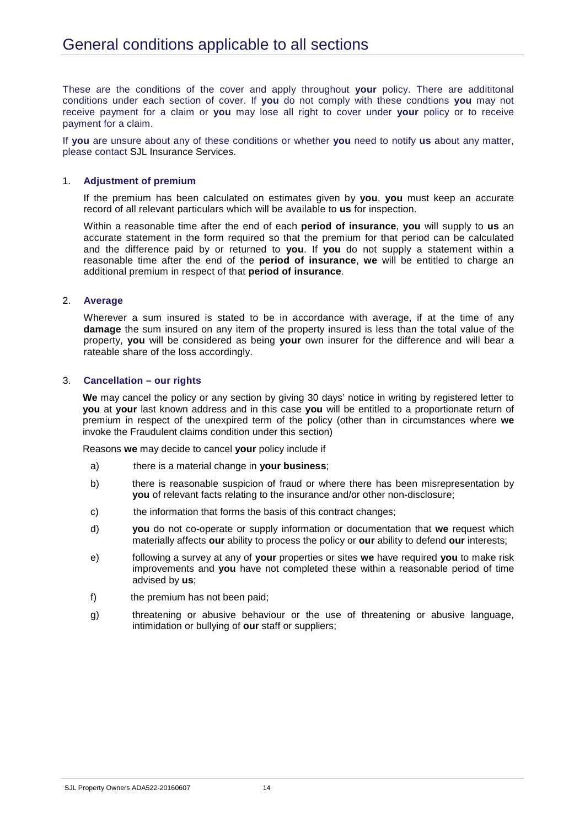These are the conditions of the cover and apply throughout **your** policy. There are addititonal conditions under each section of cover. If **you** do not comply with these condtions **you** may not receive payment for a claim or **you** may lose all right to cover under **your** policy or to receive payment for a claim.

If **you** are unsure about any of these conditions or whether **you** need to notify **us** about any matter, please contact SJL Insurance Services.

#### 1. **Adjustment of premium**

If the premium has been calculated on estimates given by **you**, **you** must keep an accurate record of all relevant particulars which will be available to **us** for inspection.

Within a reasonable time after the end of each **period of insurance**, **you** will supply to **us** an accurate statement in the form required so that the premium for that period can be calculated and the difference paid by or returned to **you**. If **you** do not supply a statement within a reasonable time after the end of the **period of insurance**, **we** will be entitled to charge an additional premium in respect of that **period of insurance**.

#### 2. **Average**

Wherever a sum insured is stated to be in accordance with average, if at the time of any **damage** the sum insured on any item of the property insured is less than the total value of the property, **you** will be considered as being **your** own insurer for the difference and will bear a rateable share of the loss accordingly.

#### 3. **Cancellation – our rights**

**We** may cancel the policy or any section by giving 30 days' notice in writing by registered letter to **you** at **your** last known address and in this case **you** will be entitled to a proportionate return of premium in respect of the unexpired term of the policy (other than in circumstances where **we** invoke the Fraudulent claims condition under this section)

Reasons **we** may decide to cancel **your** policy include if

- a) there is a material change in **your business**;
- b) there is reasonable suspicion of fraud or where there has been misrepresentation by **you** of relevant facts relating to the insurance and/or other non-disclosure;
- c) the information that forms the basis of this contract changes;
- d) **you** do not co-operate or supply information or documentation that **we** request which materially affects **our** ability to process the policy or **our** ability to defend **our** interests;
- e) following a survey at any of **your** properties or sites **we** have required **you** to make risk improvements and **you** have not completed these within a reasonable period of time advised by **us**;
- f) the premium has not been paid;
- g) threatening or abusive behaviour or the use of threatening or abusive language, intimidation or bullying of **our** staff or suppliers;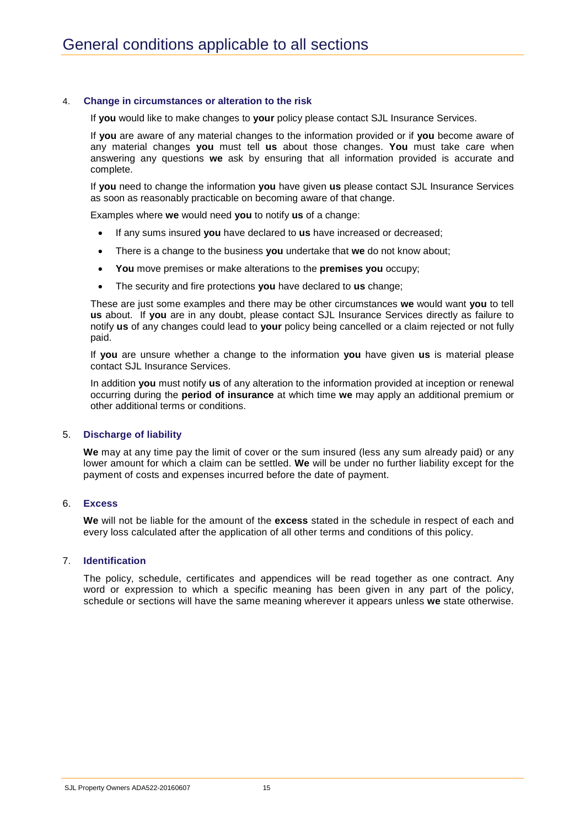#### 4. **Change in circumstances or alteration to the risk**

If **you** would like to make changes to **your** policy please contact SJL Insurance Services.

If **you** are aware of any material changes to the information provided or if **you** become aware of any material changes **you** must tell **us** about those changes. **You** must take care when answering any questions **we** ask by ensuring that all information provided is accurate and complete.

If **you** need to change the information **you** have given **us** please contact SJL Insurance Services as soon as reasonably practicable on becoming aware of that change.

Examples where **we** would need **you** to notify **us** of a change:

- If any sums insured **you** have declared to **us** have increased or decreased;
- There is a change to the business **you** undertake that **we** do not know about;
- **You** move premises or make alterations to the **premises you** occupy;
- The security and fire protections **you** have declared to **us** change;

These are just some examples and there may be other circumstances **we** would want **you** to tell **us** about. If **you** are in any doubt, please contact SJL Insurance Services directly as failure to notify **us** of any changes could lead to **your** policy being cancelled or a claim rejected or not fully paid.

If **you** are unsure whether a change to the information **you** have given **us** is material please contact SJL Insurance Services.

In addition **you** must notify **us** of any alteration to the information provided at inception or renewal occurring during the **period of insurance** at which time **we** may apply an additional premium or other additional terms or conditions.

#### 5. **Discharge of liability**

**We** may at any time pay the limit of cover or the sum insured (less any sum already paid) or any lower amount for which a claim can be settled. **We** will be under no further liability except for the payment of costs and expenses incurred before the date of payment.

#### 6. **Excess**

**We** will not be liable for the amount of the **excess** stated in the schedule in respect of each and every loss calculated after the application of all other terms and conditions of this policy.

#### 7. **Identification**

The policy, schedule, certificates and appendices will be read together as one contract. Any word or expression to which a specific meaning has been given in any part of the policy, schedule or sections will have the same meaning wherever it appears unless **we** state otherwise.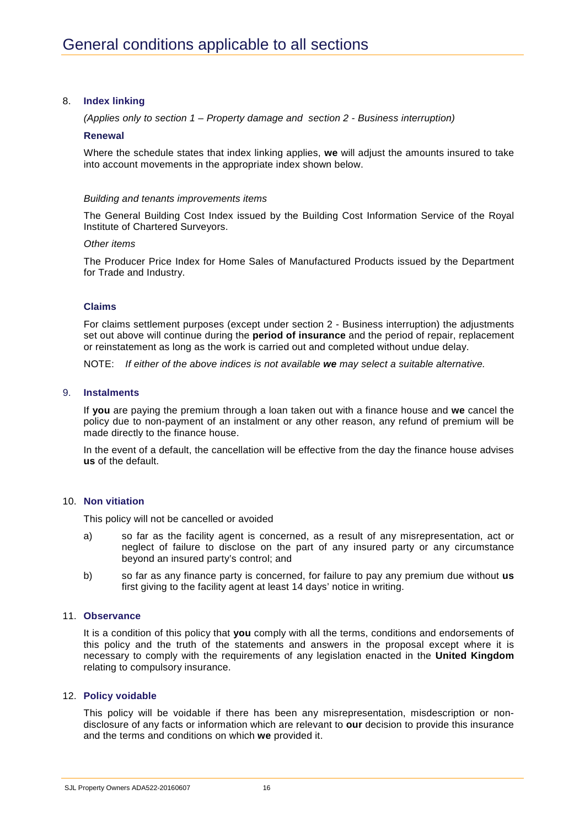#### 8. **Index linking**

*(Applies only to section 1 – Property damage and section 2 - Business interruption)*

#### **Renewal**

Where the schedule states that index linking applies, **we** will adjust the amounts insured to take into account movements in the appropriate index shown below.

#### *Building and tenants improvements items*

The General Building Cost Index issued by the Building Cost Information Service of the Royal Institute of Chartered Surveyors.

#### *Other items*

The Producer Price Index for Home Sales of Manufactured Products issued by the Department for Trade and Industry.

#### **Claims**

For claims settlement purposes (except under section 2 - Business interruption) the adjustments set out above will continue during the **period of insurance** and the period of repair, replacement or reinstatement as long as the work is carried out and completed without undue delay.

NOTE: *If either of the above indices is not available we may select a suitable alternative.*

#### 9. **Instalments**

If **you** are paying the premium through a loan taken out with a finance house and **we** cancel the policy due to non-payment of an instalment or any other reason, any refund of premium will be made directly to the finance house.

In the event of a default, the cancellation will be effective from the day the finance house advises **us** of the default.

#### 10. **Non vitiation**

This policy will not be cancelled or avoided

- a) so far as the facility agent is concerned, as a result of any misrepresentation, act or neglect of failure to disclose on the part of any insured party or any circumstance beyond an insured party's control; and
- b) so far as any finance party is concerned, for failure to pay any premium due without **us**  first giving to the facility agent at least 14 days' notice in writing.

#### 11. **Observance**

It is a condition of this policy that **you** comply with all the terms, conditions and endorsements of this policy and the truth of the statements and answers in the proposal except where it is necessary to comply with the requirements of any legislation enacted in the **United Kingdom** relating to compulsory insurance.

#### 12. **Policy voidable**

This policy will be voidable if there has been any misrepresentation, misdescription or nondisclosure of any facts or information which are relevant to **our** decision to provide this insurance and the terms and conditions on which **we** provided it.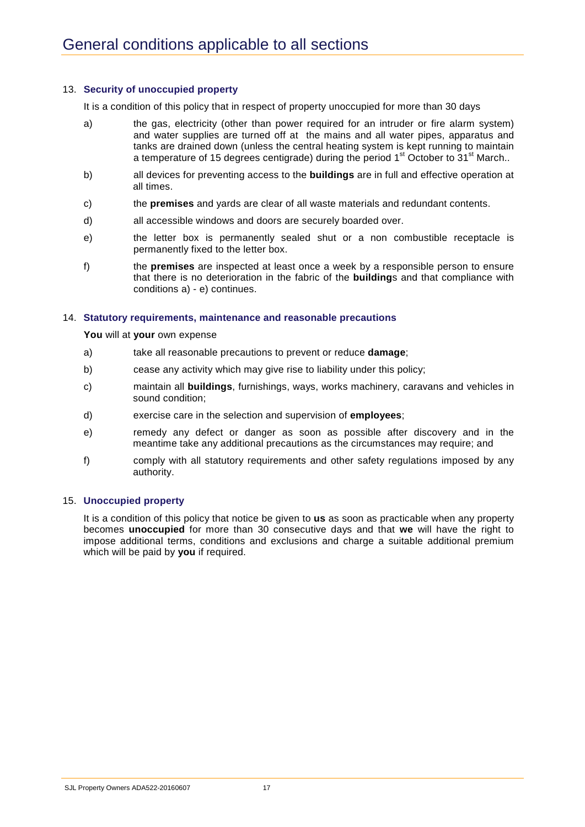#### 13. **Security of unoccupied property**

It is a condition of this policy that in respect of property unoccupied for more than 30 days

- a) the gas, electricity (other than power required for an intruder or fire alarm system) and water supplies are turned off at the mains and all water pipes, apparatus and tanks are drained down (unless the central heating system is kept running to maintain a temperature of 15 degrees centigrade) during the period  $1<sup>st</sup>$  October to  $31<sup>st</sup>$  March..
- b) all devices for preventing access to the **buildings** are in full and effective operation at all times.
- c) the **premises** and yards are clear of all waste materials and redundant contents.
- d) all accessible windows and doors are securely boarded over.
- e) the letter box is permanently sealed shut or a non combustible receptacle is permanently fixed to the letter box.
- f) the **premises** are inspected at least once a week by a responsible person to ensure that there is no deterioration in the fabric of the **building**s and that compliance with conditions a) - e) continues.

#### 14. **Statutory requirements, maintenance and reasonable precautions**

**You** will at **your** own expense

- a) take all reasonable precautions to prevent or reduce **damage**;
- b) cease any activity which may give rise to liability under this policy;
- c) maintain all **buildings**, furnishings, ways, works machinery, caravans and vehicles in sound condition;
- d) exercise care in the selection and supervision of **employees**;
- e) remedy any defect or danger as soon as possible after discovery and in the meantime take any additional precautions as the circumstances may require; and
- f) comply with all statutory requirements and other safety regulations imposed by any authority.

#### 15. **Unoccupied property**

It is a condition of this policy that notice be given to **us** as soon as practicable when any property becomes **unoccupied** for more than 30 consecutive days and that **we** will have the right to impose additional terms, conditions and exclusions and charge a suitable additional premium which will be paid by **you** if required.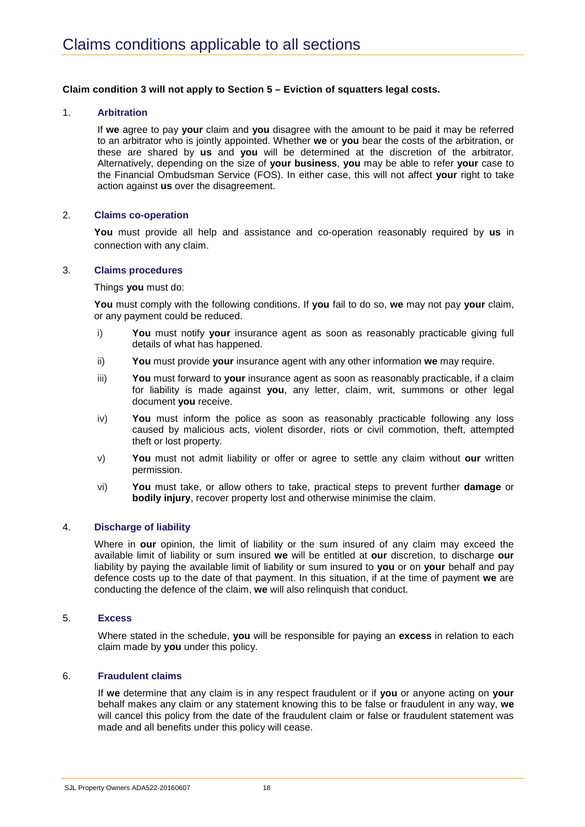#### **Claim condition 3 will not apply to Section 5 – Eviction of squatters legal costs.**

#### 1. **Arbitration**

If **we** agree to pay **your** claim and **you** disagree with the amount to be paid it may be referred to an arbitrator who is jointly appointed. Whether **we** or **you** bear the costs of the arbitration, or these are shared by **us** and **you** will be determined at the discretion of the arbitrator. Alternatively, depending on the size of **your business**, **you** may be able to refer **your** case to the Financial Ombudsman Service (FOS). In either case, this will not affect **your** right to take action against **us** over the disagreement.

#### 2. **Claims co-operation**

**You** must provide all help and assistance and co-operation reasonably required by **us** in connection with any claim.

#### 3. **Claims procedures**

Things **you** must do:

**You** must comply with the following conditions. If **you** fail to do so, **we** may not pay **your** claim, or any payment could be reduced.

- i) **You** must notify **your** insurance agent as soon as reasonably practicable giving full details of what has happened.
- ii) **You** must provide **your** insurance agent with any other information **we** may require.
- iii) **You** must forward to **your** insurance agent as soon as reasonably practicable, if a claim for liability is made against **you**, any letter, claim, writ, summons or other legal document **you** receive.
- iv) **You** must inform the police as soon as reasonably practicable following any loss caused by malicious acts, violent disorder, riots or civil commotion, theft, attempted theft or lost property.
- v) **You** must not admit liability or offer or agree to settle any claim without **our** written permission.
- vi) **You** must take, or allow others to take, practical steps to prevent further **damage** or **bodily injury**, recover property lost and otherwise minimise the claim.

#### 4. **Discharge of liability**

Where in **our** opinion, the limit of liability or the sum insured of any claim may exceed the available limit of liability or sum insured **we** will be entitled at **our** discretion, to discharge **our**  liability by paying the available limit of liability or sum insured to **you** or on **your** behalf and pay defence costs up to the date of that payment. In this situation, if at the time of payment **we** are conducting the defence of the claim, **we** will also relinquish that conduct.

#### 5. **Excess**

Where stated in the schedule, **you** will be responsible for paying an **excess** in relation to each claim made by **you** under this policy.

#### 6. **Fraudulent claims**

If **we** determine that any claim is in any respect fraudulent or if **you** or anyone acting on **your** behalf makes any claim or any statement knowing this to be false or fraudulent in any way, **we** will cancel this policy from the date of the fraudulent claim or false or fraudulent statement was made and all benefits under this policy will cease.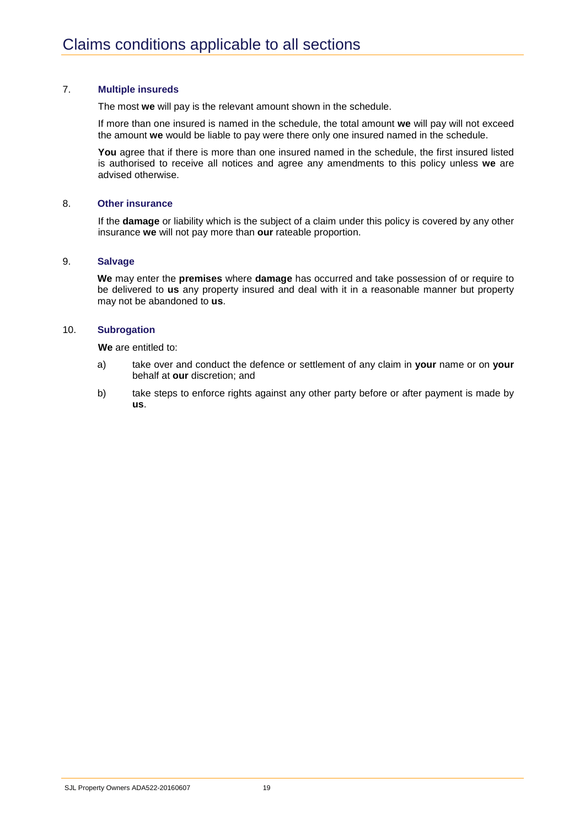#### 7. **Multiple insureds**

The most **we** will pay is the relevant amount shown in the schedule.

If more than one insured is named in the schedule, the total amount **we** will pay will not exceed the amount **we** would be liable to pay were there only one insured named in the schedule.

**You** agree that if there is more than one insured named in the schedule, the first insured listed is authorised to receive all notices and agree any amendments to this policy unless **we** are advised otherwise.

#### 8. **Other insurance**

If the **damage** or liability which is the subject of a claim under this policy is covered by any other insurance **we** will not pay more than **our** rateable proportion.

#### 9. **Salvage**

**We** may enter the **premises** where **damage** has occurred and take possession of or require to be delivered to **us** any property insured and deal with it in a reasonable manner but property may not be abandoned to **us**.

#### 10. **Subrogation**

**We** are entitled to:

- a) take over and conduct the defence or settlement of any claim in **your** name or on **your**  behalf at **our** discretion; and
- b) take steps to enforce rights against any other party before or after payment is made by **us**.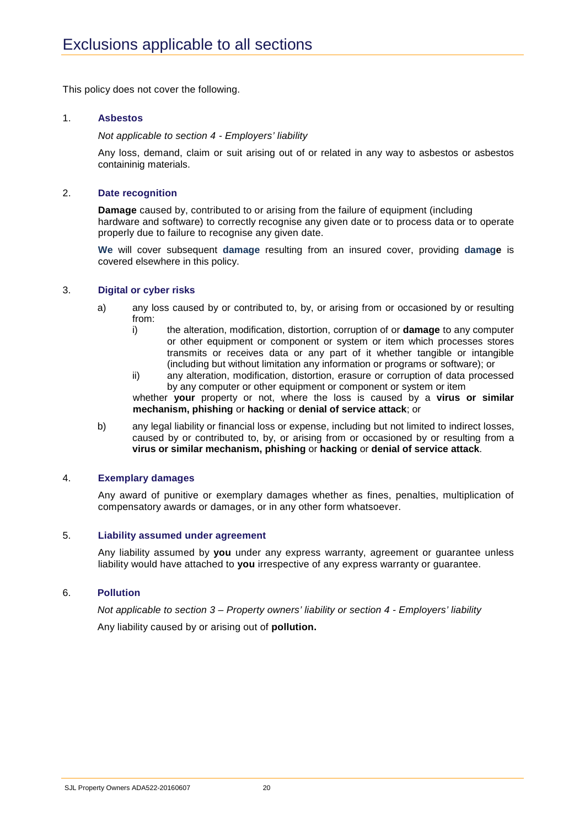This policy does not cover the following.

#### 1. **Asbestos**

*Not applicable to section 4 - Employers' liability*

Any loss, demand, claim or suit arising out of or related in any way to asbestos or asbestos containinig materials.

#### 2. **Date recognition**

**Damage** caused by, contributed to or arising from the failure of equipment (including hardware and software) to correctly recognise any given date or to process data or to operate properly due to failure to recognise any given date.

**We** will cover subsequent **damage** resulting from an insured cover, providing **damage** is covered elsewhere in this policy.

#### 3. **Digital or cyber risks**

- a) any loss caused by or contributed to, by, or arising from or occasioned by or resulting from:
	- i) the alteration, modification, distortion, corruption of or **damage** to any computer or other equipment or component or system or item which processes stores transmits or receives data or any part of it whether tangible or intangible (including but without limitation any information or programs or software); or
	- ii) any alteration, modification, distortion, erasure or corruption of data processed by any computer or other equipment or component or system or item

whether **your** property or not, where the loss is caused by a **virus or similar mechanism, phishing** or **hacking** or **denial of service attack**; or

b) any legal liability or financial loss or expense, including but not limited to indirect losses, caused by or contributed to, by, or arising from or occasioned by or resulting from a **virus or similar mechanism, phishing** or **hacking** or **denial of service attack**.

#### 4. **Exemplary damages**

Any award of punitive or exemplary damages whether as fines, penalties, multiplication of compensatory awards or damages, or in any other form whatsoever.

#### 5. **Liability assumed under agreement**

Any liability assumed by **you** under any express warranty, agreement or guarantee unless liability would have attached to **you** irrespective of any express warranty or guarantee.

#### 6. **Pollution**

*Not applicable to section 3 – Property owners' liability or section 4 - Employers' liability* Any liability caused by or arising out of **pollution.**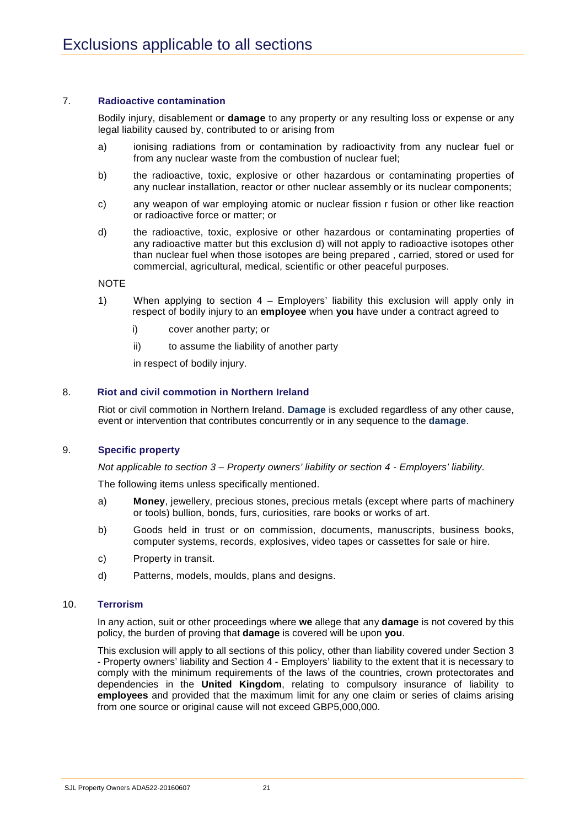#### 7. **Radioactive contamination**

Bodily injury, disablement or **damage** to any property or any resulting loss or expense or any legal liability caused by, contributed to or arising from

- a) ionising radiations from or contamination by radioactivity from any nuclear fuel or from any nuclear waste from the combustion of nuclear fuel;
- b) the radioactive, toxic, explosive or other hazardous or contaminating properties of any nuclear installation, reactor or other nuclear assembly or its nuclear components;
- c) any weapon of war employing atomic or nuclear fission r fusion or other like reaction or radioactive force or matter; or
- d) the radioactive, toxic, explosive or other hazardous or contaminating properties of any radioactive matter but this exclusion d) will not apply to radioactive isotopes other than nuclear fuel when those isotopes are being prepared , carried, stored or used for commercial, agricultural, medical, scientific or other peaceful purposes.

#### NOTE

- 1) When applying to section 4 Employers' liability this exclusion will apply only in respect of bodily injury to an **employee** when **you** have under a contract agreed to
	- i) cover another party; or
	- ii) to assume the liability of another party

in respect of bodily injury.

#### 8. **Riot and civil commotion in Northern Ireland**

Riot or civil commotion in Northern Ireland. **Damage** is excluded regardless of any other cause, event or intervention that contributes concurrently or in any sequence to the **damage**.

#### 9. **Specific property**

*Not applicable to section 3 – Property owners' liability or section 4 - Employers' liability.*

The following items unless specifically mentioned.

- a) **Money**, jewellery, precious stones, precious metals (except where parts of machinery or tools) bullion, bonds, furs, curiosities, rare books or works of art.
- b) Goods held in trust or on commission, documents, manuscripts, business books, computer systems, records, explosives, video tapes or cassettes for sale or hire.
- c) Property in transit.
- d) Patterns, models, moulds, plans and designs.

#### 10. **Terrorism**

 In any action, suit or other proceedings where **we** allege that any **damage** is not covered by this policy, the burden of proving that **damage** is covered will be upon **you**.

This exclusion will apply to all sections of this policy, other than liability covered under Section 3 - Property owners' liability and Section 4 - Employers' liability to the extent that it is necessary to comply with the minimum requirements of the laws of the countries, crown protectorates and dependencies in the **United Kingdom**, relating to compulsory insurance of liability to **employees** and provided that the maximum limit for any one claim or series of claims arising from one source or original cause will not exceed GBP5,000,000.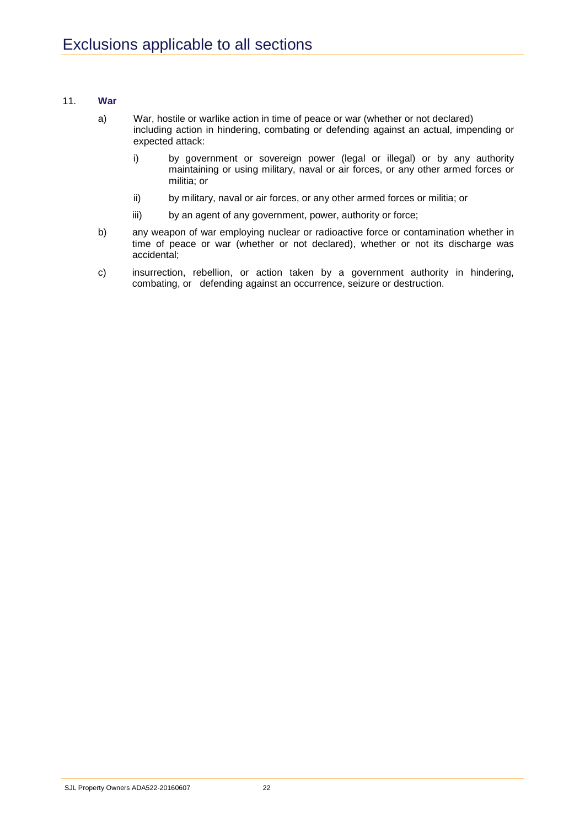#### 11. **War**

- a) War, hostile or warlike action in time of peace or war (whether or not declared) including action in hindering, combating or defending against an actual, impending or expected attack:
	- i) by government or sovereign power (legal or illegal) or by any authority maintaining or using military, naval or air forces, or any other armed forces or militia; or
	- ii) by military, naval or air forces, or any other armed forces or militia; or
	- iii) by an agent of any government, power, authority or force;
- b) any weapon of war employing nuclear or radioactive force or contamination whether in time of peace or war (whether or not declared), whether or not its discharge was accidental;
- c) insurrection, rebellion, or action taken by a government authority in hindering, combating, or defending against an occurrence, seizure or destruction.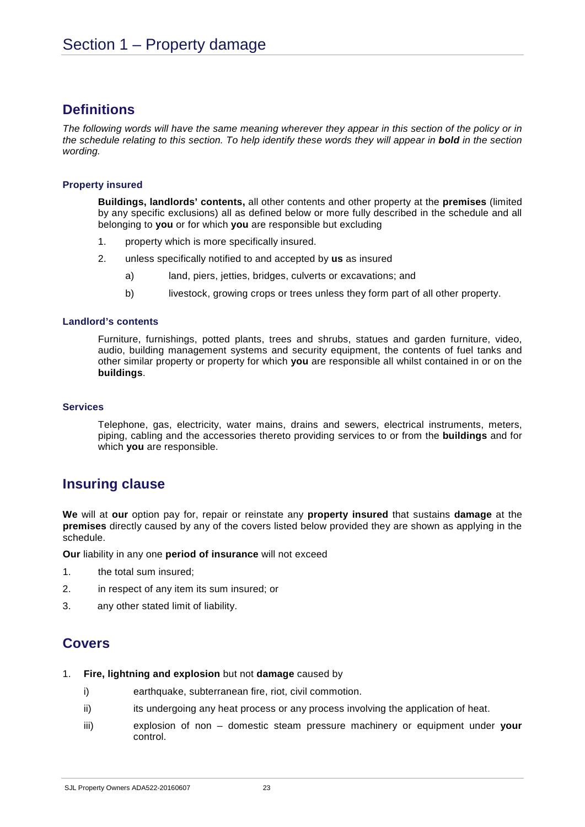## **Definitions**

*The following words will have the same meaning wherever they appear in this section of the policy or in the schedule relating to this section. To help identify these words they will appear in bold in the section wording.* 

#### **Property insured**

**Buildings, landlords' contents,** all other contents and other property at the **premises** (limited by any specific exclusions) all as defined below or more fully described in the schedule and all belonging to **you** or for which **you** are responsible but excluding

- 1. property which is more specifically insured.
- 2. unless specifically notified to and accepted by **us** as insured
	- a) land, piers, jetties, bridges, culverts or excavations; and
	- b) livestock, growing crops or trees unless they form part of all other property.

#### **Landlord's contents**

Furniture, furnishings, potted plants, trees and shrubs, statues and garden furniture, video, audio, building management systems and security equipment, the contents of fuel tanks and other similar property or property for which **you** are responsible all whilst contained in or on the **buildings**.

#### **Services**

Telephone, gas, electricity, water mains, drains and sewers, electrical instruments, meters, piping, cabling and the accessories thereto providing services to or from the **buildings** and for which **you** are responsible.

## **Insuring clause**

**We** will at **our** option pay for, repair or reinstate any **property insured** that sustains **damage** at the **premises** directly caused by any of the covers listed below provided they are shown as applying in the schedule.

**Our** liability in any one **period of insurance** will not exceed

- 1. the total sum insured;
- 2. in respect of any item its sum insured; or
- 3. any other stated limit of liability.

## **Covers**

- 1. **Fire, lightning and explosion** but not **damage** caused by
	- i) earthquake, subterranean fire, riot, civil commotion.
	- ii) is its undergoing any heat process or any process involving the application of heat.
	- iii) explosion of non domestic steam pressure machinery or equipment under **your** control.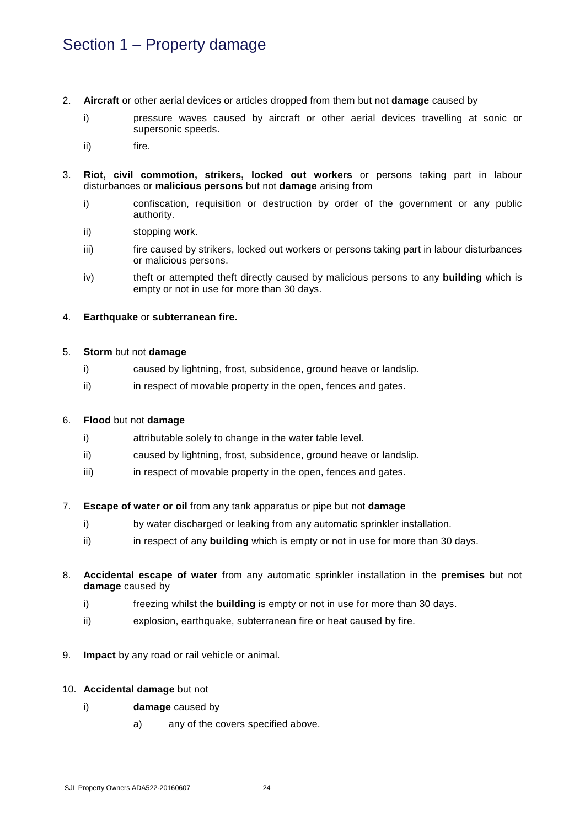- 2. **Aircraft** or other aerial devices or articles dropped from them but not **damage** caused by
	- i) pressure waves caused by aircraft or other aerial devices travelling at sonic or supersonic speeds.
	- ii) fire.
- 3. **Riot, civil commotion, strikers, locked out workers** or persons taking part in labour disturbances or **malicious persons** but not **damage** arising from
	- i) confiscation, requisition or destruction by order of the government or any public authority.
	- ii) stopping work.
	- iii) fire caused by strikers, locked out workers or persons taking part in labour disturbances or malicious persons.
	- iv) theft or attempted theft directly caused by malicious persons to any **building** which is empty or not in use for more than 30 days.

#### 4. **Earthquake** or **subterranean fire.**

#### 5. **Storm** but not **damage**

- i) caused by lightning, frost, subsidence, ground heave or landslip.
- ii) in respect of movable property in the open, fences and gates.

#### 6. **Flood** but not **damage**

- i) attributable solely to change in the water table level.
- ii) caused by lightning, frost, subsidence, ground heave or landslip.
- iii) iii) in respect of movable property in the open, fences and gates.
- 7. **Escape of water or oil** from any tank apparatus or pipe but not **damage**
	- i) by water discharged or leaking from any automatic sprinkler installation.
	- ii) in respect of any **building** which is empty or not in use for more than 30 days.
- 8. **Accidental escape of water** from any automatic sprinkler installation in the **premises** but not **damage** caused by
	- i) freezing whilst the **building** is empty or not in use for more than 30 days.
	- ii) explosion, earthquake, subterranean fire or heat caused by fire.
- 9. **Impact** by any road or rail vehicle or animal.
- 10. **Accidental damage** but not
	- i) **damage** caused by
		- a) any of the covers specified above.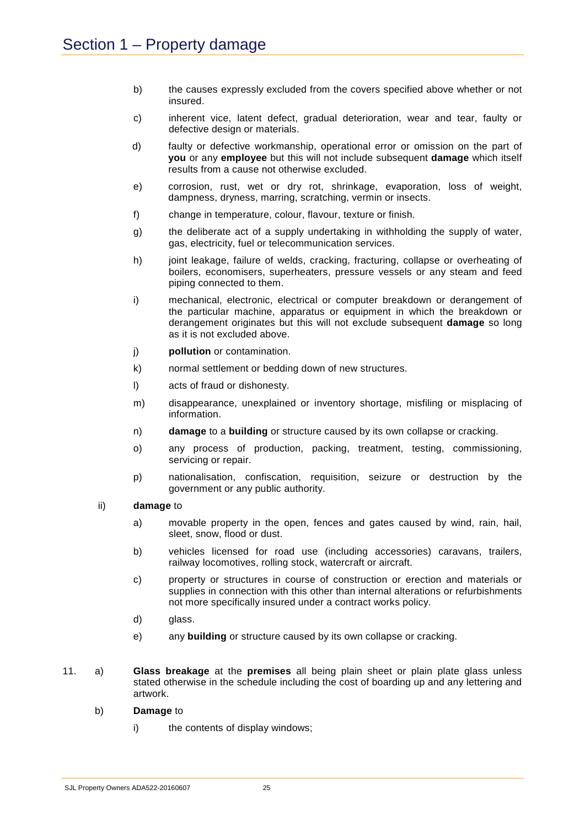- b) the causes expressly excluded from the covers specified above whether or not insured.
- c) inherent vice, latent defect, gradual deterioration, wear and tear, faulty or defective design or materials.
- d) faulty or defective workmanship, operational error or omission on the part of **you** or any **employee** but this will not include subsequent **damage** which itself results from a cause not otherwise excluded.
- e) corrosion, rust, wet or dry rot, shrinkage, evaporation, loss of weight, dampness, dryness, marring, scratching, vermin or insects.
- f) change in temperature, colour, flavour, texture or finish.
- g) the deliberate act of a supply undertaking in withholding the supply of water, gas, electricity, fuel or telecommunication services.
- h) joint leakage, failure of welds, cracking, fracturing, collapse or overheating of boilers, economisers, superheaters, pressure vessels or any steam and feed piping connected to them.
- i) mechanical, electronic, electrical or computer breakdown or derangement of the particular machine, apparatus or equipment in which the breakdown or derangement originates but this will not exclude subsequent **damage** so long as it is not excluded above.
- j) **pollution** or contamination.
- k) normal settlement or bedding down of new structures.
- l) acts of fraud or dishonesty.
- m) disappearance, unexplained or inventory shortage, misfiling or misplacing of information.
- n) **damage** to a **building** or structure caused by its own collapse or cracking.
- o) any process of production, packing, treatment, testing, commissioning, servicing or repair.
- p) nationalisation, confiscation, requisition, seizure or destruction by the government or any public authority.
- ii) **damage** to
	- a) movable property in the open, fences and gates caused by wind, rain, hail, sleet, snow, flood or dust.
	- b) vehicles licensed for road use (including accessories) caravans, trailers, railway locomotives, rolling stock, watercraft or aircraft.
	- c) property or structures in course of construction or erection and materials or supplies in connection with this other than internal alterations or refurbishments not more specifically insured under a contract works policy.
	- d) glass.
	- e) any **building** or structure caused by its own collapse or cracking.
- 11. a) **Glass breakage** at the **premises** all being plain sheet or plain plate glass unless stated otherwise in the schedule including the cost of boarding up and any lettering and artwork.
	- b) **Damage** to
		- i) the contents of display windows: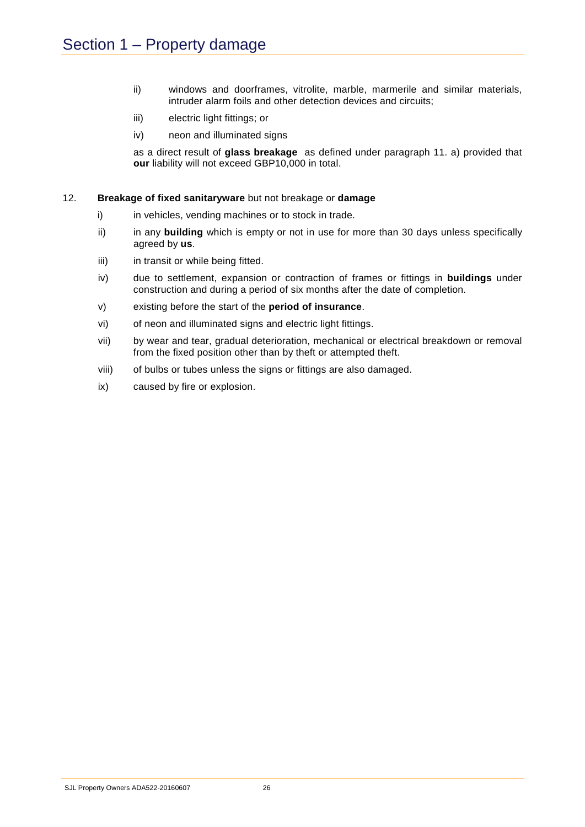- ii) windows and doorframes, vitrolite, marble, marmerile and similar materials, intruder alarm foils and other detection devices and circuits;
- iii) electric light fittings; or
- iv) neon and illuminated signs

as a direct result of **glass breakage** as defined under paragraph 11. a) provided that **our** liability will not exceed GBP10,000 in total.

#### 12. **Breakage of fixed sanitaryware** but not breakage or **damage**

- i) in vehicles, vending machines or to stock in trade.
- ii) in any **building** which is empty or not in use for more than 30 days unless specifically agreed by **us**.
- iii) in transit or while being fitted.
- iv) due to settlement, expansion or contraction of frames or fittings in **buildings** under construction and during a period of six months after the date of completion.
- v) existing before the start of the **period of insurance**.
- vi) of neon and illuminated signs and electric light fittings.
- vii) by wear and tear, gradual deterioration, mechanical or electrical breakdown or removal from the fixed position other than by theft or attempted theft.
- viii) of bulbs or tubes unless the signs or fittings are also damaged.
- ix) caused by fire or explosion.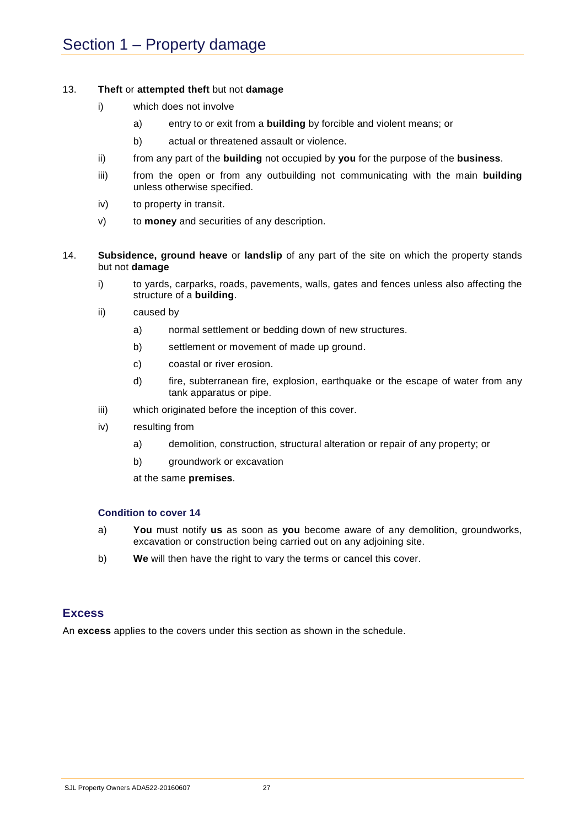#### 13. **Theft** or **attempted theft** but not **damage**

- i) which does not involve
	- a) entry to or exit from a **building** by forcible and violent means; or
	- b) actual or threatened assault or violence.
- ii) from any part of the **building** not occupied by **you** for the purpose of the **business**.
- iii) from the open or from any outbuilding not communicating with the main **building** unless otherwise specified.
- iv) to property in transit.
- v) to **money** and securities of any description.
- 14. **Subsidence, ground heave** or **landslip** of any part of the site on which the property stands but not **damage**
	- i) to yards, carparks, roads, pavements, walls, gates and fences unless also affecting the structure of a **building**.
	- ii) caused by
		- a) normal settlement or bedding down of new structures.
		- b) settlement or movement of made up ground.
		- c) coastal or river erosion.
		- d) fire, subterranean fire, explosion, earthquake or the escape of water from any tank apparatus or pipe.
	- iii) which originated before the inception of this cover.
	- iv) resulting from
		- a) demolition, construction, structural alteration or repair of any property; or
		- b) groundwork or excavation

at the same **premises**.

#### **Condition to cover 14**

- a) **You** must notify **us** as soon as **you** become aware of any demolition, groundworks, excavation or construction being carried out on any adjoining site.
- b) **We** will then have the right to vary the terms or cancel this cover.

## **Excess**

An **excess** applies to the covers under this section as shown in the schedule.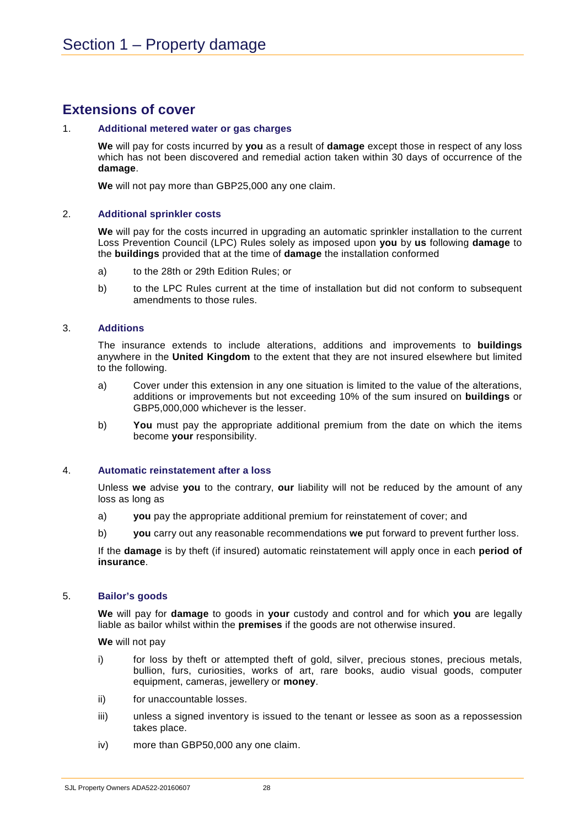## **Extensions of cover**

#### 1. **Additional metered water or gas charges**

**We** will pay for costs incurred by **you** as a result of **damage** except those in respect of any loss which has not been discovered and remedial action taken within 30 days of occurrence of the **damage**.

**We** will not pay more than GBP25,000 any one claim.

#### 2. **Additional sprinkler costs**

**We** will pay for the costs incurred in upgrading an automatic sprinkler installation to the current Loss Prevention Council (LPC) Rules solely as imposed upon **you** by **us** following **damage** to the **buildings** provided that at the time of **damage** the installation conformed

- a) to the 28th or 29th Edition Rules; or
- b) to the LPC Rules current at the time of installation but did not conform to subsequent amendments to those rules.

#### 3. **Additions**

The insurance extends to include alterations, additions and improvements to **buildings**  anywhere in the **United Kingdom** to the extent that they are not insured elsewhere but limited to the following.

- a) Cover under this extension in any one situation is limited to the value of the alterations, additions or improvements but not exceeding 10% of the sum insured on **buildings** or GBP5,000,000 whichever is the lesser.
- b) **You** must pay the appropriate additional premium from the date on which the items become **your** responsibility.

#### 4. **Automatic reinstatement after a loss**

Unless **we** advise **you** to the contrary, **our** liability will not be reduced by the amount of any loss as long as

- a) **you** pay the appropriate additional premium for reinstatement of cover; and
- b) **you** carry out any reasonable recommendations **we** put forward to prevent further loss.

If the **damage** is by theft (if insured) automatic reinstatement will apply once in each **period of insurance**.

#### 5. **Bailor's goods**

**We** will pay for **damage** to goods in **your** custody and control and for which **you** are legally liable as bailor whilst within the **premises** if the goods are not otherwise insured.

**We** will not pay

- i) for loss by theft or attempted theft of gold, silver, precious stones, precious metals, bullion, furs, curiosities, works of art, rare books, audio visual goods, computer equipment, cameras, jewellery or **money**.
- ii) for unaccountable losses.
- iii) unless a signed inventory is issued to the tenant or lessee as soon as a repossession takes place.
- iv) more than GBP50,000 any one claim.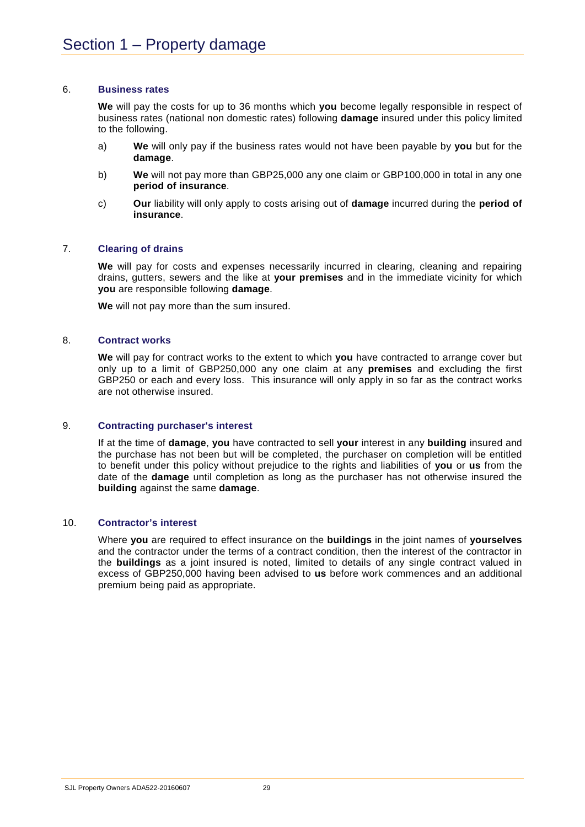#### 6. **Business rates**

**We** will pay the costs for up to 36 months which **you** become legally responsible in respect of business rates (national non domestic rates) following **damage** insured under this policy limited to the following.

- a) **We** will only pay if the business rates would not have been payable by **you** but for the **damage**.
- b) **We** will not pay more than GBP25,000 any one claim or GBP100,000 in total in any one **period of insurance**.
- c) **Our** liability will only apply to costs arising out of **damage** incurred during the **period of insurance**.

#### 7. **Clearing of drains**

**We** will pay for costs and expenses necessarily incurred in clearing, cleaning and repairing drains, gutters, sewers and the like at **your premises** and in the immediate vicinity for which **you** are responsible following **damage**.

**We** will not pay more than the sum insured.

#### 8. **Contract works**

**We** will pay for contract works to the extent to which **you** have contracted to arrange cover but only up to a limit of GBP250,000 any one claim at any **premises** and excluding the first GBP250 or each and every loss. This insurance will only apply in so far as the contract works are not otherwise insured.

#### 9. **Contracting purchaser's interest**

If at the time of **damage**, **you** have contracted to sell **your** interest in any **building** insured and the purchase has not been but will be completed, the purchaser on completion will be entitled to benefit under this policy without prejudice to the rights and liabilities of **you** or **us** from the date of the **damage** until completion as long as the purchaser has not otherwise insured the **building** against the same **damage**.

#### 10. **Contractor's interest**

Where **you** are required to effect insurance on the **buildings** in the joint names of **yourselves** and the contractor under the terms of a contract condition, then the interest of the contractor in the **buildings** as a joint insured is noted, limited to details of any single contract valued in excess of GBP250,000 having been advised to **us** before work commences and an additional premium being paid as appropriate.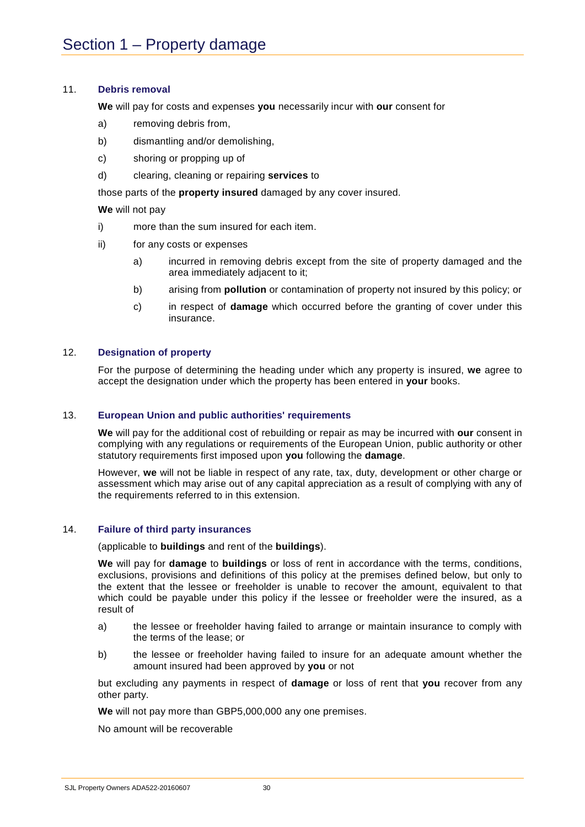#### 11. **Debris removal**

**We** will pay for costs and expenses **you** necessarily incur with **our** consent for

- a) removing debris from,
- b) dismantling and/or demolishing,
- c) shoring or propping up of
- d) clearing, cleaning or repairing **services** to

those parts of the **property insured** damaged by any cover insured.

**We** will not pay

- i) more than the sum insured for each item.
- ii) for any costs or expenses
	- a) incurred in removing debris except from the site of property damaged and the area immediately adjacent to it;
	- b) arising from **pollution** or contamination of property not insured by this policy; or
	- c) in respect of **damage** which occurred before the granting of cover under this insurance.

#### 12. **Designation of property**

For the purpose of determining the heading under which any property is insured, **we** agree to accept the designation under which the property has been entered in **your** books.

#### 13. **European Union and public authorities' requirements**

**We** will pay for the additional cost of rebuilding or repair as may be incurred with **our** consent in complying with any regulations or requirements of the European Union, public authority or other statutory requirements first imposed upon **you** following the **damage**.

However, **we** will not be liable in respect of any rate, tax, duty, development or other charge or assessment which may arise out of any capital appreciation as a result of complying with any of the requirements referred to in this extension.

#### 14. **Failure of third party insurances**

(applicable to **buildings** and rent of the **buildings**).

**We** will pay for **damage** to **buildings** or loss of rent in accordance with the terms, conditions, exclusions, provisions and definitions of this policy at the premises defined below, but only to the extent that the lessee or freeholder is unable to recover the amount, equivalent to that which could be payable under this policy if the lessee or freeholder were the insured, as a result of

- a) the lessee or freeholder having failed to arrange or maintain insurance to comply with the terms of the lease; or
- b) the lessee or freeholder having failed to insure for an adequate amount whether the amount insured had been approved by **you** or not

but excluding any payments in respect of **damage** or loss of rent that **you** recover from any other party.

**We** will not pay more than GBP5,000,000 any one premises.

No amount will be recoverable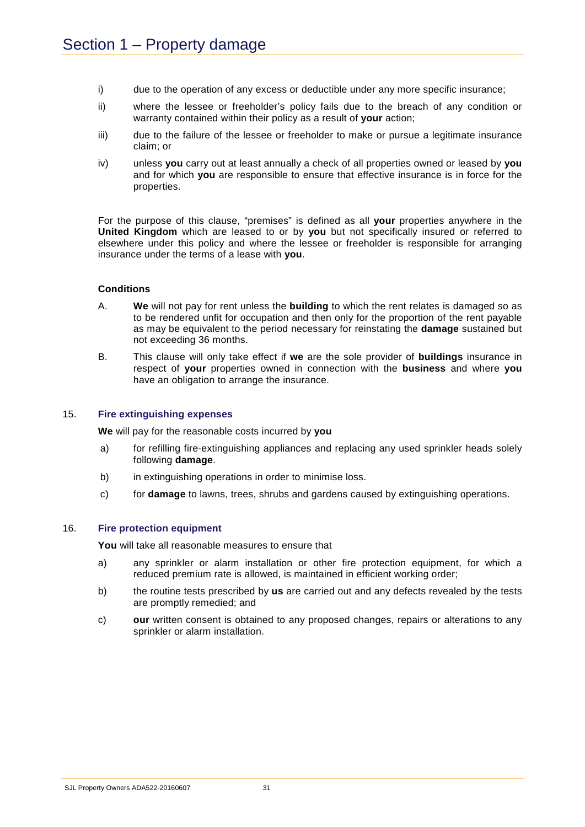- i) due to the operation of any excess or deductible under any more specific insurance;
- ii) where the lessee or freeholder's policy fails due to the breach of any condition or warranty contained within their policy as a result of **your** action;
- iii) due to the failure of the lessee or freeholder to make or pursue a legitimate insurance claim; or
- iv) unless **you** carry out at least annually a check of all properties owned or leased by **you** and for which **you** are responsible to ensure that effective insurance is in force for the properties.

For the purpose of this clause, "premises" is defined as all **your** properties anywhere in the **United Kingdom** which are leased to or by **you** but not specifically insured or referred to elsewhere under this policy and where the lessee or freeholder is responsible for arranging insurance under the terms of a lease with **you**.

#### **Conditions**

- A. **We** will not pay for rent unless the **building** to which the rent relates is damaged so as to be rendered unfit for occupation and then only for the proportion of the rent payable as may be equivalent to the period necessary for reinstating the **damage** sustained but not exceeding 36 months.
- B. This clause will only take effect if **we** are the sole provider of **buildings** insurance in respect of **your** properties owned in connection with the **business** and where **you** have an obligation to arrange the insurance.

#### 15. **Fire extinguishing expenses**

**We** will pay for the reasonable costs incurred by **you**

- a) for refilling fire-extinguishing appliances and replacing any used sprinkler heads solely following **damage**.
- b) in extinguishing operations in order to minimise loss.
- c) for **damage** to lawns, trees, shrubs and gardens caused by extinguishing operations.

#### 16. **Fire protection equipment**

**You** will take all reasonable measures to ensure that

- a) any sprinkler or alarm installation or other fire protection equipment, for which a reduced premium rate is allowed, is maintained in efficient working order;
- b) the routine tests prescribed by **us** are carried out and any defects revealed by the tests are promptly remedied; and
- c) **our** written consent is obtained to any proposed changes, repairs or alterations to any sprinkler or alarm installation.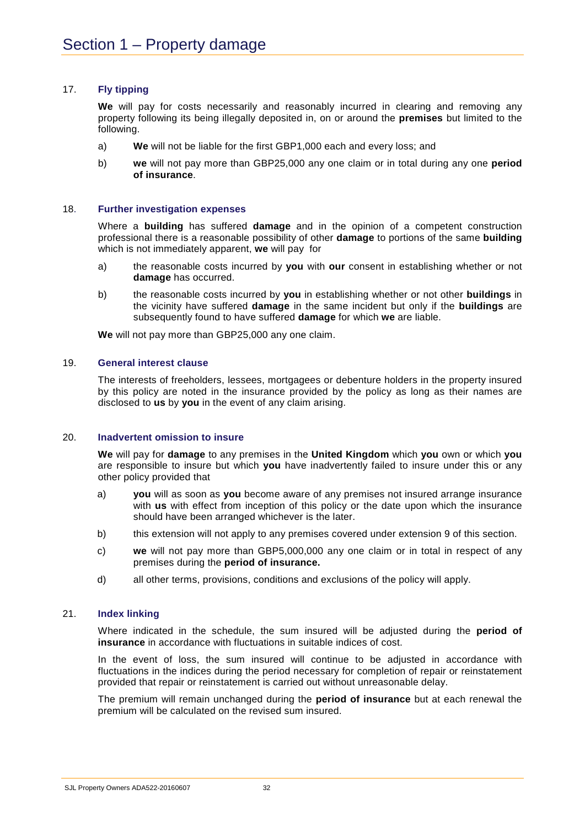#### 17. **Fly tipping**

**We** will pay for costs necessarily and reasonably incurred in clearing and removing any property following its being illegally deposited in, on or around the **premises** but limited to the following.

- a) **We** will not be liable for the first GBP1,000 each and every loss; and
- b) **we** will not pay more than GBP25,000 any one claim or in total during any one **period of insurance**.

#### 18. **Further investigation expenses**

Where a **building** has suffered **damage** and in the opinion of a competent construction professional there is a reasonable possibility of other **damage** to portions of the same **building** which is not immediately apparent, **we** will pay for

- a) the reasonable costs incurred by **you** with **our** consent in establishing whether or not **damage** has occurred.
- b) the reasonable costs incurred by **you** in establishing whether or not other **buildings** in the vicinity have suffered **damage** in the same incident but only if the **buildings** are subsequently found to have suffered **damage** for which **we** are liable.

**We** will not pay more than GBP25,000 any one claim.

#### 19. **General interest clause**

The interests of freeholders, lessees, mortgagees or debenture holders in the property insured by this policy are noted in the insurance provided by the policy as long as their names are disclosed to **us** by **you** in the event of any claim arising.

#### 20. **Inadvertent omission to insure**

**We** will pay for **damage** to any premises in the **United Kingdom** which **you** own or which **you** are responsible to insure but which **you** have inadvertently failed to insure under this or any other policy provided that

- a) **you** will as soon as **you** become aware of any premises not insured arrange insurance with **us** with effect from inception of this policy or the date upon which the insurance should have been arranged whichever is the later.
- b) this extension will not apply to any premises covered under extension 9 of this section.
- c) **we** will not pay more than GBP5,000,000 any one claim or in total in respect of any premises during the **period of insurance.**
- d) all other terms, provisions, conditions and exclusions of the policy will apply.

#### 21. **Index linking**

Where indicated in the schedule, the sum insured will be adjusted during the **period of insurance** in accordance with fluctuations in suitable indices of cost.

In the event of loss, the sum insured will continue to be adjusted in accordance with fluctuations in the indices during the period necessary for completion of repair or reinstatement provided that repair or reinstatement is carried out without unreasonable delay.

The premium will remain unchanged during the **period of insurance** but at each renewal the premium will be calculated on the revised sum insured.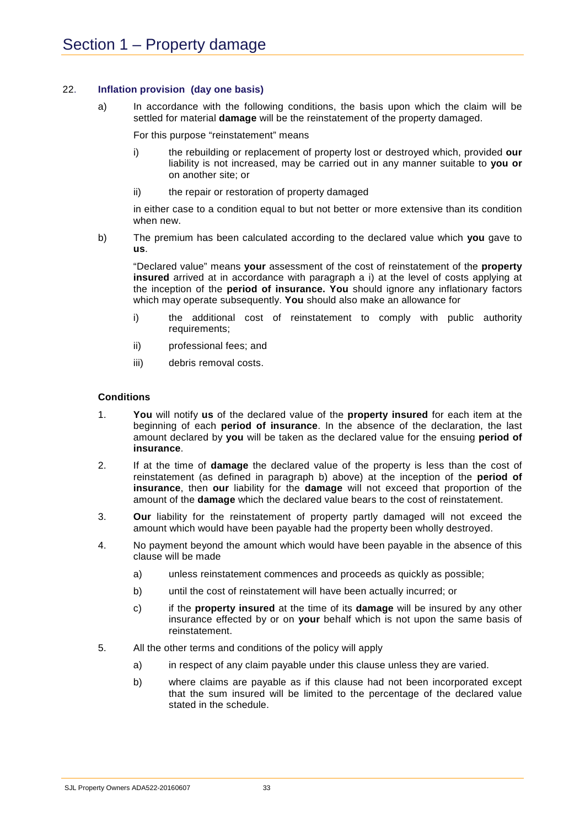#### 22. **Inflation provision (day one basis)**

a) In accordance with the following conditions, the basis upon which the claim will be settled for material **damage** will be the reinstatement of the property damaged.

For this purpose "reinstatement" means

- i) the rebuilding or replacement of property lost or destroyed which, provided **our** liability is not increased, may be carried out in any manner suitable to **you or**  on another site; or
- ii) the repair or restoration of property damaged

in either case to a condition equal to but not better or more extensive than its condition when new.

b) The premium has been calculated according to the declared value which **you** gave to **us**.

"Declared value" means **your** assessment of the cost of reinstatement of the **property insured** arrived at in accordance with paragraph a i) at the level of costs applying at the inception of the **period of insurance. You** should ignore any inflationary factors which may operate subsequently. **You** should also make an allowance for

- i) the additional cost of reinstatement to comply with public authority requirements;
- ii) professional fees; and
- iii) debris removal costs.

#### **Conditions**

- 1. **You** will notify **us** of the declared value of the **property insured** for each item at the beginning of each **period of insurance**. In the absence of the declaration, the last amount declared by **you** will be taken as the declared value for the ensuing **period of insurance**.
- 2. If at the time of **damage** the declared value of the property is less than the cost of reinstatement (as defined in paragraph b) above) at the inception of the **period of insurance**, then **our** liability for the **damage** will not exceed that proportion of the amount of the **damage** which the declared value bears to the cost of reinstatement.
- 3. **Our** liability for the reinstatement of property partly damaged will not exceed the amount which would have been payable had the property been wholly destroyed.
- 4. No payment beyond the amount which would have been payable in the absence of this clause will be made
	- a) unless reinstatement commences and proceeds as quickly as possible;
	- b) until the cost of reinstatement will have been actually incurred; or
	- c) if the **property insured** at the time of its **damage** will be insured by any other insurance effected by or on **your** behalf which is not upon the same basis of reinstatement.
- 5. All the other terms and conditions of the policy will apply
	- a) in respect of any claim payable under this clause unless they are varied.
	- b) where claims are payable as if this clause had not been incorporated except that the sum insured will be limited to the percentage of the declared value stated in the schedule.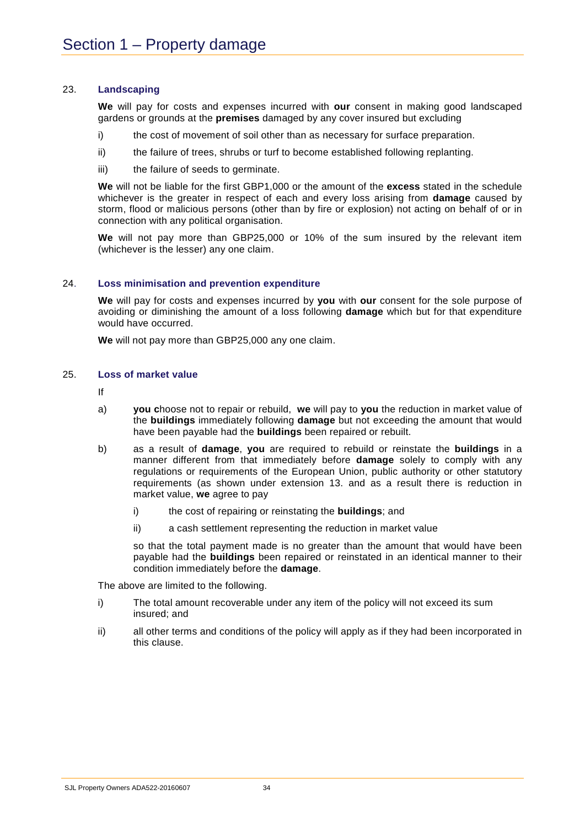#### 23. **Landscaping**

**We** will pay for costs and expenses incurred with **our** consent in making good landscaped gardens or grounds at the **premises** damaged by any cover insured but excluding

- i) the cost of movement of soil other than as necessary for surface preparation.
- ii) the failure of trees, shrubs or turf to become established following replanting.
- iii) the failure of seeds to germinate.

**We** will not be liable for the first GBP1,000 or the amount of the **excess** stated in the schedule whichever is the greater in respect of each and every loss arising from **damage** caused by storm, flood or malicious persons (other than by fire or explosion) not acting on behalf of or in connection with any political organisation.

**We** will not pay more than GBP25,000 or 10% of the sum insured by the relevant item (whichever is the lesser) any one claim.

#### 24. **Loss minimisation and prevention expenditure**

**We** will pay for costs and expenses incurred by **you** with **our** consent for the sole purpose of avoiding or diminishing the amount of a loss following **damage** which but for that expenditure would have occurred.

**We** will not pay more than GBP25,000 any one claim.

#### 25. **Loss of market value**

If

- a) **you c**hoose not to repair or rebuild, **we** will pay to **you** the reduction in market value of the **buildings** immediately following **damage** but not exceeding the amount that would have been payable had the **buildings** been repaired or rebuilt.
- b) as a result of **damage**, **you** are required to rebuild or reinstate the **buildings** in a manner different from that immediately before **damage** solely to comply with any regulations or requirements of the European Union, public authority or other statutory requirements (as shown under extension 13. and as a result there is reduction in market value, **we** agree to pay
	- i) the cost of repairing or reinstating the **buildings**; and
	- ii) a cash settlement representing the reduction in market value

so that the total payment made is no greater than the amount that would have been payable had the **buildings** been repaired or reinstated in an identical manner to their condition immediately before the **damage**.

The above are limited to the following.

- i) The total amount recoverable under any item of the policy will not exceed its sum insured; and
- ii) all other terms and conditions of the policy will apply as if they had been incorporated in this clause.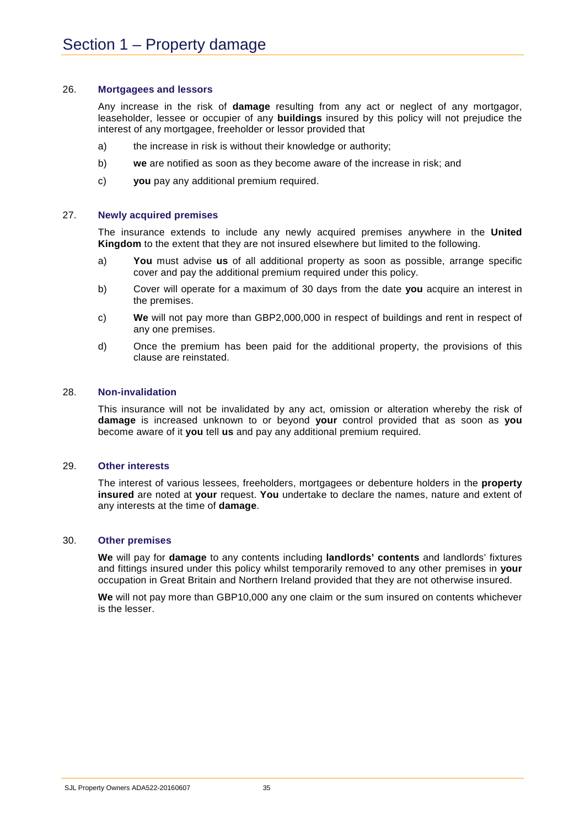#### 26. **Mortgagees and lessors**

Any increase in the risk of **damage** resulting from any act or neglect of any mortgagor, leaseholder, lessee or occupier of any **buildings** insured by this policy will not prejudice the interest of any mortgagee, freeholder or lessor provided that

- a) the increase in risk is without their knowledge or authority;
- b) **we** are notified as soon as they become aware of the increase in risk; and
- c) **you** pay any additional premium required.

#### 27. **Newly acquired premises**

The insurance extends to include any newly acquired premises anywhere in the **United Kingdom** to the extent that they are not insured elsewhere but limited to the following.

- a) **You** must advise **us** of all additional property as soon as possible, arrange specific cover and pay the additional premium required under this policy.
- b) Cover will operate for a maximum of 30 days from the date **you** acquire an interest in the premises.
- c) **We** will not pay more than GBP2,000,000 in respect of buildings and rent in respect of any one premises.
- d) Once the premium has been paid for the additional property, the provisions of this clause are reinstated.

#### 28. **Non-invalidation**

This insurance will not be invalidated by any act, omission or alteration whereby the risk of **damage** is increased unknown to or beyond **your** control provided that as soon as **you** become aware of it **you** tell **us** and pay any additional premium required.

#### 29. **Other interests**

The interest of various lessees, freeholders, mortgagees or debenture holders in the **property insured** are noted at **your** request. **You** undertake to declare the names, nature and extent of any interests at the time of **damage**.

#### 30. **Other premises**

**We** will pay for **damage** to any contents including **landlords' contents** and landlords' fixtures and fittings insured under this policy whilst temporarily removed to any other premises in **your** occupation in Great Britain and Northern Ireland provided that they are not otherwise insured.

**We** will not pay more than GBP10,000 any one claim or the sum insured on contents whichever is the lesser.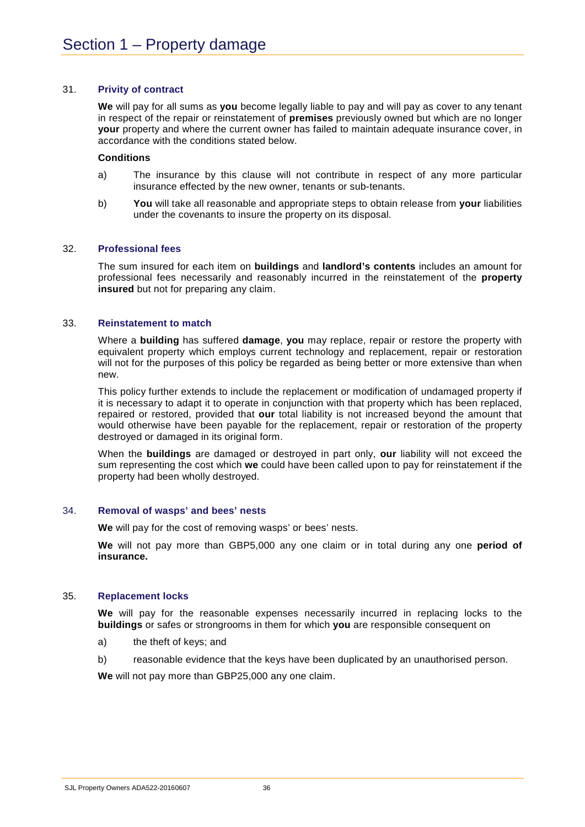### 31. **Privity of contract**

**We** will pay for all sums as **you** become legally liable to pay and will pay as cover to any tenant in respect of the repair or reinstatement of **premises** previously owned but which are no longer **your** property and where the current owner has failed to maintain adequate insurance cover, in accordance with the conditions stated below.

### **Conditions**

- a) The insurance by this clause will not contribute in respect of any more particular insurance effected by the new owner, tenants or sub-tenants.
- b) **You** will take all reasonable and appropriate steps to obtain release from **your** liabilities under the covenants to insure the property on its disposal.

### 32. **Professional fees**

The sum insured for each item on **buildings** and **landlord's contents** includes an amount for professional fees necessarily and reasonably incurred in the reinstatement of the **property insured** but not for preparing any claim.

### 33. **Reinstatement to match**

Where a **building** has suffered **damage**, **you** may replace, repair or restore the property with equivalent property which employs current technology and replacement, repair or restoration will not for the purposes of this policy be regarded as being better or more extensive than when new.

This policy further extends to include the replacement or modification of undamaged property if it is necessary to adapt it to operate in conjunction with that property which has been replaced, repaired or restored, provided that **our** total liability is not increased beyond the amount that would otherwise have been payable for the replacement, repair or restoration of the property destroyed or damaged in its original form.

When the **buildings** are damaged or destroyed in part only, **our** liability will not exceed the sum representing the cost which **we** could have been called upon to pay for reinstatement if the property had been wholly destroyed.

### 34. **Removal of wasps' and bees' nests**

**We** will pay for the cost of removing wasps' or bees' nests.

**We** will not pay more than GBP5,000 any one claim or in total during any one **period of insurance.**

### 35. **Replacement locks**

**We** will pay for the reasonable expenses necessarily incurred in replacing locks to the **buildings** or safes or strongrooms in them for which **you** are responsible consequent on

- a) the theft of keys; and
- b) reasonable evidence that the keys have been duplicated by an unauthorised person.

**We** will not pay more than GBP25,000 any one claim.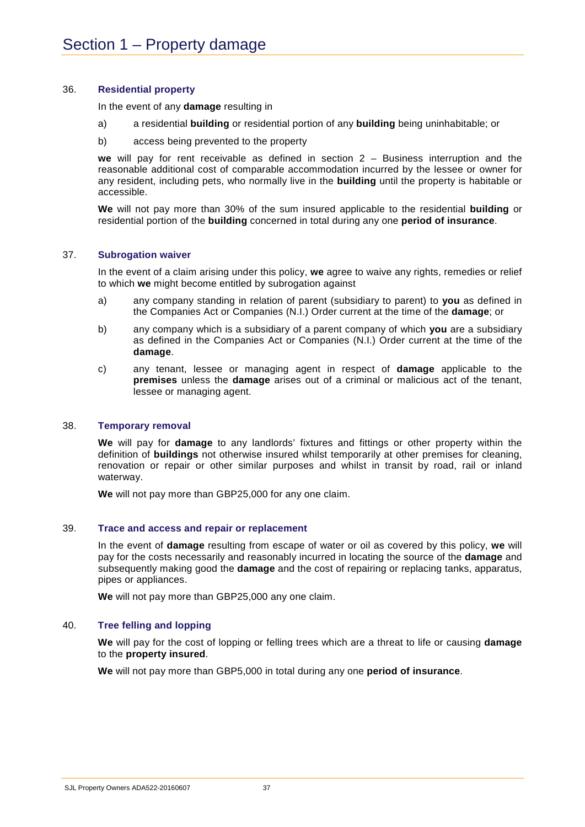### 36. **Residential property**

In the event of any **damage** resulting in

- a) a residential **building** or residential portion of any **building** being uninhabitable; or
- b) access being prevented to the property

**we** will pay for rent receivable as defined in section 2 – Business interruption and the reasonable additional cost of comparable accommodation incurred by the lessee or owner for any resident, including pets, who normally live in the **building** until the property is habitable or accessible.

**We** will not pay more than 30% of the sum insured applicable to the residential **building** or residential portion of the **building** concerned in total during any one **period of insurance**.

### 37. **Subrogation waiver**

In the event of a claim arising under this policy, **we** agree to waive any rights, remedies or relief to which **we** might become entitled by subrogation against

- a) any company standing in relation of parent (subsidiary to parent) to **you** as defined in the Companies Act or Companies (N.I.) Order current at the time of the **damage**; or
- b) any company which is a subsidiary of a parent company of which **you** are a subsidiary as defined in the Companies Act or Companies (N.I.) Order current at the time of the **damage**.
- c) any tenant, lessee or managing agent in respect of **damage** applicable to the **premises** unless the **damage** arises out of a criminal or malicious act of the tenant, lessee or managing agent.

### 38. **Temporary removal**

**We** will pay for **damage** to any landlords' fixtures and fittings or other property within the definition of **buildings** not otherwise insured whilst temporarily at other premises for cleaning, renovation or repair or other similar purposes and whilst in transit by road, rail or inland waterway.

**We** will not pay more than GBP25,000 for any one claim.

### 39. **Trace and access and repair or replacement**

In the event of **damage** resulting from escape of water or oil as covered by this policy, **we** will pay for the costs necessarily and reasonably incurred in locating the source of the **damage** and subsequently making good the **damage** and the cost of repairing or replacing tanks, apparatus, pipes or appliances.

**We** will not pay more than GBP25,000 any one claim.

### 40. **Tree felling and lopping**

**We** will pay for the cost of lopping or felling trees which are a threat to life or causing **damage** to the **property insured**.

**We** will not pay more than GBP5,000 in total during any one **period of insurance**.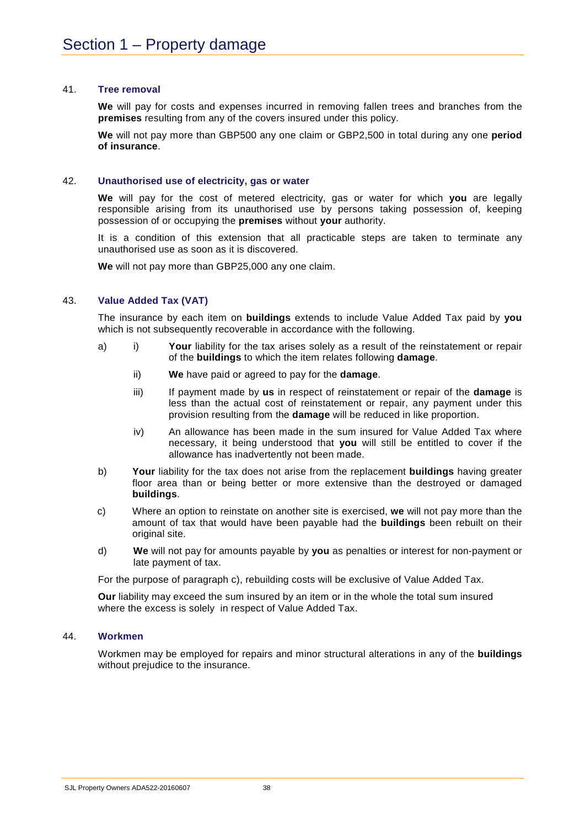### 41. **Tree removal**

**We** will pay for costs and expenses incurred in removing fallen trees and branches from the **premises** resulting from any of the covers insured under this policy.

**We** will not pay more than GBP500 any one claim or GBP2,500 in total during any one **period of insurance**.

### 42. **Unauthorised use of electricity, gas or water**

**We** will pay for the cost of metered electricity, gas or water for which **you** are legally responsible arising from its unauthorised use by persons taking possession of, keeping possession of or occupying the **premises** without **your** authority.

It is a condition of this extension that all practicable steps are taken to terminate any unauthorised use as soon as it is discovered.

**We** will not pay more than GBP25,000 any one claim.

### 43. **Value Added Tax (VAT)**

The insurance by each item on **buildings** extends to include Value Added Tax paid by **you** which is not subsequently recoverable in accordance with the following.

- a) i) **Your** liability for the tax arises solely as a result of the reinstatement or repair of the **buildings** to which the item relates following **damage**.
	- ii) **We** have paid or agreed to pay for the **damage**.
	- iii) If payment made by **us** in respect of reinstatement or repair of the **damage** is less than the actual cost of reinstatement or repair, any payment under this provision resulting from the **damage** will be reduced in like proportion.
	- iv) An allowance has been made in the sum insured for Value Added Tax where necessary, it being understood that **you** will still be entitled to cover if the allowance has inadvertently not been made.
- b) **Your** liability for the tax does not arise from the replacement **buildings** having greater floor area than or being better or more extensive than the destroyed or damaged **buildings**.
- c) Where an option to reinstate on another site is exercised, **we** will not pay more than the amount of tax that would have been payable had the **buildings** been rebuilt on their original site.
- d) **We** will not pay for amounts payable by **you** as penalties or interest for non-payment or late payment of tax.

For the purpose of paragraph c), rebuilding costs will be exclusive of Value Added Tax.

**Our** liability may exceed the sum insured by an item or in the whole the total sum insured where the excess is solely in respect of Value Added Tax.

### 44. **Workmen**

Workmen may be employed for repairs and minor structural alterations in any of the **buildings** without prejudice to the insurance.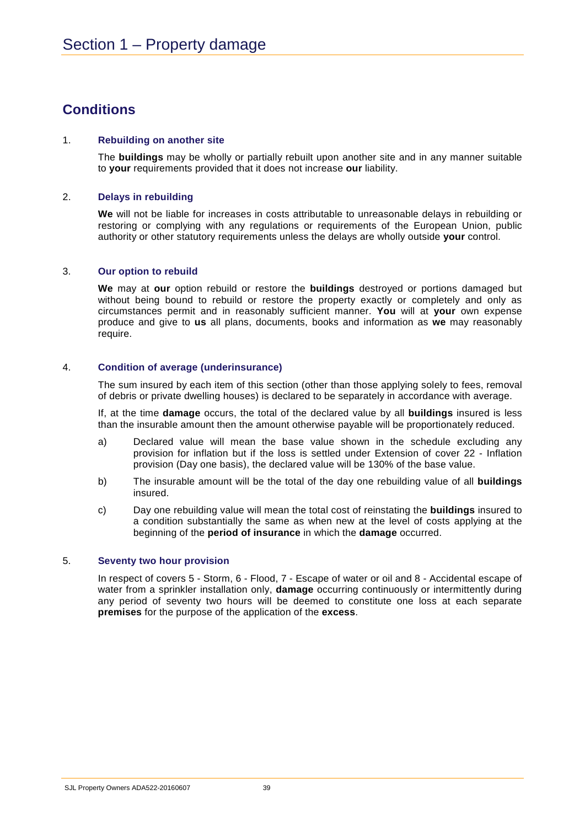# **Conditions**

### 1. **Rebuilding on another site**

The **buildings** may be wholly or partially rebuilt upon another site and in any manner suitable to **your** requirements provided that it does not increase **our** liability.

### 2. **Delays in rebuilding**

**We** will not be liable for increases in costs attributable to unreasonable delays in rebuilding or restoring or complying with any regulations or requirements of the European Union, public authority or other statutory requirements unless the delays are wholly outside **your** control.

### 3. **Our option to rebuild**

**We** may at **our** option rebuild or restore the **buildings** destroyed or portions damaged but without being bound to rebuild or restore the property exactly or completely and only as circumstances permit and in reasonably sufficient manner. **You** will at **your** own expense produce and give to **us** all plans, documents, books and information as **we** may reasonably require.

### 4. **Condition of average (underinsurance)**

The sum insured by each item of this section (other than those applying solely to fees, removal of debris or private dwelling houses) is declared to be separately in accordance with average.

If, at the time **damage** occurs, the total of the declared value by all **buildings** insured is less than the insurable amount then the amount otherwise payable will be proportionately reduced.

- a) Declared value will mean the base value shown in the schedule excluding any provision for inflation but if the loss is settled under Extension of cover 22 - Inflation provision (Day one basis), the declared value will be 130% of the base value.
- b) The insurable amount will be the total of the day one rebuilding value of all **buildings** insured.
- c) Day one rebuilding value will mean the total cost of reinstating the **buildings** insured to a condition substantially the same as when new at the level of costs applying at the beginning of the **period of insurance** in which the **damage** occurred.

### 5. **Seventy two hour provision**

In respect of covers 5 - Storm, 6 - Flood, 7 - Escape of water or oil and 8 - Accidental escape of water from a sprinkler installation only, **damage** occurring continuously or intermittently during any period of seventy two hours will be deemed to constitute one loss at each separate **premises** for the purpose of the application of the **excess**.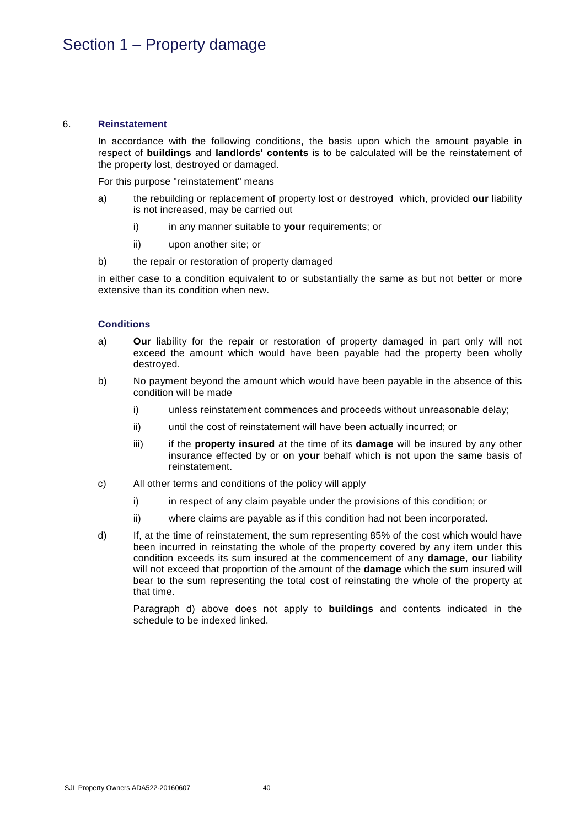### 6. **Reinstatement**

In accordance with the following conditions, the basis upon which the amount payable in respect of **buildings** and **landlords' contents** is to be calculated will be the reinstatement of the property lost, destroyed or damaged.

For this purpose "reinstatement" means

- a) the rebuilding or replacement of property lost or destroyed which, provided **our** liability is not increased, may be carried out
	- i) in any manner suitable to **your** requirements; or
	- ii) upon another site; or
- b) the repair or restoration of property damaged

in either case to a condition equivalent to or substantially the same as but not better or more extensive than its condition when new.

### **Conditions**

- a) **Our** liability for the repair or restoration of property damaged in part only will not exceed the amount which would have been payable had the property been wholly destroyed.
- b) No payment beyond the amount which would have been payable in the absence of this condition will be made
	- i) unless reinstatement commences and proceeds without unreasonable delay;
	- ii) until the cost of reinstatement will have been actually incurred; or
	- iii) if the **property insured** at the time of its **damage** will be insured by any other insurance effected by or on **your** behalf which is not upon the same basis of reinstatement.
- c) All other terms and conditions of the policy will apply
	- i) in respect of any claim payable under the provisions of this condition; or
	- ii) where claims are payable as if this condition had not been incorporated.
- d) If, at the time of reinstatement, the sum representing 85% of the cost which would have been incurred in reinstating the whole of the property covered by any item under this condition exceeds its sum insured at the commencement of any **damage**, **our** liability will not exceed that proportion of the amount of the **damage** which the sum insured will bear to the sum representing the total cost of reinstating the whole of the property at that time.

Paragraph d) above does not apply to **buildings** and contents indicated in the schedule to be indexed linked.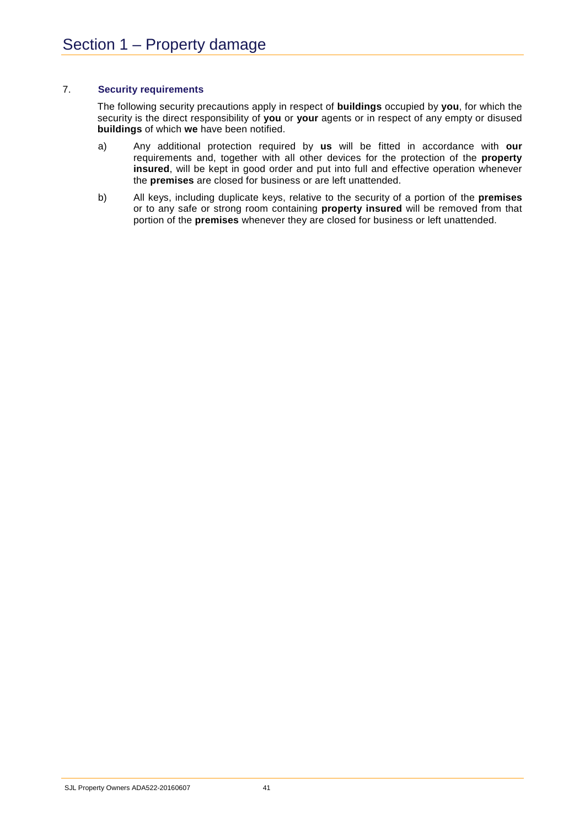### 7. **Security requirements**

The following security precautions apply in respect of **buildings** occupied by **you**, for which the security is the direct responsibility of **you** or **your** agents or in respect of any empty or disused **buildings** of which **we** have been notified.

- a) Any additional protection required by **us** will be fitted in accordance with **our** requirements and, together with all other devices for the protection of the **property insured**, will be kept in good order and put into full and effective operation whenever the **premises** are closed for business or are left unattended.
- b) All keys, including duplicate keys, relative to the security of a portion of the **premises** or to any safe or strong room containing **property insured** will be removed from that portion of the **premises** whenever they are closed for business or left unattended.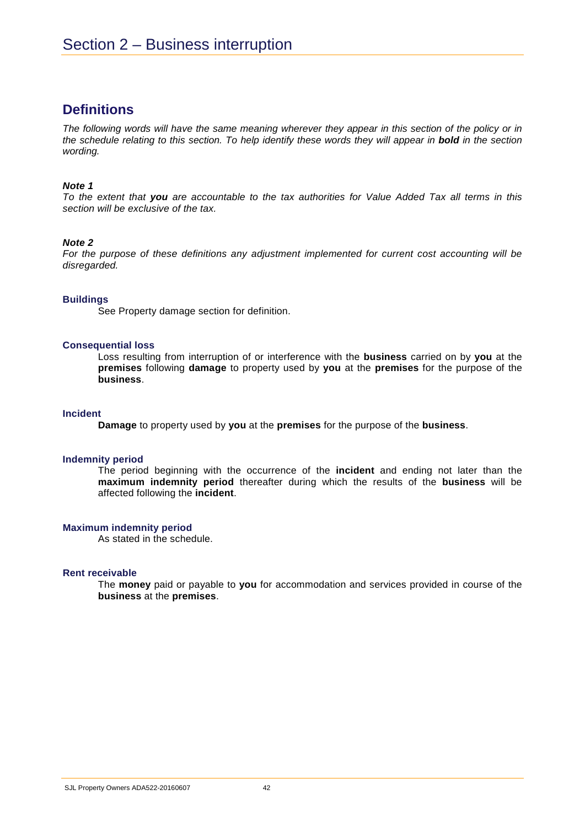## **Definitions**

*The following words will have the same meaning wherever they appear in this section of the policy or in the schedule relating to this section. To help identify these words they will appear in bold in the section wording.* 

### *Note 1*

*To the extent that you are accountable to the tax authorities for Value Added Tax all terms in this section will be exclusive of the tax.*

### *Note 2*

For the purpose of these definitions any adjustment implemented for current cost accounting will be *disregarded.*

### **Buildings**

See Property damage section for definition.

### **Consequential loss**

Loss resulting from interruption of or interference with the **business** carried on by **you** at the **premises** following **damage** to property used by **you** at the **premises** for the purpose of the **business**.

### **Incident**

**Damage** to property used by **you** at the **premises** for the purpose of the **business**.

### **Indemnity period**

The period beginning with the occurrence of the **incident** and ending not later than the **maximum indemnity period** thereafter during which the results of the **business** will be affected following the **incident**.

### **Maximum indemnity period**

As stated in the schedule.

### **Rent receivable**

The **money** paid or payable to **you** for accommodation and services provided in course of the **business** at the **premises**.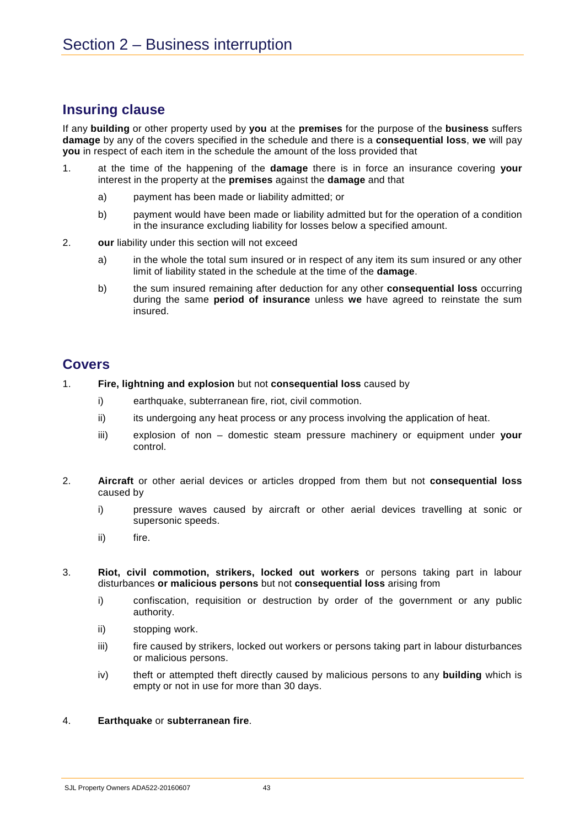## **Insuring clause**

If any **building** or other property used by **you** at the **premises** for the purpose of the **business** suffers **damage** by any of the covers specified in the schedule and there is a **consequential loss**, **we** will pay **you** in respect of each item in the schedule the amount of the loss provided that

- 1. at the time of the happening of the **damage** there is in force an insurance covering **your** interest in the property at the **premises** against the **damage** and that
	- a) payment has been made or liability admitted; or
	- b) payment would have been made or liability admitted but for the operation of a condition in the insurance excluding liability for losses below a specified amount.
- 2. **our** liability under this section will not exceed
	- a) in the whole the total sum insured or in respect of any item its sum insured or any other limit of liability stated in the schedule at the time of the **damage**.
	- b) the sum insured remaining after deduction for any other **consequential loss** occurring during the same **period of insurance** unless **we** have agreed to reinstate the sum insured.

## **Covers**

- 1. **Fire, lightning and explosion** but not **consequential loss** caused by
	- i) earthquake, subterranean fire, riot, civil commotion.
	- ii) its undergoing any heat process or any process involving the application of heat.
	- iii) explosion of non domestic steam pressure machinery or equipment under **your** control.
- 2. **Aircraft** or other aerial devices or articles dropped from them but not **consequential loss** caused by
	- i) pressure waves caused by aircraft or other aerial devices travelling at sonic or supersonic speeds.
	- ii) fire.
- 3. **Riot, civil commotion, strikers, locked out workers** or persons taking part in labour disturbances **or malicious persons** but not **consequential loss** arising from
	- i) confiscation, requisition or destruction by order of the government or any public authority.
	- ii) stopping work.
	- iii) fire caused by strikers, locked out workers or persons taking part in labour disturbances or malicious persons.
	- iv) theft or attempted theft directly caused by malicious persons to any **building** which is empty or not in use for more than 30 days.

### 4. **Earthquake** or **subterranean fire**.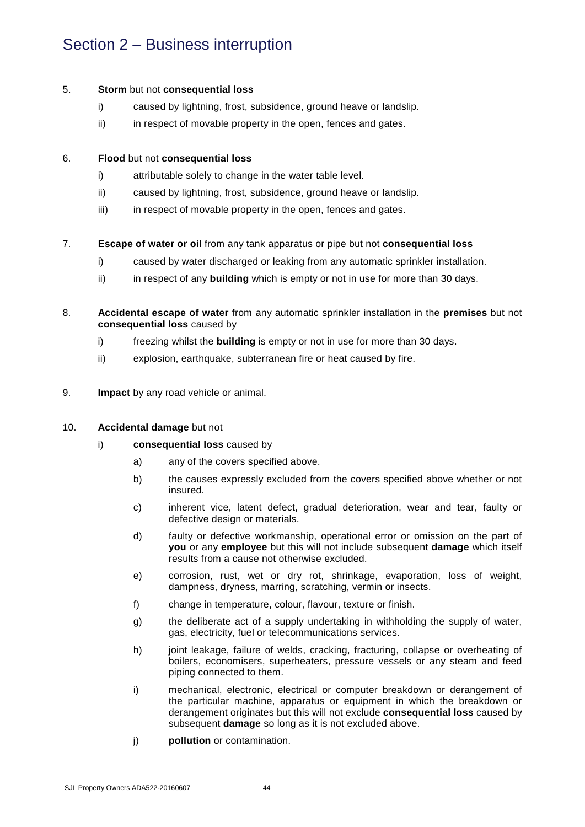### 5. **Storm** but not **consequential loss**

- i) caused by lightning, frost, subsidence, ground heave or landslip.
- ii) in respect of movable property in the open, fences and gates.

### 6. **Flood** but not **consequential loss**

- i) attributable solely to change in the water table level.
- ii) caused by lightning, frost, subsidence, ground heave or landslip.
- iii) in respect of movable property in the open, fences and gates.

### 7. **Escape of water or oil** from any tank apparatus or pipe but not **consequential loss**

- i) caused by water discharged or leaking from any automatic sprinkler installation.
- ii) in respect of any **building** which is empty or not in use for more than 30 days.
- 8. **Accidental escape of water** from any automatic sprinkler installation in the **premises** but not **consequential loss** caused by
	- i) freezing whilst the **building** is empty or not in use for more than 30 days.
	- ii) explosion, earthquake, subterranean fire or heat caused by fire.
- 9. **Impact** by any road vehicle or animal.

### 10. **Accidental damage** but not

- i) **consequential loss** caused by
	- a) any of the covers specified above.
	- b) the causes expressly excluded from the covers specified above whether or not insured.
	- c) inherent vice, latent defect, gradual deterioration, wear and tear, faulty or defective design or materials.
	- d) faulty or defective workmanship, operational error or omission on the part of **you** or any **employee** but this will not include subsequent **damage** which itself results from a cause not otherwise excluded.
	- e) corrosion, rust, wet or dry rot, shrinkage, evaporation, loss of weight, dampness, dryness, marring, scratching, vermin or insects.
	- f) change in temperature, colour, flavour, texture or finish.
	- g) the deliberate act of a supply undertaking in withholding the supply of water, gas, electricity, fuel or telecommunications services.
	- h) joint leakage, failure of welds, cracking, fracturing, collapse or overheating of boilers, economisers, superheaters, pressure vessels or any steam and feed piping connected to them.
	- i) mechanical, electronic, electrical or computer breakdown or derangement of the particular machine, apparatus or equipment in which the breakdown or derangement originates but this will not exclude **consequential loss** caused by subsequent **damage** so long as it is not excluded above.
	- j) **pollution** or contamination.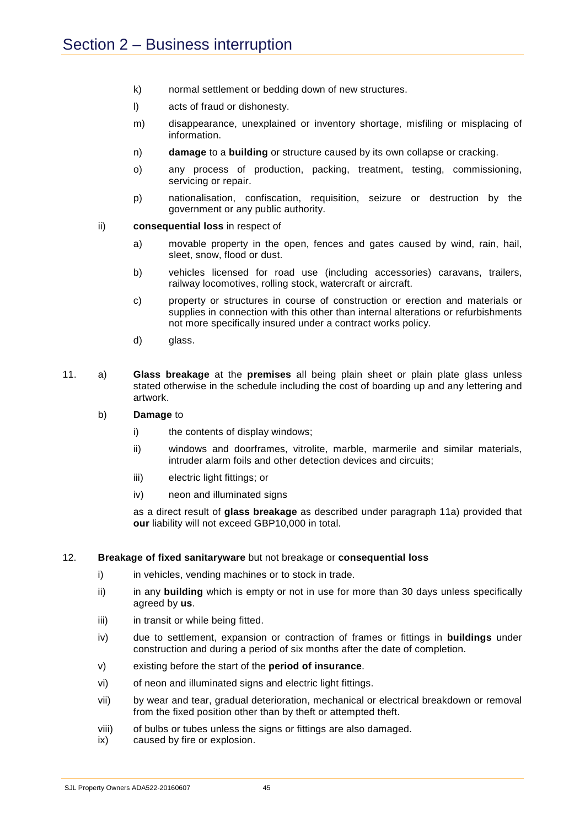- k) normal settlement or bedding down of new structures.
- l) acts of fraud or dishonesty.
- m) disappearance, unexplained or inventory shortage, misfiling or misplacing of information.
- n) **damage** to a **building** or structure caused by its own collapse or cracking.
- o) any process of production, packing, treatment, testing, commissioning, servicing or repair.
- p) nationalisation, confiscation, requisition, seizure or destruction by the government or any public authority.
- ii) **consequential loss** in respect of
	- a) movable property in the open, fences and gates caused by wind, rain, hail, sleet, snow, flood or dust.
	- b) vehicles licensed for road use (including accessories) caravans, trailers, railway locomotives, rolling stock, watercraft or aircraft.
	- c) property or structures in course of construction or erection and materials or supplies in connection with this other than internal alterations or refurbishments not more specifically insured under a contract works policy.
	- d) glass.
- 11. a) **Glass breakage** at the **premises** all being plain sheet or plain plate glass unless stated otherwise in the schedule including the cost of boarding up and any lettering and artwork.
	- b) **Damage** to
		- i) the contents of display windows;
		- ii) windows and doorframes, vitrolite, marble, marmerile and similar materials, intruder alarm foils and other detection devices and circuits;
		- iii) electric light fittings; or
		- iv) neon and illuminated signs

as a direct result of **glass breakage** as described under paragraph 11a) provided that **our** liability will not exceed GBP10,000 in total.

### 12. **Breakage of fixed sanitaryware** but not breakage or **consequential loss**

- i) in vehicles, vending machines or to stock in trade.
- ii) in any **building** which is empty or not in use for more than 30 days unless specifically agreed by **us**.
- iii) in transit or while being fitted.
- iv) due to settlement, expansion or contraction of frames or fittings in **buildings** under construction and during a period of six months after the date of completion.
- v) existing before the start of the **period of insurance**.
- vi) of neon and illuminated signs and electric light fittings.
- vii) by wear and tear, gradual deterioration, mechanical or electrical breakdown or removal from the fixed position other than by theft or attempted theft.
- viii) of bulbs or tubes unless the signs or fittings are also damaged.
- ix) caused by fire or explosion.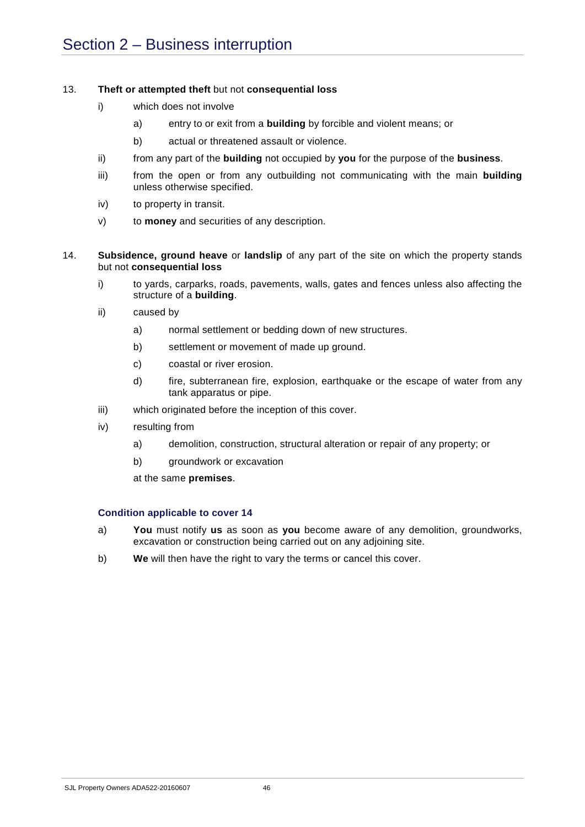### 13. **Theft or attempted theft** but not **consequential loss**

- i) which does not involve
	- a) entry to or exit from a **building** by forcible and violent means; or
	- b) actual or threatened assault or violence.
- ii) from any part of the **building** not occupied by **you** for the purpose of the **business**.
- iii) from the open or from any outbuilding not communicating with the main **building** unless otherwise specified.
- iv) to property in transit.
- v) to **money** and securities of any description.
- 14. **Subsidence, ground heave** or **landslip** of any part of the site on which the property stands but not **consequential loss**
	- i) to yards, carparks, roads, pavements, walls, gates and fences unless also affecting the structure of a **building**.
	- ii) caused by
		- a) normal settlement or bedding down of new structures.
		- b) settlement or movement of made up ground.
		- c) coastal or river erosion.
		- d) fire, subterranean fire, explosion, earthquake or the escape of water from any tank apparatus or pipe.
	- iii) which originated before the inception of this cover.
	- iv) resulting from
		- a) demolition, construction, structural alteration or repair of any property; or
		- b) groundwork or excavation

at the same **premises**.

### **Condition applicable to cover 14**

- a) **You** must notify **us** as soon as **you** become aware of any demolition, groundworks, excavation or construction being carried out on any adjoining site.
- b) **We** will then have the right to vary the terms or cancel this cover.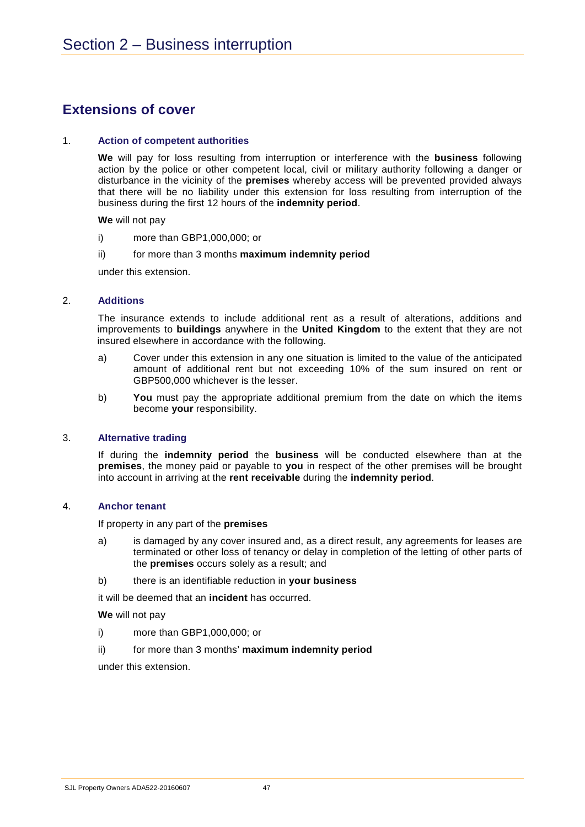# **Extensions of cover**

### 1. **Action of competent authorities**

**We** will pay for loss resulting from interruption or interference with the **business** following action by the police or other competent local, civil or military authority following a danger or disturbance in the vicinity of the **premises** whereby access will be prevented provided always that there will be no liability under this extension for loss resulting from interruption of the business during the first 12 hours of the **indemnity period**.

**We** will not pay

- i) more than GBP1,000,000; or
- ii) for more than 3 months **maximum indemnity period**

under this extension.

### 2. **Additions**

The insurance extends to include additional rent as a result of alterations, additions and improvements to **buildings** anywhere in the **United Kingdom** to the extent that they are not insured elsewhere in accordance with the following.

- a) Cover under this extension in any one situation is limited to the value of the anticipated amount of additional rent but not exceeding 10% of the sum insured on rent or GBP500,000 whichever is the lesser.
- b) **You** must pay the appropriate additional premium from the date on which the items become **your** responsibility.

### 3. **Alternative trading**

If during the **indemnity period** the **business** will be conducted elsewhere than at the **premises**, the money paid or payable to **you** in respect of the other premises will be brought into account in arriving at the **rent receivable** during the **indemnity period**.

### 4. **Anchor tenant**

If property in any part of the **premises**

- a) is damaged by any cover insured and, as a direct result, any agreements for leases are terminated or other loss of tenancy or delay in completion of the letting of other parts of the **premises** occurs solely as a result; and
- b) there is an identifiable reduction in **your business**

it will be deemed that an **incident** has occurred.

**We** will not pay

- i) more than GBP1,000,000; or
- ii) for more than 3 months' **maximum indemnity period**

under this extension.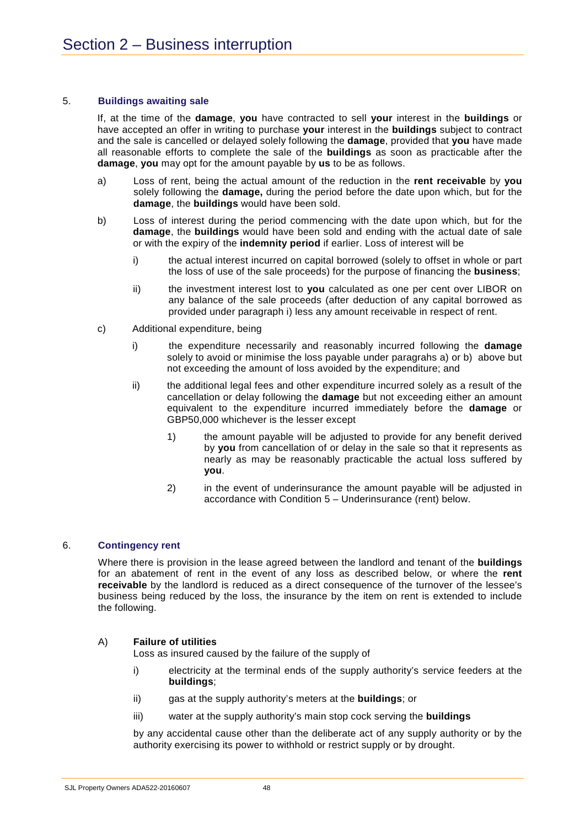### 5. **Buildings awaiting sale**

If, at the time of the **damage**, **you** have contracted to sell **your** interest in the **buildings** or have accepted an offer in writing to purchase **your** interest in the **buildings** subject to contract and the sale is cancelled or delayed solely following the **damage**, provided that **you** have made all reasonable efforts to complete the sale of the **buildings** as soon as practicable after the **damage**, **you** may opt for the amount payable by **us** to be as follows.

- a) Loss of rent, being the actual amount of the reduction in the **rent receivable** by **you** solely following the **damage,** during the period before the date upon which, but for the **damage**, the **buildings** would have been sold.
- b) Loss of interest during the period commencing with the date upon which, but for the **damage**, the **buildings** would have been sold and ending with the actual date of sale or with the expiry of the **indemnity period** if earlier. Loss of interest will be
	- i) the actual interest incurred on capital borrowed (solely to offset in whole or part the loss of use of the sale proceeds) for the purpose of financing the **business**;
	- ii) the investment interest lost to **you** calculated as one per cent over LIBOR on any balance of the sale proceeds (after deduction of any capital borrowed as provided under paragraph i) less any amount receivable in respect of rent.
- c) Additional expenditure, being
	- i) the expenditure necessarily and reasonably incurred following the **damage** solely to avoid or minimise the loss payable under paragrahs a) or b) above but not exceeding the amount of loss avoided by the expenditure; and
	- ii) the additional legal fees and other expenditure incurred solely as a result of the cancellation or delay following the **damage** but not exceeding either an amount equivalent to the expenditure incurred immediately before the **damage** or GBP50,000 whichever is the lesser except
		- 1) the amount payable will be adjusted to provide for any benefit derived by **you** from cancellation of or delay in the sale so that it represents as nearly as may be reasonably practicable the actual loss suffered by **you**.
		- 2) in the event of underinsurance the amount payable will be adjusted in accordance with Condition 5 – Underinsurance (rent) below.

### 6. **Contingency rent**

Where there is provision in the lease agreed between the landlord and tenant of the **buildings** for an abatement of rent in the event of any loss as described below, or where the **rent receivable** by the landlord is reduced as a direct consequence of the turnover of the lessee's business being reduced by the loss, the insurance by the item on rent is extended to include the following.

### A) **Failure of utilities**

Loss as insured caused by the failure of the supply of

- i) electricity at the terminal ends of the supply authority's service feeders at the **buildings**;
- ii) gas at the supply authority's meters at the **buildings**; or
- iii) water at the supply authority's main stop cock serving the **buildings**

by any accidental cause other than the deliberate act of any supply authority or by the authority exercising its power to withhold or restrict supply or by drought.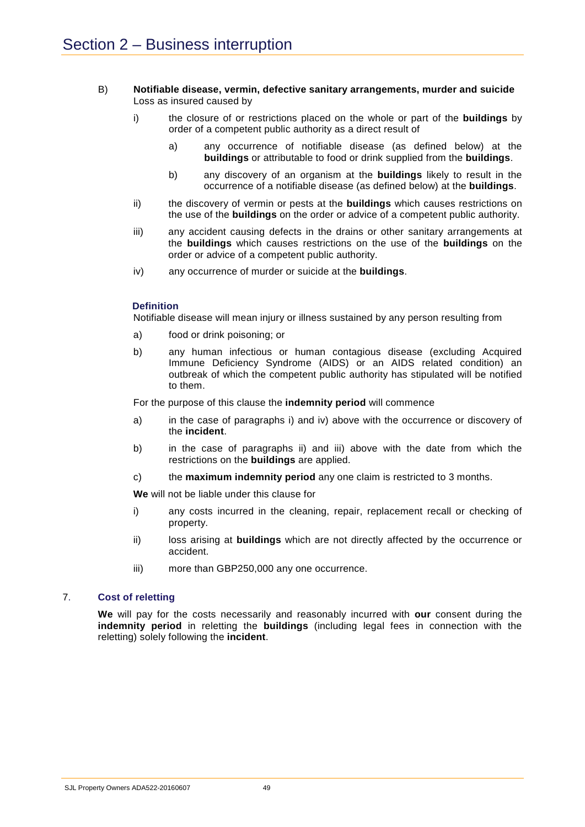### B) **Notifiable disease, vermin, defective sanitary arrangements, murder and suicide** Loss as insured caused by

- i) the closure of or restrictions placed on the whole or part of the **buildings** by order of a competent public authority as a direct result of
	- a) any occurrence of notifiable disease (as defined below) at the **buildings** or attributable to food or drink supplied from the **buildings**.
	- b) any discovery of an organism at the **buildings** likely to result in the occurrence of a notifiable disease (as defined below) at the **buildings**.
- ii) the discovery of vermin or pests at the **buildings** which causes restrictions on the use of the **buildings** on the order or advice of a competent public authority.
- iii) any accident causing defects in the drains or other sanitary arrangements at the **buildings** which causes restrictions on the use of the **buildings** on the order or advice of a competent public authority.
- iv) any occurrence of murder or suicide at the **buildings**.

### **Definition**

Notifiable disease will mean injury or illness sustained by any person resulting from

- a) food or drink poisoning; or
- b) any human infectious or human contagious disease (excluding Acquired Immune Deficiency Syndrome (AIDS) or an AIDS related condition) an outbreak of which the competent public authority has stipulated will be notified to them.

For the purpose of this clause the **indemnity period** will commence

- a) in the case of paragraphs i) and iv) above with the occurrence or discovery of the **incident**.
- b) in the case of paragraphs ii) and iii) above with the date from which the restrictions on the **buildings** are applied.
- c) the **maximum indemnity period** any one claim is restricted to 3 months.

**We** will not be liable under this clause for

- i) any costs incurred in the cleaning, repair, replacement recall or checking of property.
- ii) loss arising at **buildings** which are not directly affected by the occurrence or accident.
- iii) more than GBP250,000 any one occurrence.

### 7. **Cost of reletting**

**We** will pay for the costs necessarily and reasonably incurred with **our** consent during the **indemnity period** in reletting the **buildings** (including legal fees in connection with the reletting) solely following the **incident**.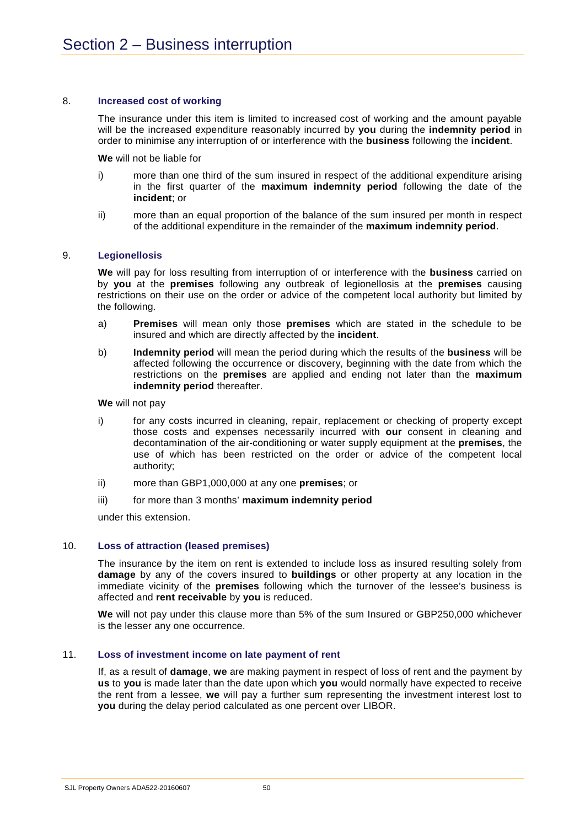### 8. **Increased cost of working**

The insurance under this item is limited to increased cost of working and the amount payable will be the increased expenditure reasonably incurred by **you** during the **indemnity period** in order to minimise any interruption of or interference with the **business** following the **incident**.

**We** will not be liable for

- i) more than one third of the sum insured in respect of the additional expenditure arising in the first quarter of the **maximum indemnity period** following the date of the **incident**; or
- ii) more than an equal proportion of the balance of the sum insured per month in respect of the additional expenditure in the remainder of the **maximum indemnity period**.

### 9. **Legionellosis**

**We** will pay for loss resulting from interruption of or interference with the **business** carried on by **you** at the **premises** following any outbreak of legionellosis at the **premises** causing restrictions on their use on the order or advice of the competent local authority but limited by the following.

- a) **Premises** will mean only those **premises** which are stated in the schedule to be insured and which are directly affected by the **incident**.
- b) **Indemnity period** will mean the period during which the results of the **business** will be affected following the occurrence or discovery, beginning with the date from which the restrictions on the **premises** are applied and ending not later than the **maximum indemnity period** thereafter.

**We** will not pay

- i) for any costs incurred in cleaning, repair, replacement or checking of property except those costs and expenses necessarily incurred with **our** consent in cleaning and decontamination of the air-conditioning or water supply equipment at the **premises**, the use of which has been restricted on the order or advice of the competent local authority;
- ii) more than GBP1,000,000 at any one **premises**; or
- iii) for more than 3 months' **maximum indemnity period**

under this extension.

### 10. **Loss of attraction (leased premises)**

The insurance by the item on rent is extended to include loss as insured resulting solely from **damage** by any of the covers insured to **buildings** or other property at any location in the immediate vicinity of the **premises** following which the turnover of the lessee's business is affected and **rent receivable** by **you** is reduced.

**We** will not pay under this clause more than 5% of the sum Insured or GBP250,000 whichever is the lesser any one occurrence.

### 11. **Loss of investment income on late payment of rent**

If, as a result of **damage**, **we** are making payment in respect of loss of rent and the payment by **us** to **you** is made later than the date upon which **you** would normally have expected to receive the rent from a lessee, **we** will pay a further sum representing the investment interest lost to **you** during the delay period calculated as one percent over LIBOR.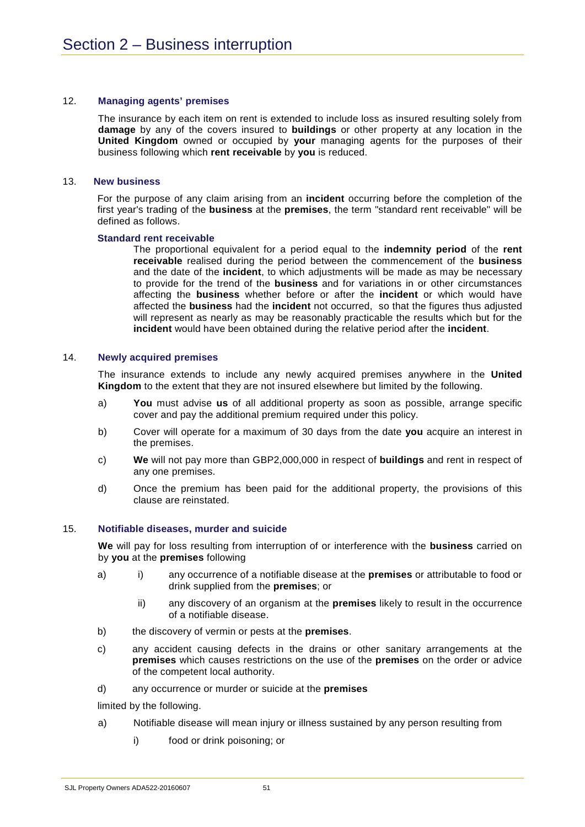### 12. **Managing agents' premises**

The insurance by each item on rent is extended to include loss as insured resulting solely from **damage** by any of the covers insured to **buildings** or other property at any location in the **United Kingdom** owned or occupied by **your** managing agents for the purposes of their business following which **rent receivable** by **you** is reduced.

### 13. **New business**

For the purpose of any claim arising from an **incident** occurring before the completion of the first year's trading of the **business** at the **premises**, the term "standard rent receivable" will be defined as follows.

### **Standard rent receivable**

The proportional equivalent for a period equal to the **indemnity period** of the **rent receivable** realised during the period between the commencement of the **business** and the date of the **incident**, to which adjustments will be made as may be necessary to provide for the trend of the **business** and for variations in or other circumstances affecting the **business** whether before or after the **incident** or which would have affected the **business** had the **incident** not occurred, so that the figures thus adjusted will represent as nearly as may be reasonably practicable the results which but for the **incident** would have been obtained during the relative period after the **incident**.

### 14. **Newly acquired premises**

The insurance extends to include any newly acquired premises anywhere in the **United Kingdom** to the extent that they are not insured elsewhere but limited by the following.

- a) **You** must advise **us** of all additional property as soon as possible, arrange specific cover and pay the additional premium required under this policy.
- b) Cover will operate for a maximum of 30 days from the date **you** acquire an interest in the premises.
- c) **We** will not pay more than GBP2,000,000 in respect of **buildings** and rent in respect of any one premises.
- d) Once the premium has been paid for the additional property, the provisions of this clause are reinstated.

### 15. **Notifiable diseases, murder and suicide**

**We** will pay for loss resulting from interruption of or interference with the **business** carried on by **you** at the **premises** following

- a) i) any occurrence of a notifiable disease at the **premises** or attributable to food or drink supplied from the **premises**; or
	- ii) any discovery of an organism at the **premises** likely to result in the occurrence of a notifiable disease.
- b) the discovery of vermin or pests at the **premises**.
- c) any accident causing defects in the drains or other sanitary arrangements at the **premises** which causes restrictions on the use of the **premises** on the order or advice of the competent local authority.
- d) any occurrence or murder or suicide at the **premises**

limited by the following.

- a) Notifiable disease will mean injury or illness sustained by any person resulting from
	- i) food or drink poisoning; or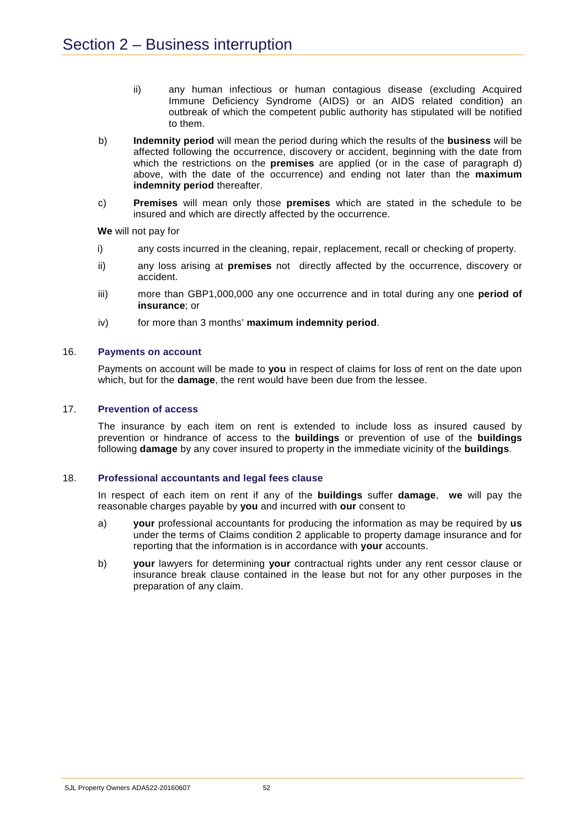- ii) any human infectious or human contagious disease (excluding Acquired Immune Deficiency Syndrome (AIDS) or an AIDS related condition) an outbreak of which the competent public authority has stipulated will be notified to them.
- b) **Indemnity period** will mean the period during which the results of the **business** will be affected following the occurrence, discovery or accident, beginning with the date from which the restrictions on the **premises** are applied (or in the case of paragraph d) above, with the date of the occurrence) and ending not later than the **maximum indemnity period** thereafter.
- c) **Premises** will mean only those **premises** which are stated in the schedule to be insured and which are directly affected by the occurrence.

**We** will not pay for

- i) any costs incurred in the cleaning, repair, replacement, recall or checking of property.
- ii) any loss arising at **premises** not directly affected by the occurrence, discovery or accident.
- iii) more than GBP1,000,000 any one occurrence and in total during any one **period of insurance**; or
- iv) for more than 3 months' **maximum indemnity period**.

### 16. **Payments on account**

Payments on account will be made to **you** in respect of claims for loss of rent on the date upon which, but for the **damage**, the rent would have been due from the lessee.

### 17. **Prevention of access**

The insurance by each item on rent is extended to include loss as insured caused by prevention or hindrance of access to the **buildings** or prevention of use of the **buildings** following **damage** by any cover insured to property in the immediate vicinity of the **buildings**.

### 18. **Professional accountants and legal fees clause**

In respect of each item on rent if any of the **buildings** suffer **damage**, **we** will pay the reasonable charges payable by **you** and incurred with **our** consent to

- a) **your** professional accountants for producing the information as may be required by **us** under the terms of Claims condition 2 applicable to property damage insurance and for reporting that the information is in accordance with **your** accounts.
- b) **your** lawyers for determining **your** contractual rights under any rent cessor clause or insurance break clause contained in the lease but not for any other purposes in the preparation of any claim.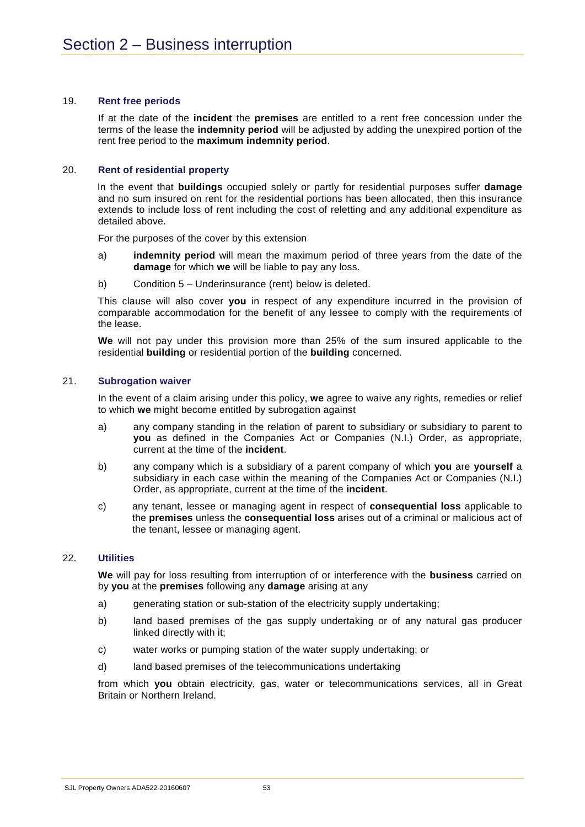### 19. **Rent free periods**

If at the date of the **incident** the **premises** are entitled to a rent free concession under the terms of the lease the **indemnity period** will be adjusted by adding the unexpired portion of the rent free period to the **maximum indemnity period**.

### 20. **Rent of residential property**

In the event that **buildings** occupied solely or partly for residential purposes suffer **damage** and no sum insured on rent for the residential portions has been allocated, then this insurance extends to include loss of rent including the cost of reletting and any additional expenditure as detailed above.

For the purposes of the cover by this extension

- a) **indemnity period** will mean the maximum period of three years from the date of the **damage** for which **we** will be liable to pay any loss.
- b) Condition 5 Underinsurance (rent) below is deleted.

This clause will also cover **you** in respect of any expenditure incurred in the provision of comparable accommodation for the benefit of any lessee to comply with the requirements of the lease.

**We** will not pay under this provision more than 25% of the sum insured applicable to the residential **building** or residential portion of the **building** concerned.

### 21. **Subrogation waiver**

In the event of a claim arising under this policy, **we** agree to waive any rights, remedies or relief to which **we** might become entitled by subrogation against

- a) any company standing in the relation of parent to subsidiary or subsidiary to parent to **you** as defined in the Companies Act or Companies (N.I.) Order, as appropriate, current at the time of the **incident**.
- b) any company which is a subsidiary of a parent company of which **you** are **yourself** a subsidiary in each case within the meaning of the Companies Act or Companies (N.I.) Order, as appropriate, current at the time of the **incident**.
- c) any tenant, lessee or managing agent in respect of **consequential loss** applicable to the **premises** unless the **consequential loss** arises out of a criminal or malicious act of the tenant, lessee or managing agent.

### 22. **Utilities**

**We** will pay for loss resulting from interruption of or interference with the **business** carried on by **you** at the **premises** following any **damage** arising at any

- a) generating station or sub-station of the electricity supply undertaking;
- b) land based premises of the gas supply undertaking or of any natural gas producer linked directly with it;
- c) water works or pumping station of the water supply undertaking; or
- d) land based premises of the telecommunications undertaking

from which **you** obtain electricity, gas, water or telecommunications services, all in Great Britain or Northern Ireland.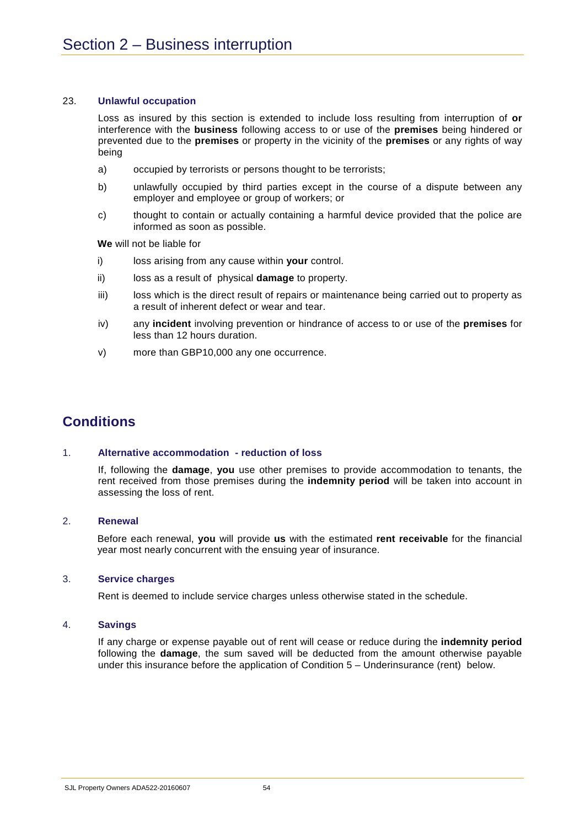### 23. **Unlawful occupation**

Loss as insured by this section is extended to include loss resulting from interruption of **or** interference with the **business** following access to or use of the **premises** being hindered or prevented due to the **premises** or property in the vicinity of the **premises** or any rights of way being

- a) occupied by terrorists or persons thought to be terrorists;
- b) unlawfully occupied by third parties except in the course of a dispute between any employer and employee or group of workers; or
- c) thought to contain or actually containing a harmful device provided that the police are informed as soon as possible.

**We** will not be liable for

- i) loss arising from any cause within **your** control.
- ii) loss as a result of physical **damage** to property.
- iii) loss which is the direct result of repairs or maintenance being carried out to property as a result of inherent defect or wear and tear.
- iv) any **incident** involving prevention or hindrance of access to or use of the **premises** for less than 12 hours duration.
- v) more than GBP10,000 any one occurrence.

## **Conditions**

### 1. **Alternative accommodation - reduction of loss**

If, following the **damage**, **you** use other premises to provide accommodation to tenants, the rent received from those premises during the **indemnity period** will be taken into account in assessing the loss of rent.

### 2. **Renewal**

Before each renewal, **you** will provide **us** with the estimated **rent receivable** for the financial year most nearly concurrent with the ensuing year of insurance.

### 3. **Service charges**

Rent is deemed to include service charges unless otherwise stated in the schedule.

### 4. **Savings**

If any charge or expense payable out of rent will cease or reduce during the **indemnity period** following the **damage**, the sum saved will be deducted from the amount otherwise payable under this insurance before the application of Condition 5 – Underinsurance (rent) below.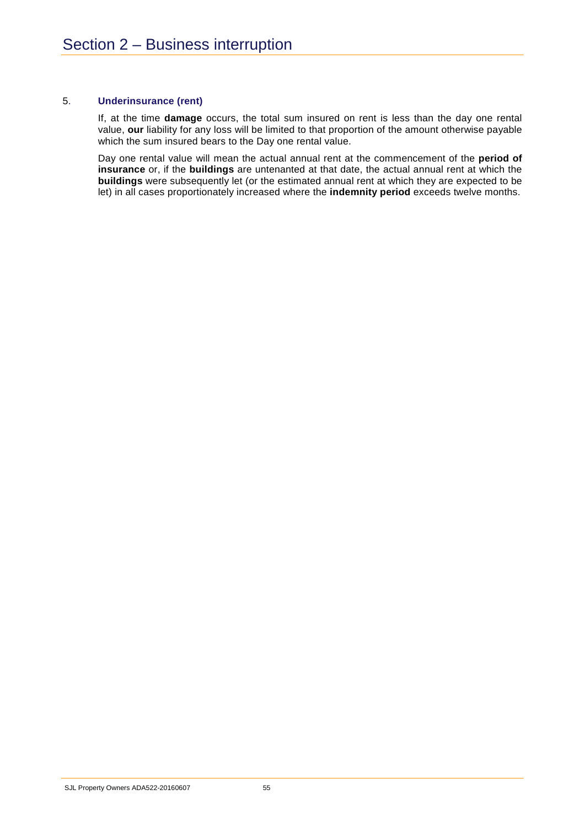### 5. **Underinsurance (rent)**

If, at the time **damage** occurs, the total sum insured on rent is less than the day one rental value, **our** liability for any loss will be limited to that proportion of the amount otherwise payable which the sum insured bears to the Day one rental value.

Day one rental value will mean the actual annual rent at the commencement of the **period of insurance** or, if the **buildings** are untenanted at that date, the actual annual rent at which the **buildings** were subsequently let (or the estimated annual rent at which they are expected to be let) in all cases proportionately increased where the **indemnity period** exceeds twelve months.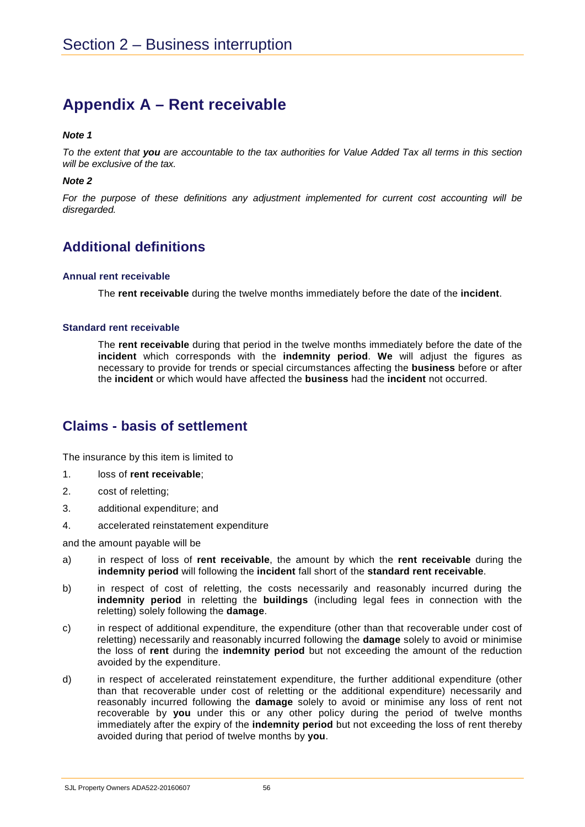# **Appendix A – Rent receivable**

### *Note 1*

*To the extent that you are accountable to the tax authorities for Value Added Tax all terms in this section will be exclusive of the tax.*

### *Note 2*

*For the purpose of these definitions any adjustment implemented for current cost accounting will be disregarded.*

# **Additional definitions**

### **Annual rent receivable**

The **rent receivable** during the twelve months immediately before the date of the **incident**.

### **Standard rent receivable**

The **rent receivable** during that period in the twelve months immediately before the date of the **incident** which corresponds with the **indemnity period**. **We** will adjust the figures as necessary to provide for trends or special circumstances affecting the **business** before or after the **incident** or which would have affected the **business** had the **incident** not occurred.

## **Claims - basis of settlement**

The insurance by this item is limited to

- 1. loss of **rent receivable**;
- 2. cost of reletting;
- 3. additional expenditure; and
- 4. accelerated reinstatement expenditure

and the amount payable will be

- a) in respect of loss of **rent receivable**, the amount by which the **rent receivable** during the **indemnity period** will following the **incident** fall short of the **standard rent receivable**.
- b) in respect of cost of reletting, the costs necessarily and reasonably incurred during the **indemnity period** in reletting the **buildings** (including legal fees in connection with the reletting) solely following the **damage**.
- c) in respect of additional expenditure, the expenditure (other than that recoverable under cost of reletting) necessarily and reasonably incurred following the **damage** solely to avoid or minimise the loss of **rent** during the **indemnity period** but not exceeding the amount of the reduction avoided by the expenditure.
- d) in respect of accelerated reinstatement expenditure, the further additional expenditure (other than that recoverable under cost of reletting or the additional expenditure) necessarily and reasonably incurred following the **damage** solely to avoid or minimise any loss of rent not recoverable by **you** under this or any other policy during the period of twelve months immediately after the expiry of the **indemnity period** but not exceeding the loss of rent thereby avoided during that period of twelve months by **you**.

SJL Property Owners ADA522-20160607 56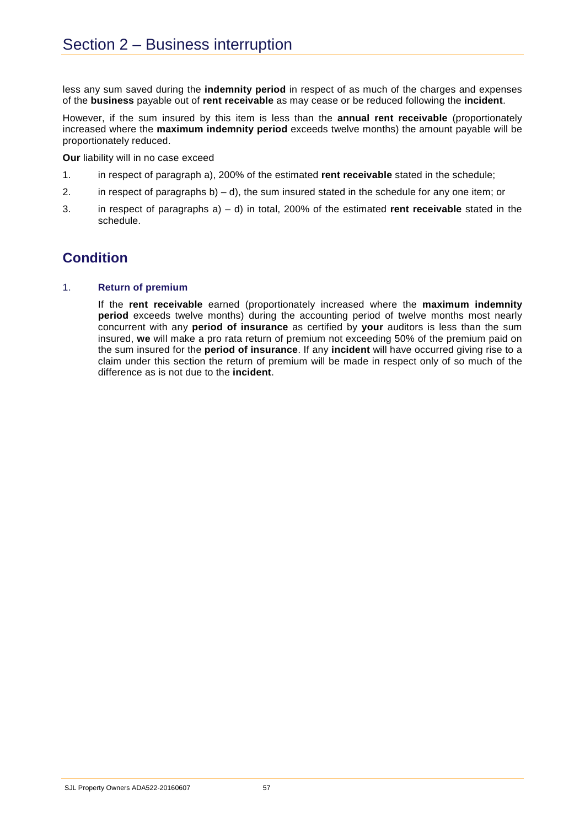less any sum saved during the **indemnity period** in respect of as much of the charges and expenses of the **business** payable out of **rent receivable** as may cease or be reduced following the **incident**.

However, if the sum insured by this item is less than the **annual rent receivable** (proportionately increased where the **maximum indemnity period** exceeds twelve months) the amount payable will be proportionately reduced.

**Our** liability will in no case exceed

- 1. in respect of paragraph a), 200% of the estimated **rent receivable** stated in the schedule;
- 2. in respect of paragraphs b) d), the sum insured stated in the schedule for any one item; or
- 3. in respect of paragraphs a) d) in total, 200% of the estimated **rent receivable** stated in the schedule.

# **Condition**

### 1. **Return of premium**

If the **rent receivable** earned (proportionately increased where the **maximum indemnity period** exceeds twelve months) during the accounting period of twelve months most nearly concurrent with any **period of insurance** as certified by **your** auditors is less than the sum insured, **we** will make a pro rata return of premium not exceeding 50% of the premium paid on the sum insured for the **period of insurance**. If any **incident** will have occurred giving rise to a claim under this section the return of premium will be made in respect only of so much of the difference as is not due to the **incident**.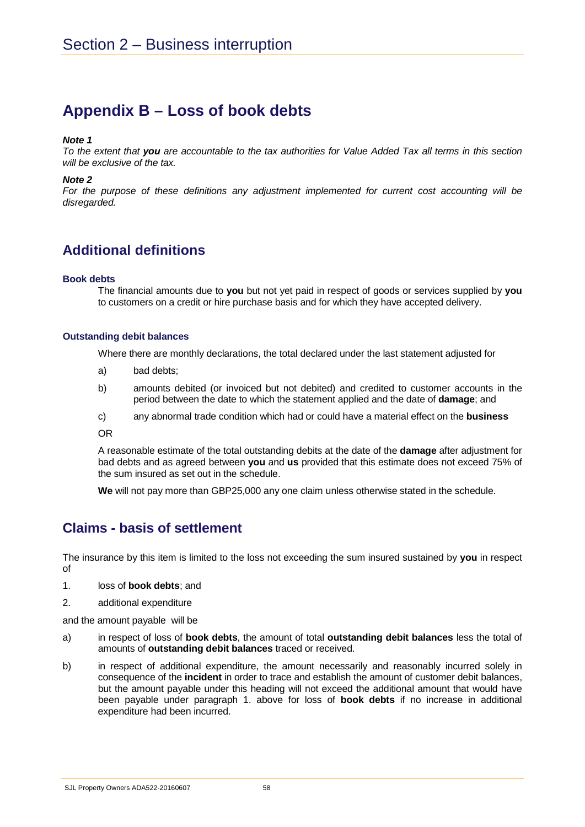# **Appendix B – Loss of book debts**

### *Note 1*

*To the extent that you are accountable to the tax authorities for Value Added Tax all terms in this section will be exclusive of the tax.*

### *Note 2*

*For the purpose of these definitions any adjustment implemented for current cost accounting will be disregarded.*

# **Additional definitions**

### **Book debts**

The financial amounts due to **you** but not yet paid in respect of goods or services supplied by **you** to customers on a credit or hire purchase basis and for which they have accepted delivery.

### **Outstanding debit balances**

Where there are monthly declarations, the total declared under the last statement adjusted for

- a) bad debts;
- b) amounts debited (or invoiced but not debited) and credited to customer accounts in the period between the date to which the statement applied and the date of **damage**; and
- c) any abnormal trade condition which had or could have a material effect on the **business**

OR

A reasonable estimate of the total outstanding debits at the date of the **damage** after adjustment for bad debts and as agreed between **you** and **us** provided that this estimate does not exceed 75% of the sum insured as set out in the schedule.

**We** will not pay more than GBP25,000 any one claim unless otherwise stated in the schedule.

### **Claims - basis of settlement**

The insurance by this item is limited to the loss not exceeding the sum insured sustained by **you** in respect of

- 1. loss of **book debts**; and
- 2. additional expenditure

and the amount payable will be

- a) in respect of loss of **book debts**, the amount of total **outstanding debit balances** less the total of amounts of **outstanding debit balances** traced or received.
- b) in respect of additional expenditure, the amount necessarily and reasonably incurred solely in consequence of the **incident** in order to trace and establish the amount of customer debit balances, but the amount payable under this heading will not exceed the additional amount that would have been payable under paragraph 1. above for loss of **book debts** if no increase in additional expenditure had been incurred.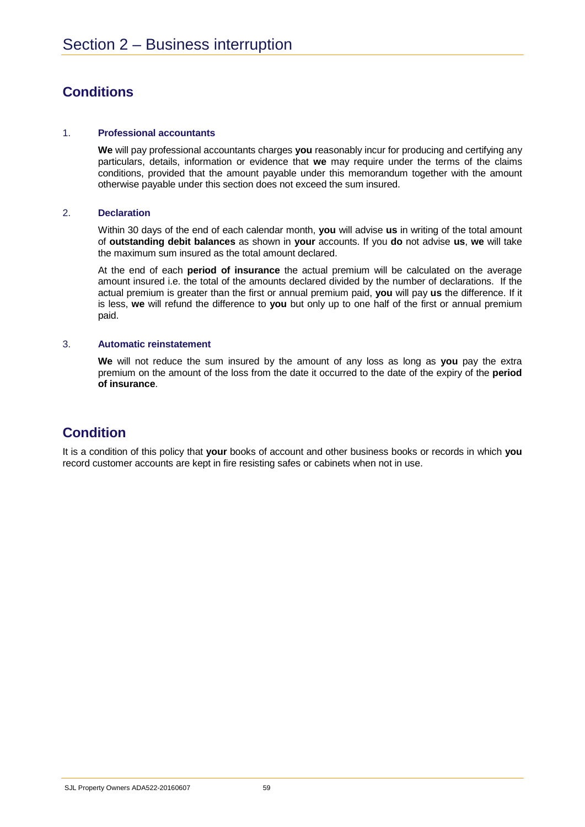# **Conditions**

### 1. **Professional accountants**

**We** will pay professional accountants charges **you** reasonably incur for producing and certifying any particulars, details, information or evidence that **we** may require under the terms of the claims conditions, provided that the amount payable under this memorandum together with the amount otherwise payable under this section does not exceed the sum insured.

### 2. **Declaration**

Within 30 days of the end of each calendar month, **you** will advise **us** in writing of the total amount of **outstanding debit balances** as shown in **your** accounts. If you **do** not advise **us**, **we** will take the maximum sum insured as the total amount declared.

At the end of each **period of insurance** the actual premium will be calculated on the average amount insured i.e. the total of the amounts declared divided by the number of declarations. If the actual premium is greater than the first or annual premium paid, **you** will pay **us** the difference. If it is less, **we** will refund the difference to **you** but only up to one half of the first or annual premium paid.

### 3. **Automatic reinstatement**

**We** will not reduce the sum insured by the amount of any loss as long as **you** pay the extra premium on the amount of the loss from the date it occurred to the date of the expiry of the **period of insurance**.

## **Condition**

It is a condition of this policy that **your** books of account and other business books or records in which **you** record customer accounts are kept in fire resisting safes or cabinets when not in use.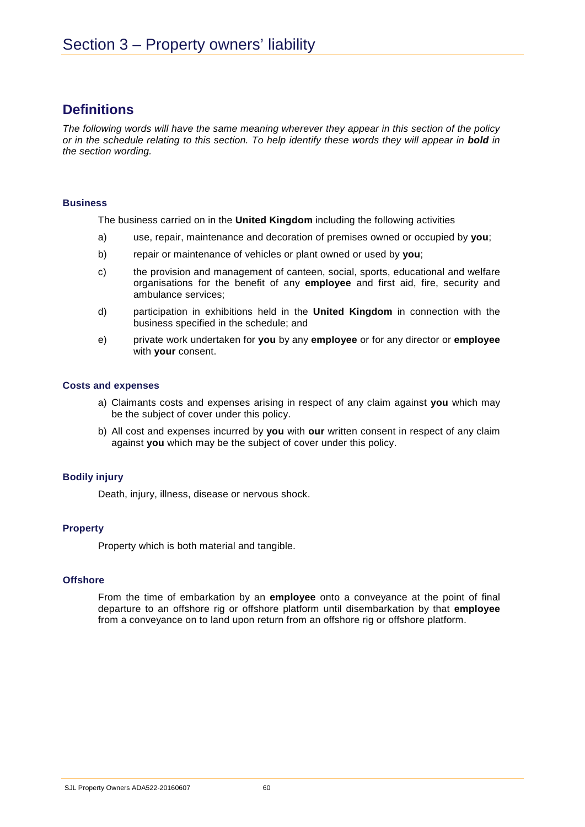## **Definitions**

*The following words will have the same meaning wherever they appear in this section of the policy or in the schedule relating to this section. To help identify these words they will appear in bold in the section wording.* 

### **Business**

The business carried on in the **United Kingdom** including the following activities

- a) use, repair, maintenance and decoration of premises owned or occupied by **you**;
- b) repair or maintenance of vehicles or plant owned or used by **you**;
- c) the provision and management of canteen, social, sports, educational and welfare organisations for the benefit of any **employee** and first aid, fire, security and ambulance services;
- d) participation in exhibitions held in the **United Kingdom** in connection with the business specified in the schedule; and
- e) private work undertaken for **you** by any **employee** or for any director or **employee** with **your** consent.

### **Costs and expenses**

- a) Claimants costs and expenses arising in respect of any claim against **you** which may be the subject of cover under this policy.
- b) All cost and expenses incurred by **you** with **our** written consent in respect of any claim against **you** which may be the subject of cover under this policy.

### **Bodily injury**

Death, injury, illness, disease or nervous shock.

### **Property**

Property which is both material and tangible.

### **Offshore**

From the time of embarkation by an **employee** onto a conveyance at the point of final departure to an offshore rig or offshore platform until disembarkation by that **employee** from a conveyance on to land upon return from an offshore rig or offshore platform.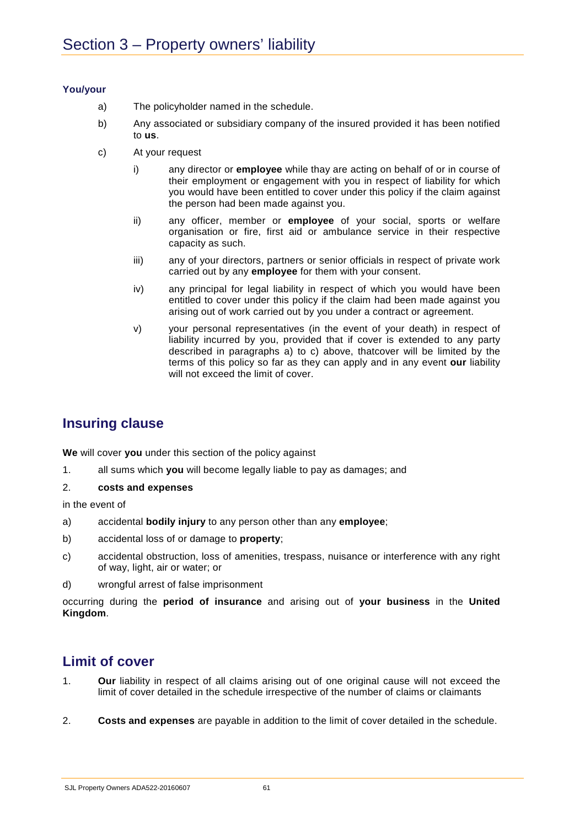### **You/your**

- a) The policyholder named in the schedule.
- b) Any associated or subsidiary company of the insured provided it has been notified to **us**.
- c) At your request
	- i) any director or **employee** while thay are acting on behalf of or in course of their employment or engagement with you in respect of liability for which you would have been entitled to cover under this policy if the claim against the person had been made against you.
	- ii) any officer, member or **employee** of your social, sports or welfare organisation or fire, first aid or ambulance service in their respective capacity as such.
	- iii) any of your directors, partners or senior officials in respect of private work carried out by any **employee** for them with your consent.
	- iv) any principal for legal liability in respect of which you would have been entitled to cover under this policy if the claim had been made against you arising out of work carried out by you under a contract or agreement.
	- v) your personal representatives (in the event of your death) in respect of liability incurred by you, provided that if cover is extended to any party described in paragraphs a) to c) above, thatcover will be limited by the terms of this policy so far as they can apply and in any event **our** liability will not exceed the limit of cover.

# **Insuring clause**

**We** will cover **you** under this section of the policy against

- 1. all sums which **you** will become legally liable to pay as damages; and
- 2. **costs and expenses**

in the event of

- a) accidental **bodily injury** to any person other than any **employee**;
- b) accidental loss of or damage to **property**;
- c) accidental obstruction, loss of amenities, trespass, nuisance or interference with any right of way, light, air or water; or
- d) wrongful arrest of false imprisonment

occurring during the **period of insurance** and arising out of **your business** in the **United Kingdom**.

## **Limit of cover**

- 1. **Our** liability in respect of all claims arising out of one original cause will not exceed the limit of cover detailed in the schedule irrespective of the number of claims or claimants
- 2. **Costs and expenses** are payable in addition to the limit of cover detailed in the schedule.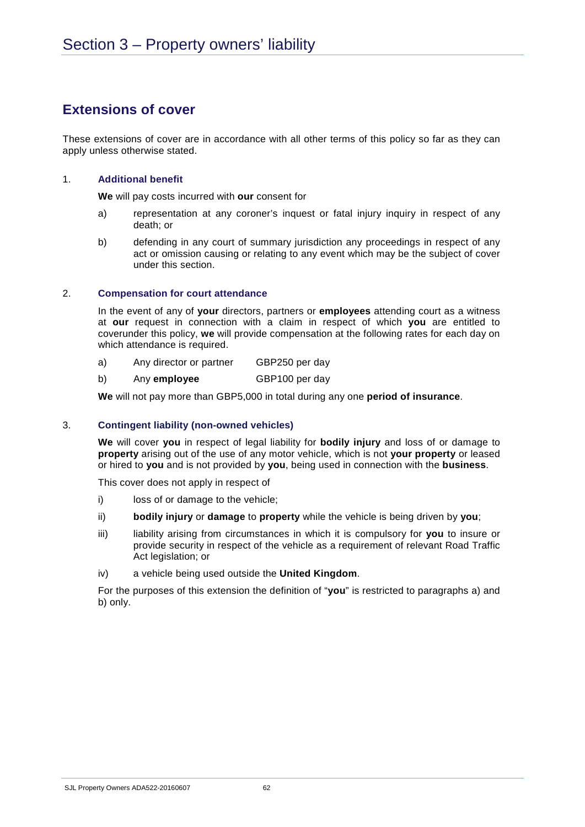## **Extensions of cover**

These extensions of cover are in accordance with all other terms of this policy so far as they can apply unless otherwise stated.

### 1. **Additional benefit**

**We** will pay costs incurred with **our** consent for

- a) representation at any coroner's inquest or fatal injury inquiry in respect of any death; or
- b) defending in any court of summary jurisdiction any proceedings in respect of any act or omission causing or relating to any event which may be the subject of cover under this section.

### 2. **Compensation for court attendance**

In the event of any of **your** directors, partners or **employees** attending court as a witness at **our** request in connection with a claim in respect of which **you** are entitled to coverunder this policy, **we** will provide compensation at the following rates for each day on which attendance is required.

- a) Any director or partner GBP250 per day
- b) Any **employee** GBP100 per day

**We** will not pay more than GBP5,000 in total during any one **period of insurance**.

### 3. **Contingent liability (non-owned vehicles)**

**We** will cover **you** in respect of legal liability for **bodily injury** and loss of or damage to **property** arising out of the use of any motor vehicle, which is not **your property** or leased or hired to **you** and is not provided by **you**, being used in connection with the **business**.

This cover does not apply in respect of

- i) loss of or damage to the vehicle;
- ii) **bodily injury** or **damage** to **property** while the vehicle is being driven by **you**;
- iii) liability arising from circumstances in which it is compulsory for you to insure or provide security in respect of the vehicle as a requirement of relevant Road Traffic Act legislation; or
- iv) a vehicle being used outside the **United Kingdom**.

For the purposes of this extension the definition of "**you**" is restricted to paragraphs a) and b) only.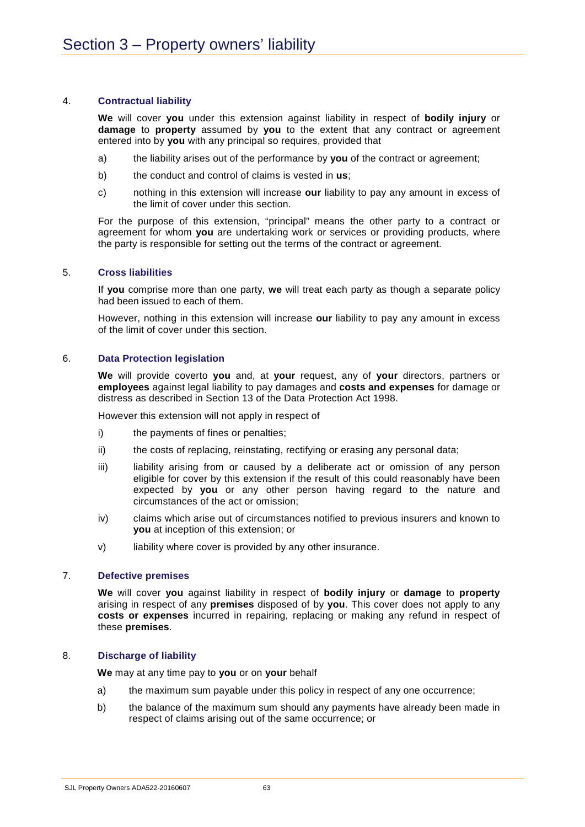### 4. **Contractual liability**

**We** will cover **you** under this extension against liability in respect of **bodily injury** or **damage** to **property** assumed by **you** to the extent that any contract or agreement entered into by **you** with any principal so requires, provided that

- a) the liability arises out of the performance by **you** of the contract or agreement;
- b) the conduct and control of claims is vested in **us**;
- c) nothing in this extension will increase **our** liability to pay any amount in excess of the limit of cover under this section.

For the purpose of this extension, "principal" means the other party to a contract or agreement for whom **you** are undertaking work or services or providing products, where the party is responsible for setting out the terms of the contract or agreement.

### 5. **Cross liabilities**

If **you** comprise more than one party, **we** will treat each party as though a separate policy had been issued to each of them.

However, nothing in this extension will increase **our** liability to pay any amount in excess of the limit of cover under this section.

### 6. **Data Protection legislation**

**We** will provide coverto **you** and, at **your** request, any of **your** directors, partners or **employees** against legal liability to pay damages and **costs and expenses** for damage or distress as described in Section 13 of the Data Protection Act 1998.

However this extension will not apply in respect of

- i) the payments of fines or penalties;
- ii) the costs of replacing, reinstating, rectifying or erasing any personal data;
- iii) liability arising from or caused by a deliberate act or omission of any person eligible for cover by this extension if the result of this could reasonably have been expected by **you** or any other person having regard to the nature and circumstances of the act or omission;
- iv) claims which arise out of circumstances notified to previous insurers and known to **you** at inception of this extension; or
- v) liability where cover is provided by any other insurance.

### 7. **Defective premises**

**We** will cover **you** against liability in respect of **bodily injury** or **damage** to **property** arising in respect of any **premises** disposed of by **you**. This cover does not apply to any **costs or expenses** incurred in repairing, replacing or making any refund in respect of these **premises**.

### 8. **Discharge of liability**

**We** may at any time pay to **you** or on **your** behalf

- a) the maximum sum payable under this policy in respect of any one occurrence;
- b) the balance of the maximum sum should any payments have already been made in respect of claims arising out of the same occurrence; or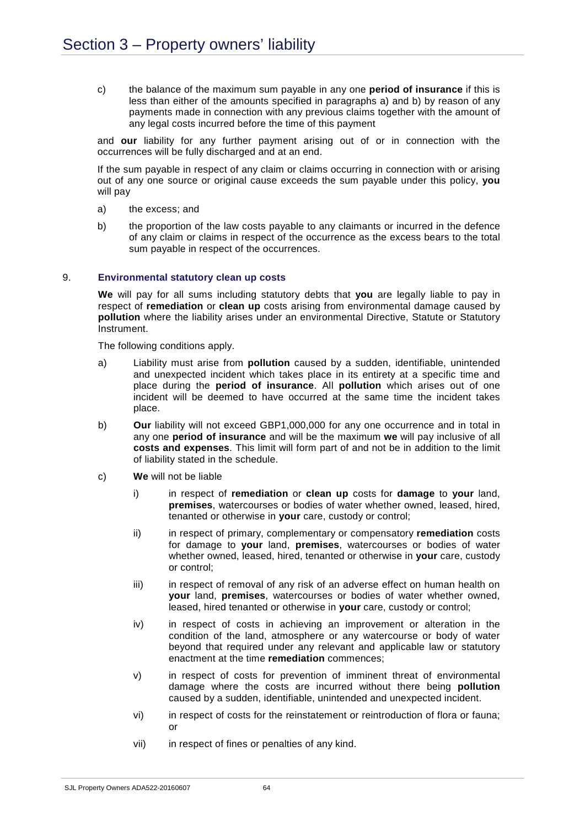c) the balance of the maximum sum payable in any one **period of insurance** if this is less than either of the amounts specified in paragraphs a) and b) by reason of any payments made in connection with any previous claims together with the amount of any legal costs incurred before the time of this payment

and **our** liability for any further payment arising out of or in connection with the occurrences will be fully discharged and at an end.

If the sum payable in respect of any claim or claims occurring in connection with or arising out of any one source or original cause exceeds the sum payable under this policy, **you** will pay

- a) the excess; and
- b) the proportion of the law costs payable to any claimants or incurred in the defence of any claim or claims in respect of the occurrence as the excess bears to the total sum payable in respect of the occurrences.

### 9. **Environmental statutory clean up costs**

**We** will pay for all sums including statutory debts that **you** are legally liable to pay in respect of **remediation** or **clean up** costs arising from environmental damage caused by **pollution** where the liability arises under an environmental Directive, Statute or Statutory Instrument.

The following conditions apply.

- a) Liability must arise from **pollution** caused by a sudden, identifiable, unintended and unexpected incident which takes place in its entirety at a specific time and place during the **period of insurance**. All **pollution** which arises out of one incident will be deemed to have occurred at the same time the incident takes place.
- b) **Our** liability will not exceed GBP1,000,000 for any one occurrence and in total in any one **period of insurance** and will be the maximum **we** will pay inclusive of all **costs and expenses**. This limit will form part of and not be in addition to the limit of liability stated in the schedule.
- c) **We** will not be liable
	- i) in respect of **remediation** or **clean up** costs for **damage** to **your** land, **premises**, watercourses or bodies of water whether owned, leased, hired, tenanted or otherwise in **your** care, custody or control;
	- ii) in respect of primary, complementary or compensatory **remediation** costs for damage to **your** land, **premises**, watercourses or bodies of water whether owned, leased, hired, tenanted or otherwise in **your** care, custody or control;
	- iii) in respect of removal of any risk of an adverse effect on human health on **your** land, **premises**, watercourses or bodies of water whether owned, leased, hired tenanted or otherwise in **your** care, custody or control;
	- iv) in respect of costs in achieving an improvement or alteration in the condition of the land, atmosphere or any watercourse or body of water beyond that required under any relevant and applicable law or statutory enactment at the time **remediation** commences;
	- v) in respect of costs for prevention of imminent threat of environmental damage where the costs are incurred without there being **pollution** caused by a sudden, identifiable, unintended and unexpected incident.
	- vi) in respect of costs for the reinstatement or reintroduction of flora or fauna; or
	- vii) in respect of fines or penalties of any kind.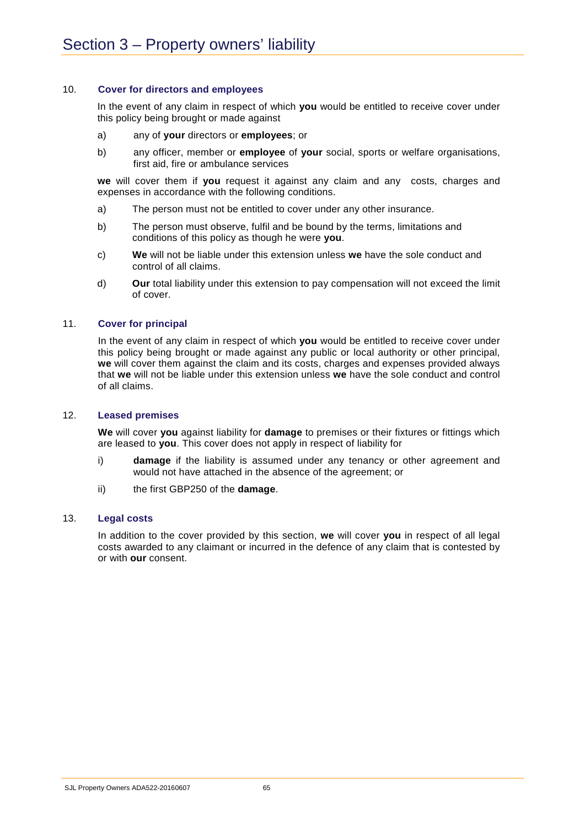### 10. **Cover for directors and employees**

In the event of any claim in respect of which **you** would be entitled to receive cover under this policy being brought or made against

- a) any of **your** directors or **employees**; or
- b) any officer, member or **employee** of **your** social, sports or welfare organisations, first aid, fire or ambulance services

**we** will cover them if **you** request it against any claim and any costs, charges and expenses in accordance with the following conditions.

- a) The person must not be entitled to cover under any other insurance.
- b) The person must observe, fulfil and be bound by the terms, limitations and conditions of this policy as though he were **you**.
- c) **We** will not be liable under this extension unless **we** have the sole conduct and control of all claims.
- d) **Our** total liability under this extension to pay compensation will not exceed the limit of cover.

### 11. **Cover for principal**

In the event of any claim in respect of which **you** would be entitled to receive cover under this policy being brought or made against any public or local authority or other principal, **we** will cover them against the claim and its costs, charges and expenses provided always that **we** will not be liable under this extension unless **we** have the sole conduct and control of all claims.

### 12. **Leased premises**

**We** will cover **you** against liability for **damage** to premises or their fixtures or fittings which are leased to **you**. This cover does not apply in respect of liability for

- i) **damage** if the liability is assumed under any tenancy or other agreement and would not have attached in the absence of the agreement; or
- ii) the first GBP250 of the **damage**.

### 13. **Legal costs**

In addition to the cover provided by this section, **we** will cover **you** in respect of all legal costs awarded to any claimant or incurred in the defence of any claim that is contested by or with **our** consent.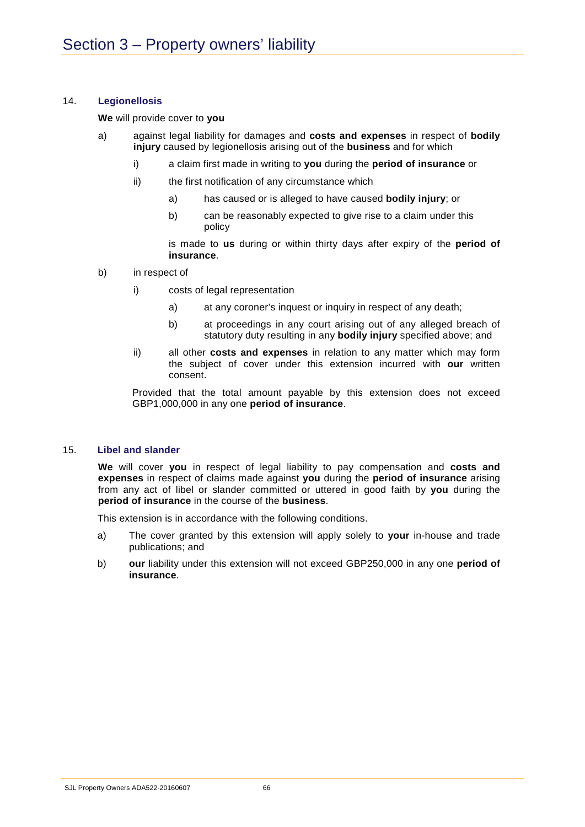### 14. **Legionellosis**

### **We** will provide cover to **you**

- a) against legal liability for damages and **costs and expenses** in respect of **bodily injury** caused by legionellosis arising out of the **business** and for which
	- i) a claim first made in writing to **you** during the **period of insurance** or
	- ii) the first notification of any circumstance which
		- a) has caused or is alleged to have caused **bodily injury**; or
		- b) can be reasonably expected to give rise to a claim under this policy

is made to **us** during or within thirty days after expiry of the **period of insurance**.

- b) in respect of
	- i) costs of legal representation
		- a) at any coroner's inquest or inquiry in respect of any death;
		- b) at proceedings in any court arising out of any alleged breach of statutory duty resulting in any **bodily injury** specified above; and
	- ii) all other **costs and expenses** in relation to any matter which may form the subject of cover under this extension incurred with **our** written consent.

Provided that the total amount payable by this extension does not exceed GBP1,000,000 in any one **period of insurance**.

### 15. **Libel and slander**

**We** will cover **you** in respect of legal liability to pay compensation and **costs and expenses** in respect of claims made against **you** during the **period of insurance** arising from any act of libel or slander committed or uttered in good faith by **you** during the **period of insurance** in the course of the **business**.

This extension is in accordance with the following conditions.

- a) The cover granted by this extension will apply solely to **your** in-house and trade publications; and
- b) **our** liability under this extension will not exceed GBP250,000 in any one **period of insurance**.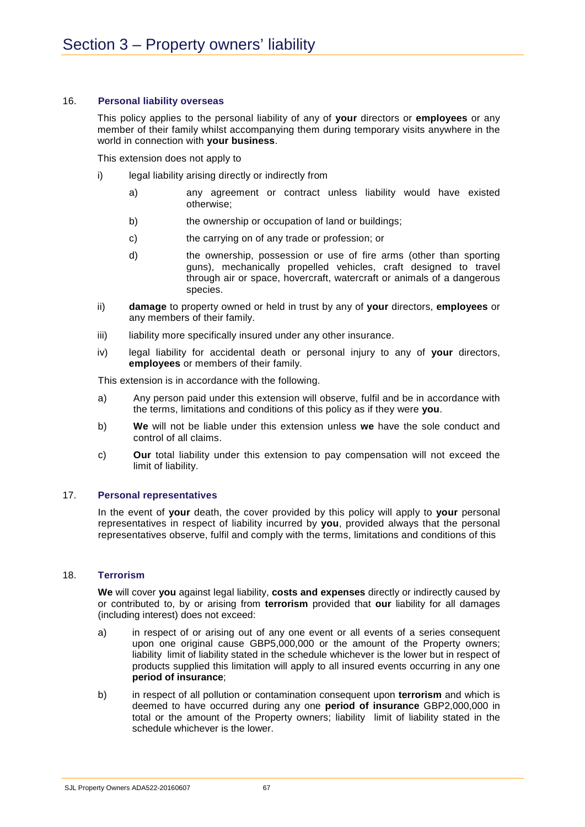### 16. **Personal liability overseas**

This policy applies to the personal liability of any of **your** directors or **employees** or any member of their family whilst accompanying them during temporary visits anywhere in the world in connection with **your business**.

This extension does not apply to

- i) legal liability arising directly or indirectly from
	- a) any agreement or contract unless liability would have existed otherwise;
	- b) the ownership or occupation of land or buildings;
	- c) the carrying on of any trade or profession; or
	- d) the ownership, possession or use of fire arms (other than sporting guns), mechanically propelled vehicles, craft designed to travel through air or space, hovercraft, watercraft or animals of a dangerous species.
- ii) **damage** to property owned or held in trust by any of **your** directors, **employees** or any members of their family.
- iii) liability more specifically insured under any other insurance.
- iv) legal liability for accidental death or personal injury to any of **your** directors, **employees** or members of their family.

This extension is in accordance with the following.

- a) Any person paid under this extension will observe, fulfil and be in accordance with the terms, limitations and conditions of this policy as if they were **you**.
- b) **We** will not be liable under this extension unless **we** have the sole conduct and control of all claims.
- c) **Our** total liability under this extension to pay compensation will not exceed the limit of liability.

### 17. **Personal representatives**

In the event of **your** death, the cover provided by this policy will apply to **your** personal representatives in respect of liability incurred by **you**, provided always that the personal representatives observe, fulfil and comply with the terms, limitations and conditions of this

### 18. **Terrorism**

**We** will cover **you** against legal liability, **costs and expenses** directly or indirectly caused by or contributed to, by or arising from **terrorism** provided that **our** liability for all damages (including interest) does not exceed:

- a) in respect of or arising out of any one event or all events of a series consequent upon one original cause GBP5,000,000 or the amount of the Property owners; liability limit of liability stated in the schedule whichever is the lower but in respect of products supplied this limitation will apply to all insured events occurring in any one **period of insurance**;
- b) in respect of all pollution or contamination consequent upon **terrorism** and which is deemed to have occurred during any one **period of insurance** GBP2,000,000 in total or the amount of the Property owners; liability limit of liability stated in the schedule whichever is the lower.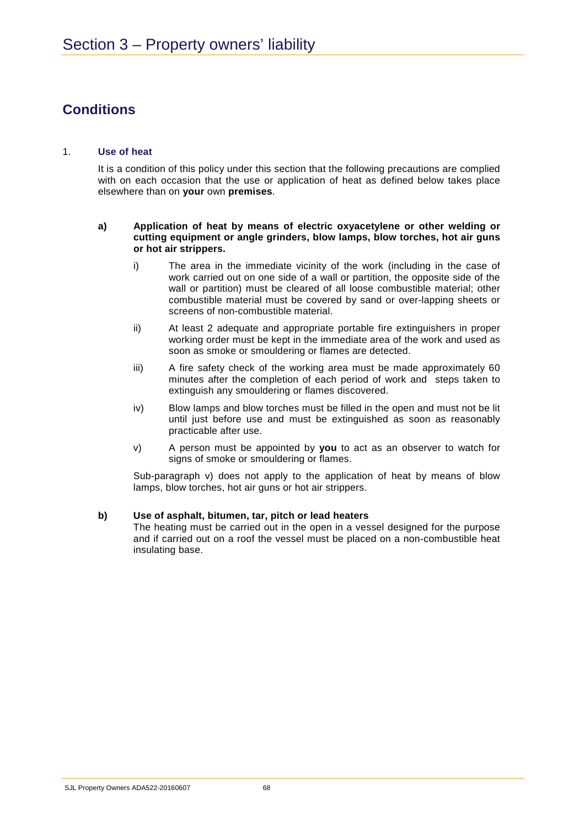# **Conditions**

### 1. **Use of heat**

It is a condition of this policy under this section that the following precautions are complied with on each occasion that the use or application of heat as defined below takes place elsewhere than on **your** own **premises**.

### **a) Application of heat by means of electric oxyacetylene or other welding or cutting equipment or angle grinders, blow lamps, blow torches, hot air guns or hot air strippers.**

- i) The area in the immediate vicinity of the work (including in the case of work carried out on one side of a wall or partition, the opposite side of the wall or partition) must be cleared of all loose combustible material; other combustible material must be covered by sand or over-lapping sheets or screens of non-combustible material.
- ii) At least 2 adequate and appropriate portable fire extinguishers in proper working order must be kept in the immediate area of the work and used as soon as smoke or smouldering or flames are detected.
- iii) A fire safety check of the working area must be made approximately 60 minutes after the completion of each period of work and steps taken to extinguish any smouldering or flames discovered.
- iv) Blow lamps and blow torches must be filled in the open and must not be lit until just before use and must be extinguished as soon as reasonably practicable after use.
- v) A person must be appointed by **you** to act as an observer to watch for signs of smoke or smouldering or flames.

Sub-paragraph v) does not apply to the application of heat by means of blow lamps, blow torches, hot air guns or hot air strippers.

### **b) Use of asphalt, bitumen, tar, pitch or lead heaters**

The heating must be carried out in the open in a vessel designed for the purpose and if carried out on a roof the vessel must be placed on a non-combustible heat insulating base.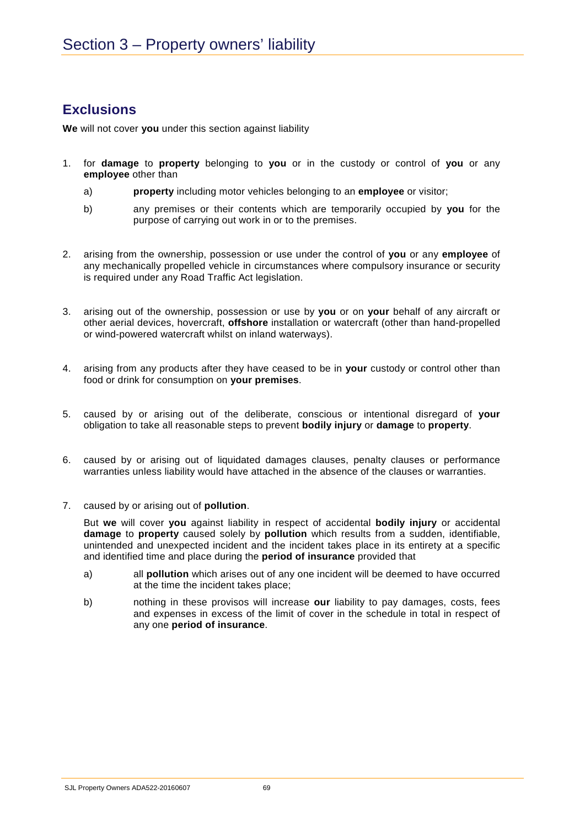# **Exclusions**

**We** will not cover **you** under this section against liability

- 1. for **damage** to **property** belonging to **you** or in the custody or control of **you** or any **employee** other than
	- a) **property** including motor vehicles belonging to an **employee** or visitor;
	- b) any premises or their contents which are temporarily occupied by **you** for the purpose of carrying out work in or to the premises.
- 2. arising from the ownership, possession or use under the control of **you** or any **employee** of any mechanically propelled vehicle in circumstances where compulsory insurance or security is required under any Road Traffic Act legislation.
- 3. arising out of the ownership, possession or use by **you** or on **your** behalf of any aircraft or other aerial devices, hovercraft, **offshore** installation or watercraft (other than hand-propelled or wind-powered watercraft whilst on inland waterways).
- 4. arising from any products after they have ceased to be in **your** custody or control other than food or drink for consumption on **your premises**.
- 5. caused by or arising out of the deliberate, conscious or intentional disregard of **your**  obligation to take all reasonable steps to prevent **bodily injury** or **damage** to **property**.
- 6. caused by or arising out of liquidated damages clauses, penalty clauses or performance warranties unless liability would have attached in the absence of the clauses or warranties.
- 7. caused by or arising out of **pollution**.

But **we** will cover **you** against liability in respect of accidental **bodily injury** or accidental **damage** to **property** caused solely by **pollution** which results from a sudden, identifiable, unintended and unexpected incident and the incident takes place in its entirety at a specific and identified time and place during the **period of insurance** provided that

- a) all **pollution** which arises out of any one incident will be deemed to have occurred at the time the incident takes place;
- b) nothing in these provisos will increase **our** liability to pay damages, costs, fees and expenses in excess of the limit of cover in the schedule in total in respect of any one **period of insurance**.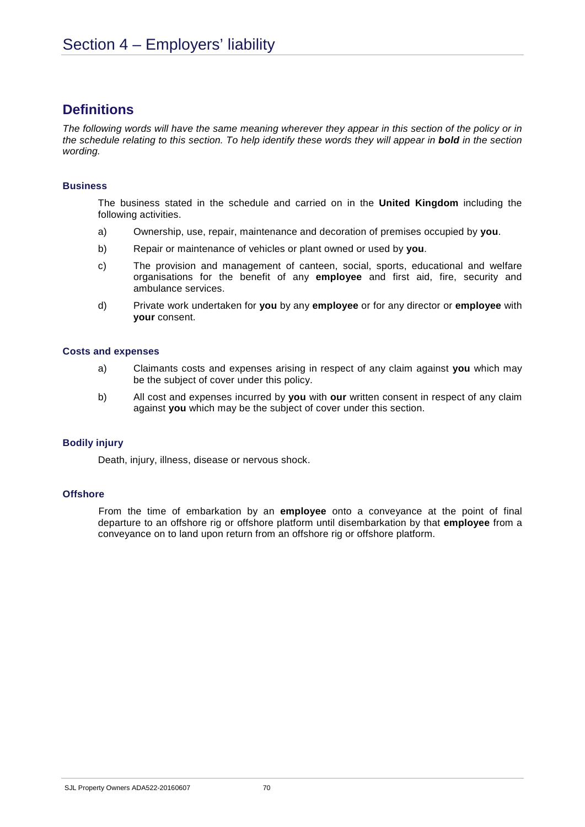## **Definitions**

*The following words will have the same meaning wherever they appear in this section of the policy or in the schedule relating to this section. To help identify these words they will appear in bold in the section wording.* 

### **Business**

The business stated in the schedule and carried on in the **United Kingdom** including the following activities.

- a) Ownership, use, repair, maintenance and decoration of premises occupied by **you**.
- b) Repair or maintenance of vehicles or plant owned or used by **you**.
- c) The provision and management of canteen, social, sports, educational and welfare organisations for the benefit of any **employee** and first aid, fire, security and ambulance services.
- d) Private work undertaken for **you** by any **employee** or for any director or **employee** with **your** consent.

### **Costs and expenses**

- a) Claimants costs and expenses arising in respect of any claim against **you** which may be the subject of cover under this policy.
- b) All cost and expenses incurred by **you** with **our** written consent in respect of any claim against **you** which may be the subject of cover under this section.

### **Bodily injury**

Death, injury, illness, disease or nervous shock.

### **Offshore**

From the time of embarkation by an **employee** onto a conveyance at the point of final departure to an offshore rig or offshore platform until disembarkation by that **employee** from a conveyance on to land upon return from an offshore rig or offshore platform.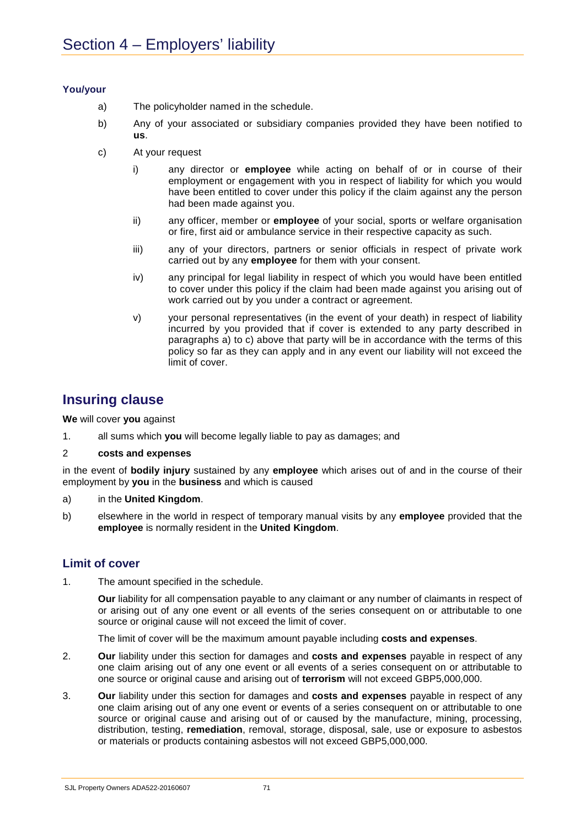### **You/your**

- a) The policyholder named in the schedule.
- b) Any of your associated or subsidiary companies provided they have been notified to **us**.
- c) At your request
	- i) any director or **employee** while acting on behalf of or in course of their employment or engagement with you in respect of liability for which you would have been entitled to cover under this policy if the claim against any the person had been made against you.
	- ii) any officer, member or **employee** of your social, sports or welfare organisation or fire, first aid or ambulance service in their respective capacity as such.
	- iii) any of your directors, partners or senior officials in respect of private work carried out by any **employee** for them with your consent.
	- iv) any principal for legal liability in respect of which you would have been entitled to cover under this policy if the claim had been made against you arising out of work carried out by you under a contract or agreement.
	- v) your personal representatives (in the event of your death) in respect of liability incurred by you provided that if cover is extended to any party described in paragraphs a) to c) above that party will be in accordance with the terms of this policy so far as they can apply and in any event our liability will not exceed the limit of cover.

## **Insuring clause**

**We** will cover **you** against

1. all sums which **you** will become legally liable to pay as damages; and

### 2 **costs and expenses**

in the event of **bodily injury** sustained by any **employee** which arises out of and in the course of their employment by **you** in the **business** and which is caused

- a) in the **United Kingdom**.
- b) elsewhere in the world in respect of temporary manual visits by any **employee** provided that the **employee** is normally resident in the **United Kingdom**.

### **Limit of cover**

1. The amount specified in the schedule.

**Our** liability for all compensation payable to any claimant or any number of claimants in respect of or arising out of any one event or all events of the series consequent on or attributable to one source or original cause will not exceed the limit of cover.

The limit of cover will be the maximum amount payable including **costs and expenses**.

- 2. **Our** liability under this section for damages and **costs and expenses** payable in respect of any one claim arising out of any one event or all events of a series consequent on or attributable to one source or original cause and arising out of **terrorism** will not exceed GBP5,000,000.
- 3. **Our** liability under this section for damages and **costs and expenses** payable in respect of any one claim arising out of any one event or events of a series consequent on or attributable to one source or original cause and arising out of or caused by the manufacture, mining, processing, distribution, testing, **remediation**, removal, storage, disposal, sale, use or exposure to asbestos or materials or products containing asbestos will not exceed GBP5,000,000.

SJL Property Owners ADA522-20160607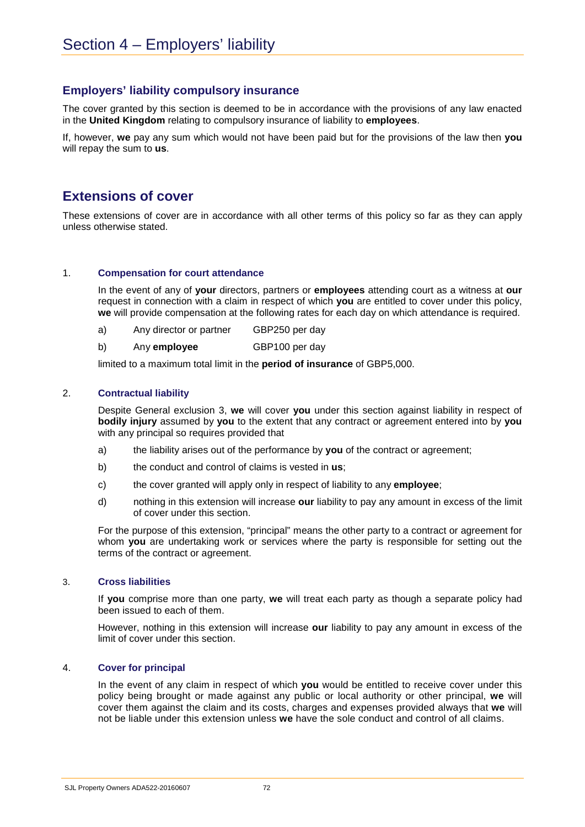## **Employers' liability compulsory insurance**

The cover granted by this section is deemed to be in accordance with the provisions of any law enacted in the **United Kingdom** relating to compulsory insurance of liability to **employees**.

If, however, **we** pay any sum which would not have been paid but for the provisions of the law then **you** will repay the sum to **us**.

# **Extensions of cover**

These extensions of cover are in accordance with all other terms of this policy so far as they can apply unless otherwise stated.

## 1. **Compensation for court attendance**

In the event of any of **your** directors, partners or **employees** attending court as a witness at **our** request in connection with a claim in respect of which **you** are entitled to cover under this policy, **we** will provide compensation at the following rates for each day on which attendance is required.

- a) Any director or partner GBP250 per day
- b) Any **employee** GBP100 per day

limited to a maximum total limit in the **period of insurance** of GBP5,000.

## 2. **Contractual liability**

Despite General exclusion 3, **we** will cover **you** under this section against liability in respect of **bodily injury** assumed by **you** to the extent that any contract or agreement entered into by **you** with any principal so requires provided that

- a) the liability arises out of the performance by **you** of the contract or agreement;
- b) the conduct and control of claims is vested in **us**;
- c) the cover granted will apply only in respect of liability to any **employee**;
- d) nothing in this extension will increase **our** liability to pay any amount in excess of the limit of cover under this section.

For the purpose of this extension, "principal" means the other party to a contract or agreement for whom **you** are undertaking work or services where the party is responsible for setting out the terms of the contract or agreement.

#### 3. **Cross liabilities**

If **you** comprise more than one party, **we** will treat each party as though a separate policy had been issued to each of them.

However, nothing in this extension will increase **our** liability to pay any amount in excess of the limit of cover under this section.

#### 4. **Cover for principal**

In the event of any claim in respect of which **you** would be entitled to receive cover under this policy being brought or made against any public or local authority or other principal, **we** will cover them against the claim and its costs, charges and expenses provided always that **we** will not be liable under this extension unless **we** have the sole conduct and control of all claims.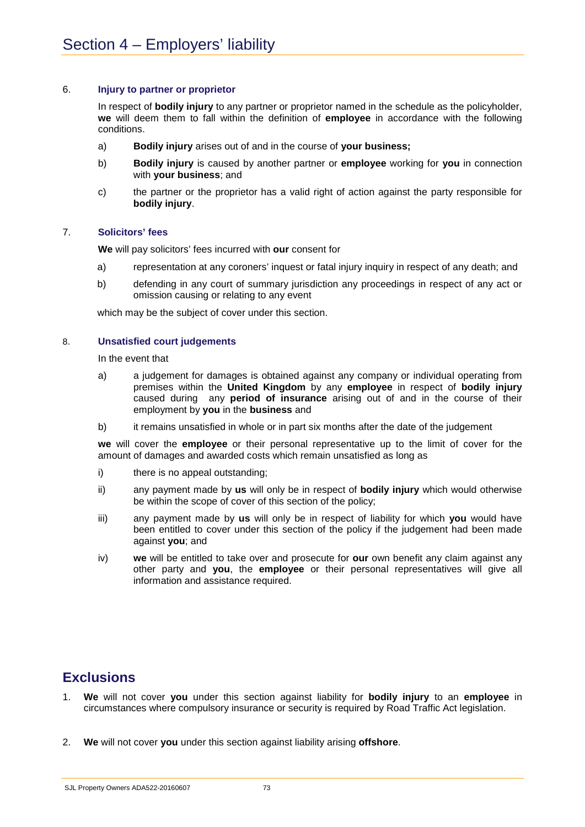## 6. **Injury to partner or proprietor**

In respect of **bodily injury** to any partner or proprietor named in the schedule as the policyholder, **we** will deem them to fall within the definition of **employee** in accordance with the following conditions.

- a) **Bodily injury** arises out of and in the course of **your business;**
- b) **Bodily injury** is caused by another partner or **employee** working for **you** in connection with **your business**; and
- c) the partner or the proprietor has a valid right of action against the party responsible for **bodily injury**.

## 7. **Solicitors' fees**

**We** will pay solicitors' fees incurred with **our** consent for

- a) representation at any coroners' inquest or fatal injury inquiry in respect of any death; and
- b) defending in any court of summary jurisdiction any proceedings in respect of any act or omission causing or relating to any event

which may be the subject of cover under this section.

## 8. **Unsatisfied court judgements**

In the event that

- a) a judgement for damages is obtained against any company or individual operating from premises within the **United Kingdom** by any **employee** in respect of **bodily injury** caused during any **period of insurance** arising out of and in the course of their employment by **you** in the **business** and
- b) it remains unsatisfied in whole or in part six months after the date of the judgement

**we** will cover the **employee** or their personal representative up to the limit of cover for the amount of damages and awarded costs which remain unsatisfied as long as

- i) there is no appeal outstanding;
- ii) any payment made by **us** will only be in respect of **bodily injury** which would otherwise be within the scope of cover of this section of the policy;
- iii) any payment made by **us** will only be in respect of liability for which **you** would have been entitled to cover under this section of the policy if the judgement had been made against **you**; and
- iv) **we** will be entitled to take over and prosecute for **our** own benefit any claim against any other party and **you**, the **employee** or their personal representatives will give all information and assistance required.

# **Exclusions**

- 1. **We** will not cover **you** under this section against liability for **bodily injury** to an **employee** in circumstances where compulsory insurance or security is required by Road Traffic Act legislation.
- 2. **We** will not cover **you** under this section against liability arising **offshore**.

SJL Property Owners ADA522-20160607 73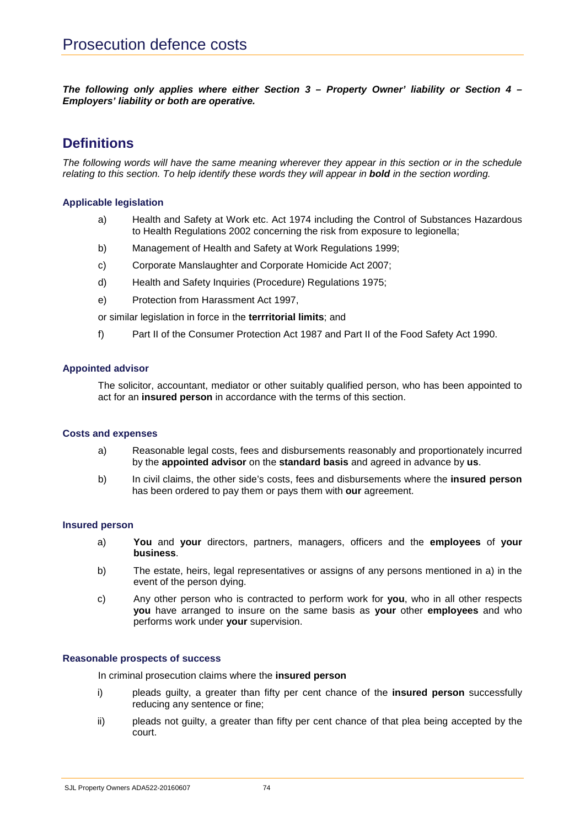*The following only applies where either Section 3 – Property Owner' liability or Section 4 – Employers' liability or both are operative.*

# **Definitions**

*The following words will have the same meaning wherever they appear in this section or in the schedule*  relating to this section. To help identify these words they will appear in **bold** in the section wording.

## **Applicable legislation**

- a) Health and Safety at Work etc. Act 1974 including the Control of Substances Hazardous to Health Regulations 2002 concerning the risk from exposure to legionella;
- b) Management of Health and Safety at Work Regulations 1999;
- c) Corporate Manslaughter and Corporate Homicide Act 2007;
- d) Health and Safety Inquiries (Procedure) Regulations 1975;
- e) Protection from Harassment Act 1997,

or similar legislation in force in the **terrritorial limits**; and

f) Part II of the Consumer Protection Act 1987 and Part II of the Food Safety Act 1990.

## **Appointed advisor**

The solicitor, accountant, mediator or other suitably qualified person, who has been appointed to act for an **insured person** in accordance with the terms of this section.

#### **Costs and expenses**

- a) Reasonable legal costs, fees and disbursements reasonably and proportionately incurred by the **appointed advisor** on the **standard basis** and agreed in advance by **us**.
- b) In civil claims, the other side's costs, fees and disbursements where the **insured person** has been ordered to pay them or pays them with **our** agreement.

#### **Insured person**

- a) **You** and **your** directors, partners, managers, officers and the **employees** of **your business**.
- b) The estate, heirs, legal representatives or assigns of any persons mentioned in a) in the event of the person dying.
- c) Any other person who is contracted to perform work for **you**, who in all other respects **you** have arranged to insure on the same basis as **your** other **employees** and who performs work under **your** supervision.

#### **Reasonable prospects of success**

In criminal prosecution claims where the **insured person**

- i) pleads guilty, a greater than fifty per cent chance of the **insured person** successfully reducing any sentence or fine;
- ii) pleads not guilty, a greater than fifty per cent chance of that plea being accepted by the court.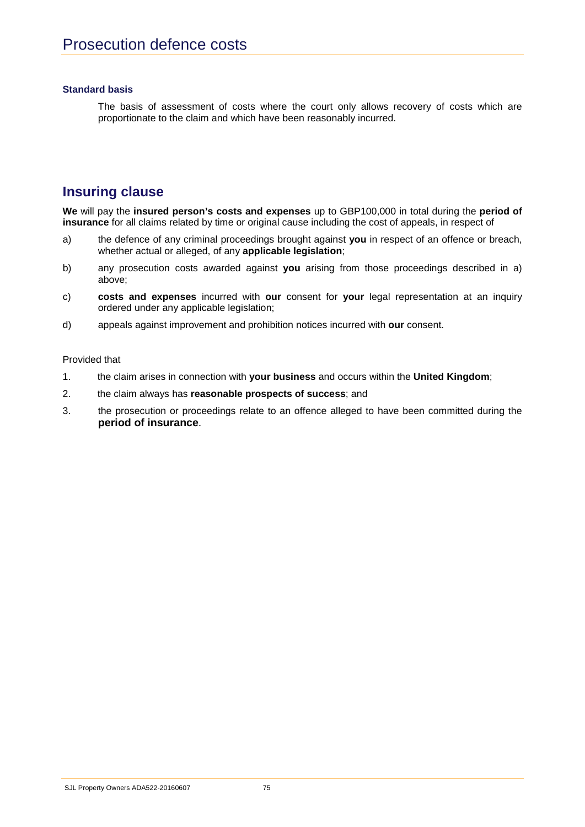## **Standard basis**

The basis of assessment of costs where the court only allows recovery of costs which are proportionate to the claim and which have been reasonably incurred.

# **Insuring clause**

**We** will pay the **insured person's costs and expenses** up to GBP100,000 in total during the **period of insurance** for all claims related by time or original cause including the cost of appeals, in respect of

- a) the defence of any criminal proceedings brought against **you** in respect of an offence or breach, whether actual or alleged, of any **applicable legislation**;
- b) any prosecution costs awarded against **you** arising from those proceedings described in a) above;
- c) **costs and expenses** incurred with **our** consent for **your** legal representation at an inquiry ordered under any applicable legislation;
- d) appeals against improvement and prohibition notices incurred with **our** consent.

Provided that

- 1. the claim arises in connection with **your business** and occurs within the **United Kingdom**;
- 2. the claim always has **reasonable prospects of success**; and
- 3. the prosecution or proceedings relate to an offence alleged to have been committed during the **period of insurance**.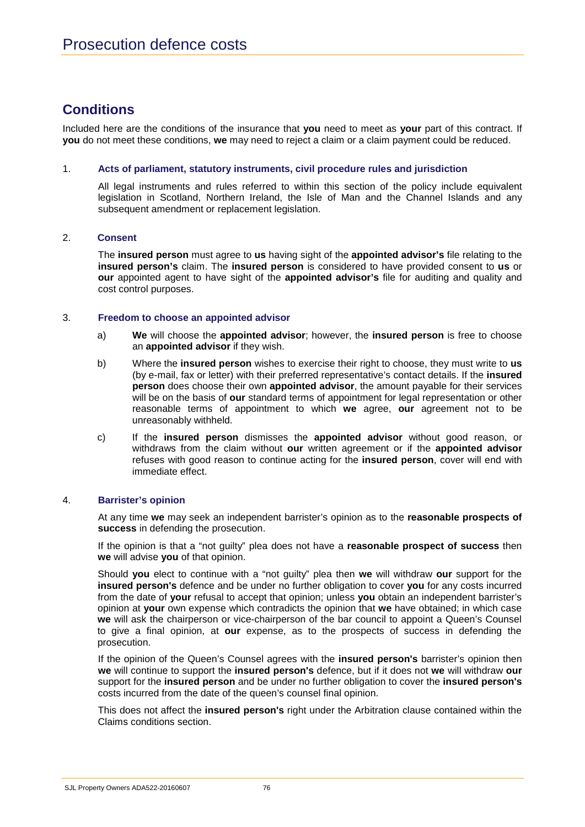# **Conditions**

Included here are the conditions of the insurance that **you** need to meet as **your** part of this contract. If **you** do not meet these conditions, **we** may need to reject a claim or a claim payment could be reduced.

## 1. **Acts of parliament, statutory instruments, civil procedure rules and jurisdiction**

All legal instruments and rules referred to within this section of the policy include equivalent legislation in Scotland, Northern Ireland, the Isle of Man and the Channel Islands and any subsequent amendment or replacement legislation.

## 2. **Consent**

The **insured person** must agree to **us** having sight of the **appointed advisor's** file relating to the **insured person's** claim. The **insured person** is considered to have provided consent to **us** or **our** appointed agent to have sight of the **appointed advisor's** file for auditing and quality and cost control purposes.

## 3. **Freedom to choose an appointed advisor**

- a) **We** will choose the **appointed advisor**; however, the **insured person** is free to choose an **appointed advisor** if they wish.
- b) Where the **insured person** wishes to exercise their right to choose, they must write to **us** (by e-mail, fax or letter) with their preferred representative's contact details. If the **insured person** does choose their own **appointed advisor**, the amount payable for their services will be on the basis of **our** standard terms of appointment for legal representation or other reasonable terms of appointment to which **we** agree, **our** agreement not to be unreasonably withheld.
- c) If the **insured person** dismisses the **appointed advisor** without good reason, or withdraws from the claim without **our** written agreement or if the **appointed advisor** refuses with good reason to continue acting for the **insured person**, cover will end with immediate effect.

## 4. **Barrister's opinion**

At any time **we** may seek an independent barrister's opinion as to the **reasonable prospects of success** in defending the prosecution.

If the opinion is that a "not guilty" plea does not have a **reasonable prospect of success** then **we** will advise **you** of that opinion.

Should **you** elect to continue with a "not guilty" plea then **we** will withdraw **our** support for the **insured person's** defence and be under no further obligation to cover **you** for any costs incurred from the date of **your** refusal to accept that opinion; unless **you** obtain an independent barrister's opinion at **your** own expense which contradicts the opinion that **we** have obtained; in which case **we** will ask the chairperson or vice-chairperson of the bar council to appoint a Queen's Counsel to give a final opinion, at **our** expense, as to the prospects of success in defending the prosecution.

If the opinion of the Queen's Counsel agrees with the **insured person's** barrister's opinion then **we** will continue to support the **insured person's** defence, but if it does not **we** will withdraw **our** support for the **insured person** and be under no further obligation to cover the **insured person's** costs incurred from the date of the queen's counsel final opinion.

This does not affect the **insured person's** right under the Arbitration clause contained within the Claims conditions section.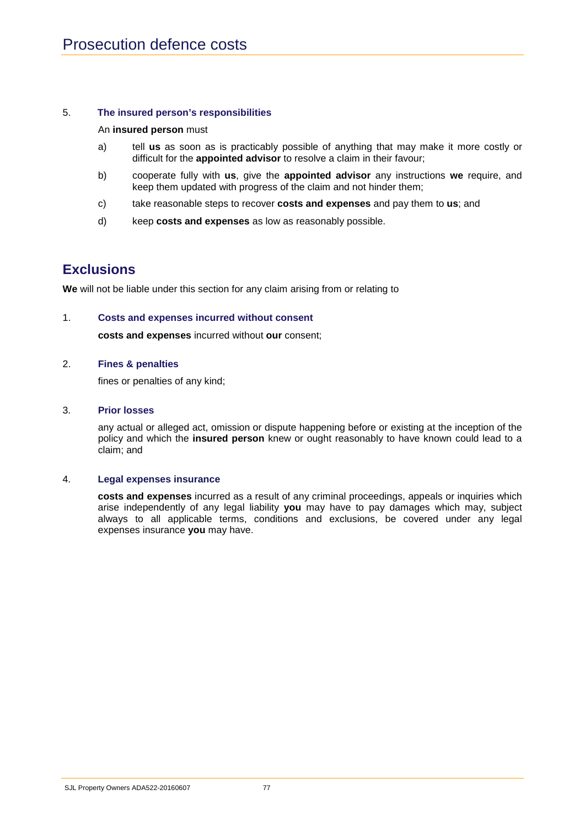## 5. **The insured person's responsibilities**

#### An **insured person** must

- a) tell **us** as soon as is practicably possible of anything that may make it more costly or difficult for the **appointed advisor** to resolve a claim in their favour;
- b) cooperate fully with **us**, give the **appointed advisor** any instructions **we** require, and keep them updated with progress of the claim and not hinder them;
- c) take reasonable steps to recover **costs and expenses** and pay them to **us**; and
- d) keep **costs and expenses** as low as reasonably possible.

## **Exclusions**

**We** will not be liable under this section for any claim arising from or relating to

## 1. **Costs and expenses incurred without consent**

**costs and expenses** incurred without **our** consent;

#### 2. **Fines & penalties**

fines or penalties of any kind;

#### 3. **Prior losses**

any actual or alleged act, omission or dispute happening before or existing at the inception of the policy and which the **insured person** knew or ought reasonably to have known could lead to a claim; and

#### 4. **Legal expenses insurance**

**costs and expenses** incurred as a result of any criminal proceedings, appeals or inquiries which arise independently of any legal liability **you** may have to pay damages which may, subject always to all applicable terms, conditions and exclusions, be covered under any legal expenses insurance **you** may have.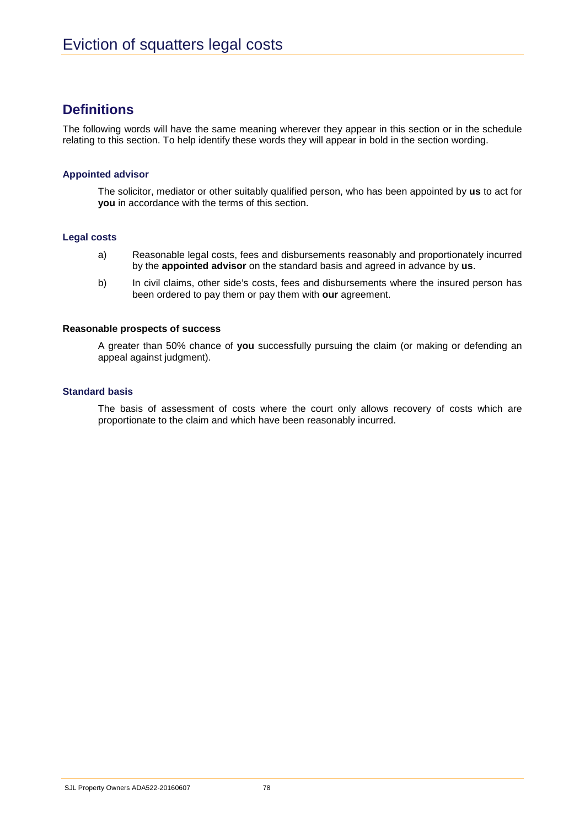# **Definitions**

The following words will have the same meaning wherever they appear in this section or in the schedule relating to this section. To help identify these words they will appear in bold in the section wording.

## **Appointed advisor**

The solicitor, mediator or other suitably qualified person, who has been appointed by **us** to act for **you** in accordance with the terms of this section.

## **Legal costs**

- a) Reasonable legal costs, fees and disbursements reasonably and proportionately incurred by the **appointed advisor** on the standard basis and agreed in advance by **us**.
- b) In civil claims, other side's costs, fees and disbursements where the insured person has been ordered to pay them or pay them with **our** agreement.

## **Reasonable prospects of success**

A greater than 50% chance of **you** successfully pursuing the claim (or making or defending an appeal against judgment).

## **Standard basis**

The basis of assessment of costs where the court only allows recovery of costs which are proportionate to the claim and which have been reasonably incurred.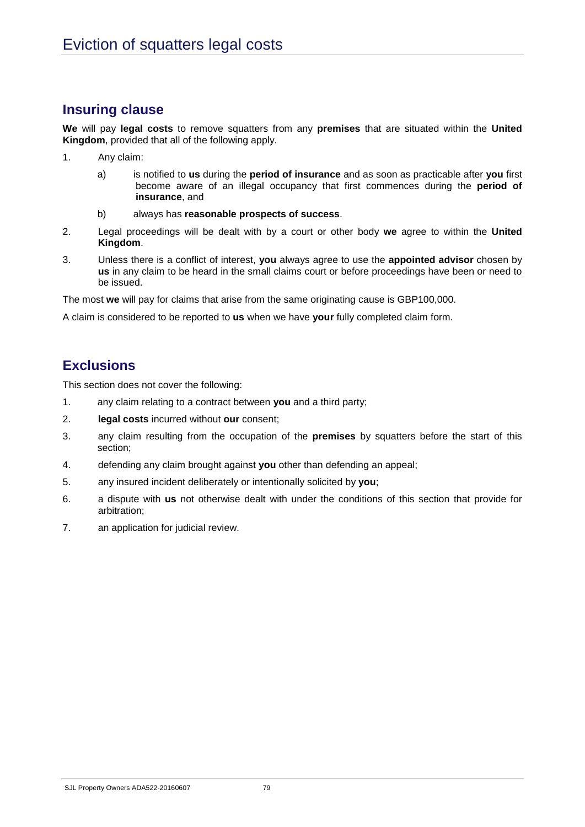# **Insuring clause**

**We** will pay **legal costs** to remove squatters from any **premises** that are situated within the **United Kingdom**, provided that all of the following apply.

- 1. Any claim:
	- a) is notified to **us** during the **period of insurance** and as soon as practicable after **you** first become aware of an illegal occupancy that first commences during the **period of insurance**, and
	- b) always has **reasonable prospects of success**.
- 2. Legal proceedings will be dealt with by a court or other body **we** agree to within the **United Kingdom**.
- 3. Unless there is a conflict of interest, **you** always agree to use the **appointed advisor** chosen by **us** in any claim to be heard in the small claims court or before proceedings have been or need to be issued.

The most **we** will pay for claims that arise from the same originating cause is GBP100,000.

A claim is considered to be reported to **us** when we have **your** fully completed claim form.

# **Exclusions**

This section does not cover the following:

- 1. any claim relating to a contract between **you** and a third party;
- 2. **legal costs** incurred without **our** consent;
- 3. any claim resulting from the occupation of the **premises** by squatters before the start of this section;
- 4. defending any claim brought against **you** other than defending an appeal;
- 5. any insured incident deliberately or intentionally solicited by **you**;
- 6. a dispute with **us** not otherwise dealt with under the conditions of this section that provide for arbitration;
- 7. an application for judicial review.